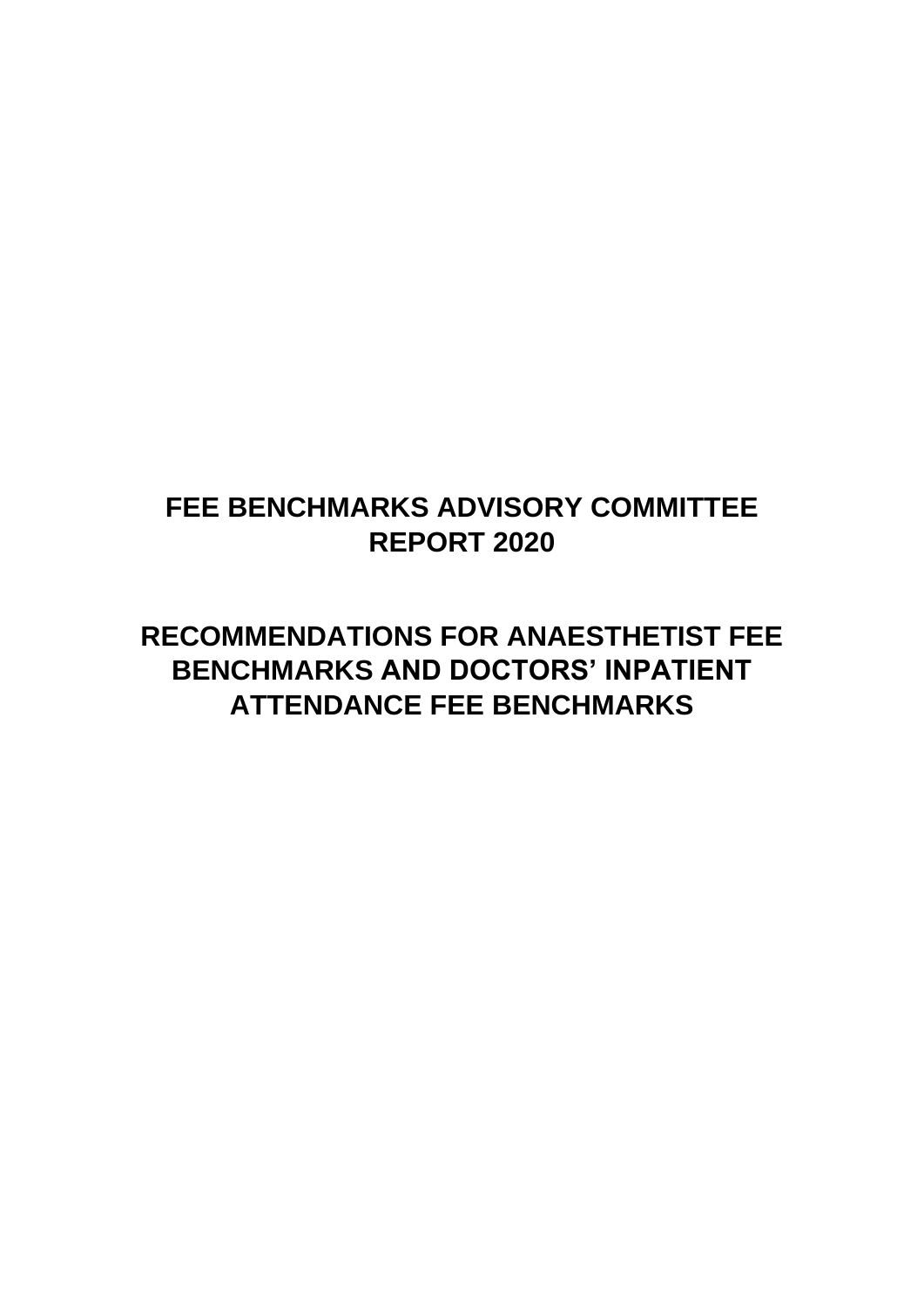# **FEE BENCHMARKS ADVISORY COMMITTEE REPORT 2020**

**RECOMMENDATIONS FOR ANAESTHETIST FEE BENCHMARKS AND DOCTORS' INPATIENT ATTENDANCE FEE BENCHMARKS**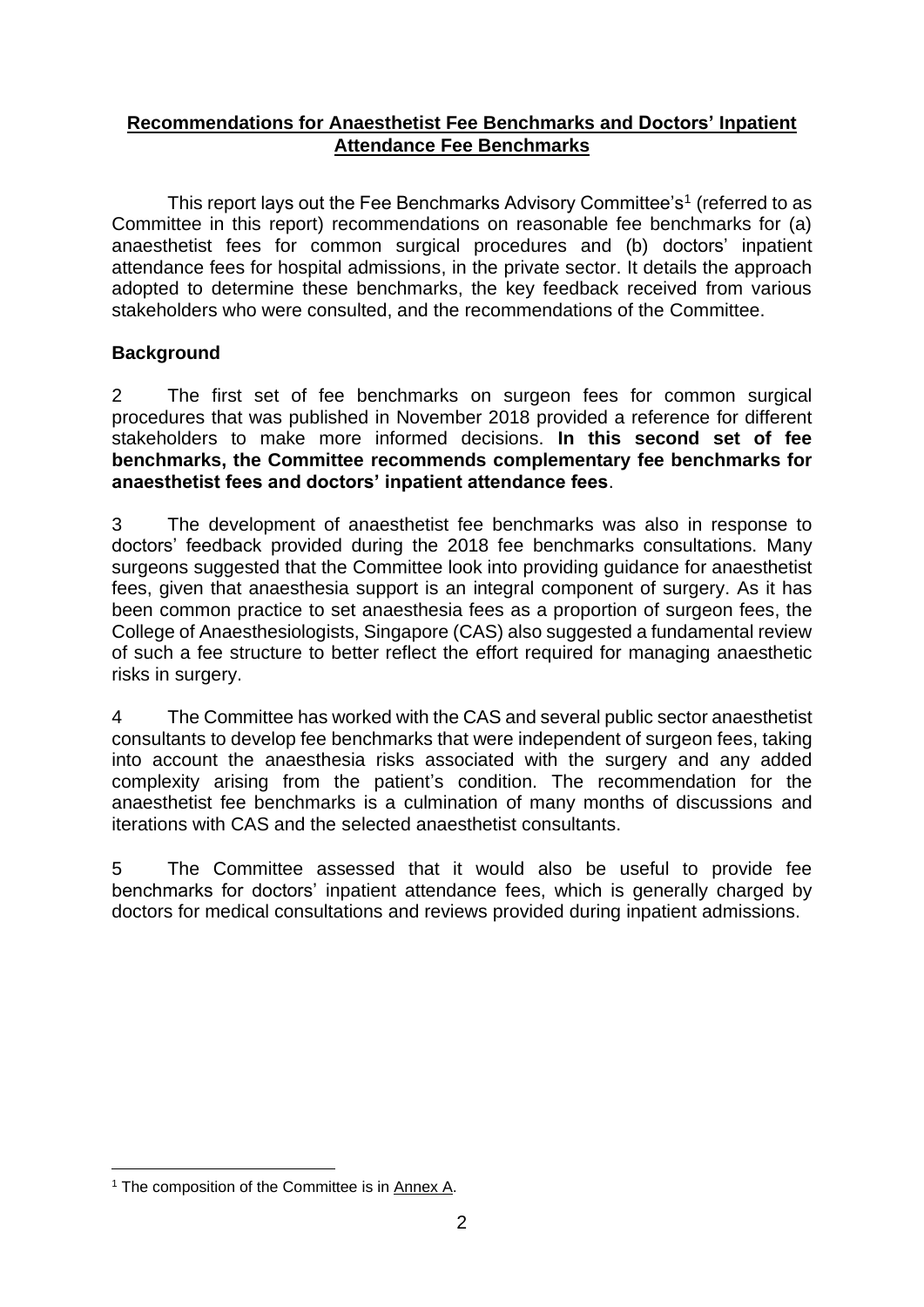#### **Recommendations for Anaesthetist Fee Benchmarks and Doctors' Inpatient Attendance Fee Benchmarks**

This report lays out the Fee Benchmarks Advisory Committee's<sup>1</sup> (referred to as Committee in this report) recommendations on reasonable fee benchmarks for (a) anaesthetist fees for common surgical procedures and (b) doctors' inpatient attendance fees for hospital admissions, in the private sector. It details the approach adopted to determine these benchmarks, the key feedback received from various stakeholders who were consulted, and the recommendations of the Committee.

#### **Background**

2 The first set of fee benchmarks on surgeon fees for common surgical procedures that was published in November 2018 provided a reference for different stakeholders to make more informed decisions. **In this second set of fee benchmarks, the Committee recommends complementary fee benchmarks for anaesthetist fees and doctors' inpatient attendance fees**.

3 The development of anaesthetist fee benchmarks was also in response to doctors' feedback provided during the 2018 fee benchmarks consultations. Many surgeons suggested that the Committee look into providing guidance for anaesthetist fees, given that anaesthesia support is an integral component of surgery. As it has been common practice to set anaesthesia fees as a proportion of surgeon fees, the College of Anaesthesiologists, Singapore (CAS) also suggested a fundamental review of such a fee structure to better reflect the effort required for managing anaesthetic risks in surgery.

4 The Committee has worked with the CAS and several public sector anaesthetist consultants to develop fee benchmarks that were independent of surgeon fees, taking into account the anaesthesia risks associated with the surgery and any added complexity arising from the patient's condition. The recommendation for the anaesthetist fee benchmarks is a culmination of many months of discussions and iterations with CAS and the selected anaesthetist consultants.

5 The Committee assessed that it would also be useful to provide fee benchmarks for doctors' inpatient attendance fees, which is generally charged by doctors for medical consultations and reviews provided during inpatient admissions.

<sup>&</sup>lt;sup>1</sup> The composition of the Committee is in Annex A.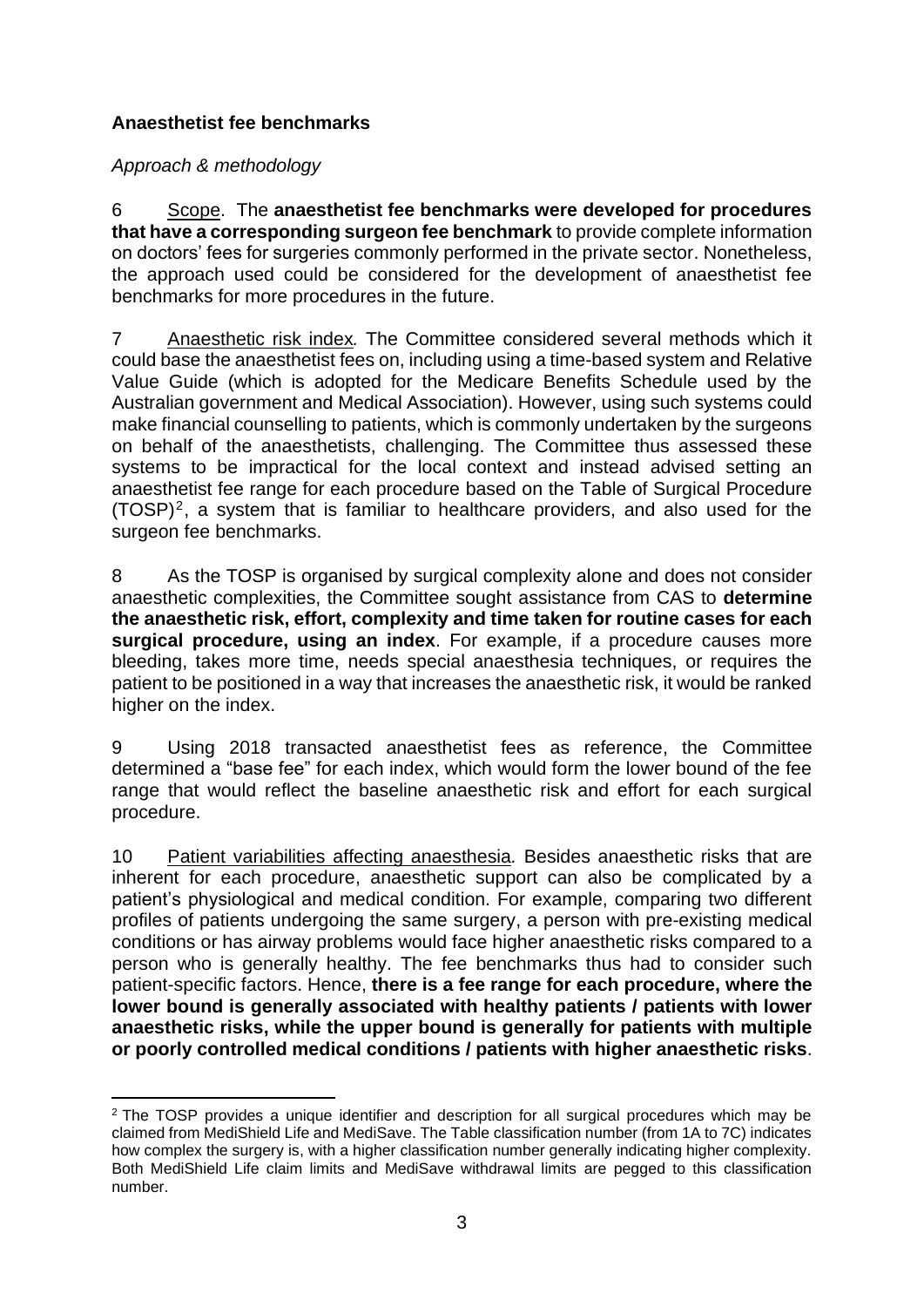#### **Anaesthetist fee benchmarks**

*Approach & methodology*

6 Scope. The **anaesthetist fee benchmarks were developed for procedures that have a corresponding surgeon fee benchmark** to provide complete information on doctors' fees for surgeries commonly performed in the private sector. Nonetheless, the approach used could be considered for the development of anaesthetist fee benchmarks for more procedures in the future.

7 Anaesthetic risk index*.* The Committee considered several methods which it could base the anaesthetist fees on, including using a time-based system and Relative Value Guide (which is adopted for the Medicare Benefits Schedule used by the Australian government and Medical Association). However, using such systems could make financial counselling to patients, which is commonly undertaken by the surgeons on behalf of the anaesthetists, challenging. The Committee thus assessed these systems to be impractical for the local context and instead advised setting an anaesthetist fee range for each procedure based on the Table of Surgical Procedure  $(TOSP)^2$ , a system that is familiar to healthcare providers, and also used for the surgeon fee benchmarks.

8 As the TOSP is organised by surgical complexity alone and does not consider anaesthetic complexities, the Committee sought assistance from CAS to **determine the anaesthetic risk, effort, complexity and time taken for routine cases for each surgical procedure, using an index**. For example, if a procedure causes more bleeding, takes more time, needs special anaesthesia techniques, or requires the patient to be positioned in a way that increases the anaesthetic risk, it would be ranked higher on the index.

9 Using 2018 transacted anaesthetist fees as reference, the Committee determined a "base fee" for each index, which would form the lower bound of the fee range that would reflect the baseline anaesthetic risk and effort for each surgical procedure.

10 Patient variabilities affecting anaesthesia*.* Besides anaesthetic risks that are inherent for each procedure, anaesthetic support can also be complicated by a patient's physiological and medical condition. For example, comparing two different profiles of patients undergoing the same surgery, a person with pre-existing medical conditions or has airway problems would face higher anaesthetic risks compared to a person who is generally healthy. The fee benchmarks thus had to consider such patient-specific factors. Hence, **there is a fee range for each procedure, where the lower bound is generally associated with healthy patients / patients with lower anaesthetic risks, while the upper bound is generally for patients with multiple or poorly controlled medical conditions / patients with higher anaesthetic risks**.

<sup>&</sup>lt;sup>2</sup> The TOSP provides a unique identifier and description for all surgical procedures which may be claimed from MediShield Life and MediSave. The Table classification number (from 1A to 7C) indicates how complex the surgery is, with a higher classification number generally indicating higher complexity. Both MediShield Life claim limits and MediSave withdrawal limits are pegged to this classification number.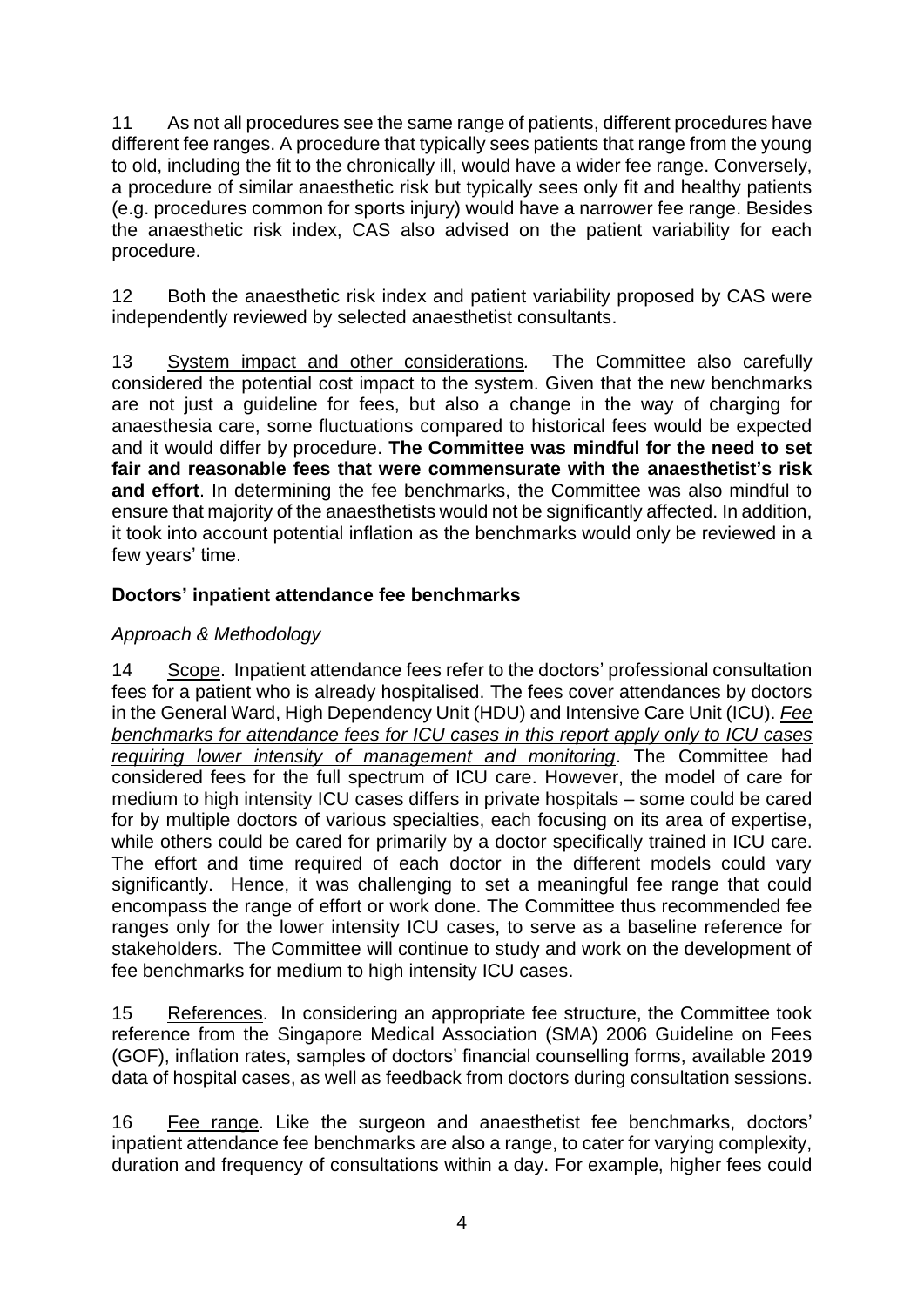11 As not all procedures see the same range of patients, different procedures have different fee ranges. A procedure that typically sees patients that range from the young to old, including the fit to the chronically ill, would have a wider fee range. Conversely, a procedure of similar anaesthetic risk but typically sees only fit and healthy patients (e.g. procedures common for sports injury) would have a narrower fee range. Besides the anaesthetic risk index, CAS also advised on the patient variability for each procedure.

12 Both the anaesthetic risk index and patient variability proposed by CAS were independently reviewed by selected anaesthetist consultants.

13 System impact and other considerations*.* The Committee also carefully considered the potential cost impact to the system. Given that the new benchmarks are not just a guideline for fees, but also a change in the way of charging for anaesthesia care, some fluctuations compared to historical fees would be expected and it would differ by procedure. **The Committee was mindful for the need to set fair and reasonable fees that were commensurate with the anaesthetist's risk and effort**. In determining the fee benchmarks, the Committee was also mindful to ensure that majority of the anaesthetists would not be significantly affected. In addition, it took into account potential inflation as the benchmarks would only be reviewed in a few years' time.

#### **Doctors' inpatient attendance fee benchmarks**

#### *Approach & Methodology*

14 Scope. Inpatient attendance fees refer to the doctors' professional consultation fees for a patient who is already hospitalised. The fees cover attendances by doctors in the General Ward, High Dependency Unit (HDU) and Intensive Care Unit (ICU). *Fee benchmarks for attendance fees for ICU cases in this report apply only to ICU cases requiring lower intensity of management and monitoring*. The Committee had considered fees for the full spectrum of ICU care. However, the model of care for medium to high intensity ICU cases differs in private hospitals – some could be cared for by multiple doctors of various specialties, each focusing on its area of expertise, while others could be cared for primarily by a doctor specifically trained in ICU care. The effort and time required of each doctor in the different models could vary significantly. Hence, it was challenging to set a meaningful fee range that could encompass the range of effort or work done. The Committee thus recommended fee ranges only for the lower intensity ICU cases, to serve as a baseline reference for stakeholders. The Committee will continue to study and work on the development of fee benchmarks for medium to high intensity ICU cases.

15 References. In considering an appropriate fee structure, the Committee took reference from the Singapore Medical Association (SMA) 2006 Guideline on Fees (GOF), inflation rates, samples of doctors' financial counselling forms, available 2019 data of hospital cases, as well as feedback from doctors during consultation sessions.

16 Fee range. Like the surgeon and anaesthetist fee benchmarks, doctors' inpatient attendance fee benchmarks are also a range, to cater for varying complexity, duration and frequency of consultations within a day. For example, higher fees could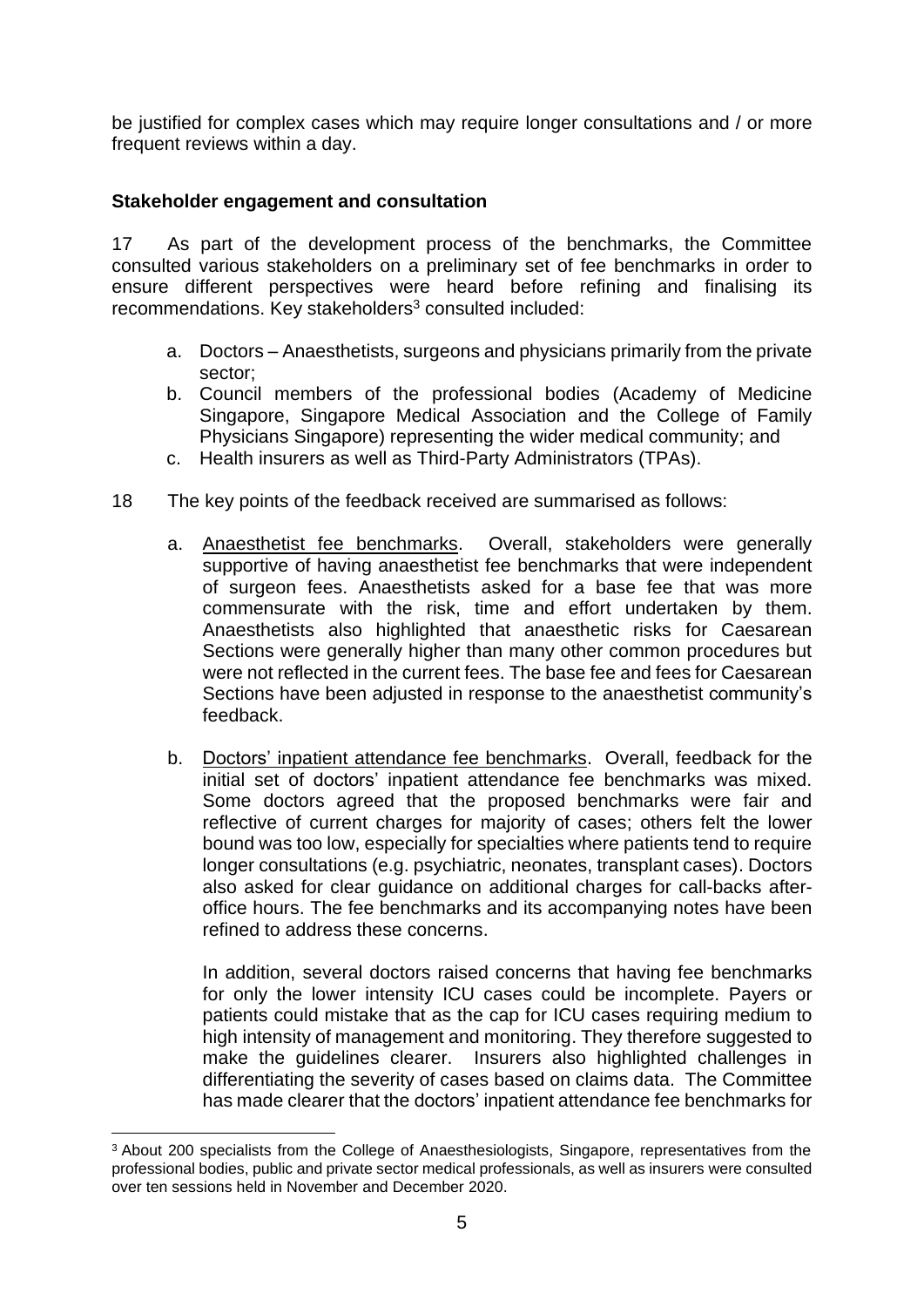be justified for complex cases which may require longer consultations and / or more frequent reviews within a day.

#### **Stakeholder engagement and consultation**

17 As part of the development process of the benchmarks, the Committee consulted various stakeholders on a preliminary set of fee benchmarks in order to ensure different perspectives were heard before refining and finalising its recommendations. Key stakeholders<sup>3</sup> consulted included:

- a. Doctors Anaesthetists, surgeons and physicians primarily from the private sector;
- b. Council members of the professional bodies (Academy of Medicine Singapore, Singapore Medical Association and the College of Family Physicians Singapore) representing the wider medical community; and
- c. Health insurers as well as Third-Party Administrators (TPAs).
- 18 The key points of the feedback received are summarised as follows:
	- a. Anaesthetist fee benchmarks. Overall, stakeholders were generally supportive of having anaesthetist fee benchmarks that were independent of surgeon fees. Anaesthetists asked for a base fee that was more commensurate with the risk, time and effort undertaken by them. Anaesthetists also highlighted that anaesthetic risks for Caesarean Sections were generally higher than many other common procedures but were not reflected in the current fees. The base fee and fees for Caesarean Sections have been adjusted in response to the anaesthetist community's feedback.
	- b. Doctors' inpatient attendance fee benchmarks. Overall, feedback for the initial set of doctors' inpatient attendance fee benchmarks was mixed. Some doctors agreed that the proposed benchmarks were fair and reflective of current charges for majority of cases; others felt the lower bound was too low, especially for specialties where patients tend to require longer consultations (e.g. psychiatric, neonates, transplant cases). Doctors also asked for clear guidance on additional charges for call-backs afteroffice hours. The fee benchmarks and its accompanying notes have been refined to address these concerns.

In addition, several doctors raised concerns that having fee benchmarks for only the lower intensity ICU cases could be incomplete. Payers or patients could mistake that as the cap for ICU cases requiring medium to high intensity of management and monitoring. They therefore suggested to make the guidelines clearer. Insurers also highlighted challenges in differentiating the severity of cases based on claims data. The Committee has made clearer that the doctors' inpatient attendance fee benchmarks for

<sup>&</sup>lt;sup>3</sup> About 200 specialists from the College of Anaesthesiologists, Singapore, representatives from the professional bodies, public and private sector medical professionals, as well as insurers were consulted over ten sessions held in November and December 2020.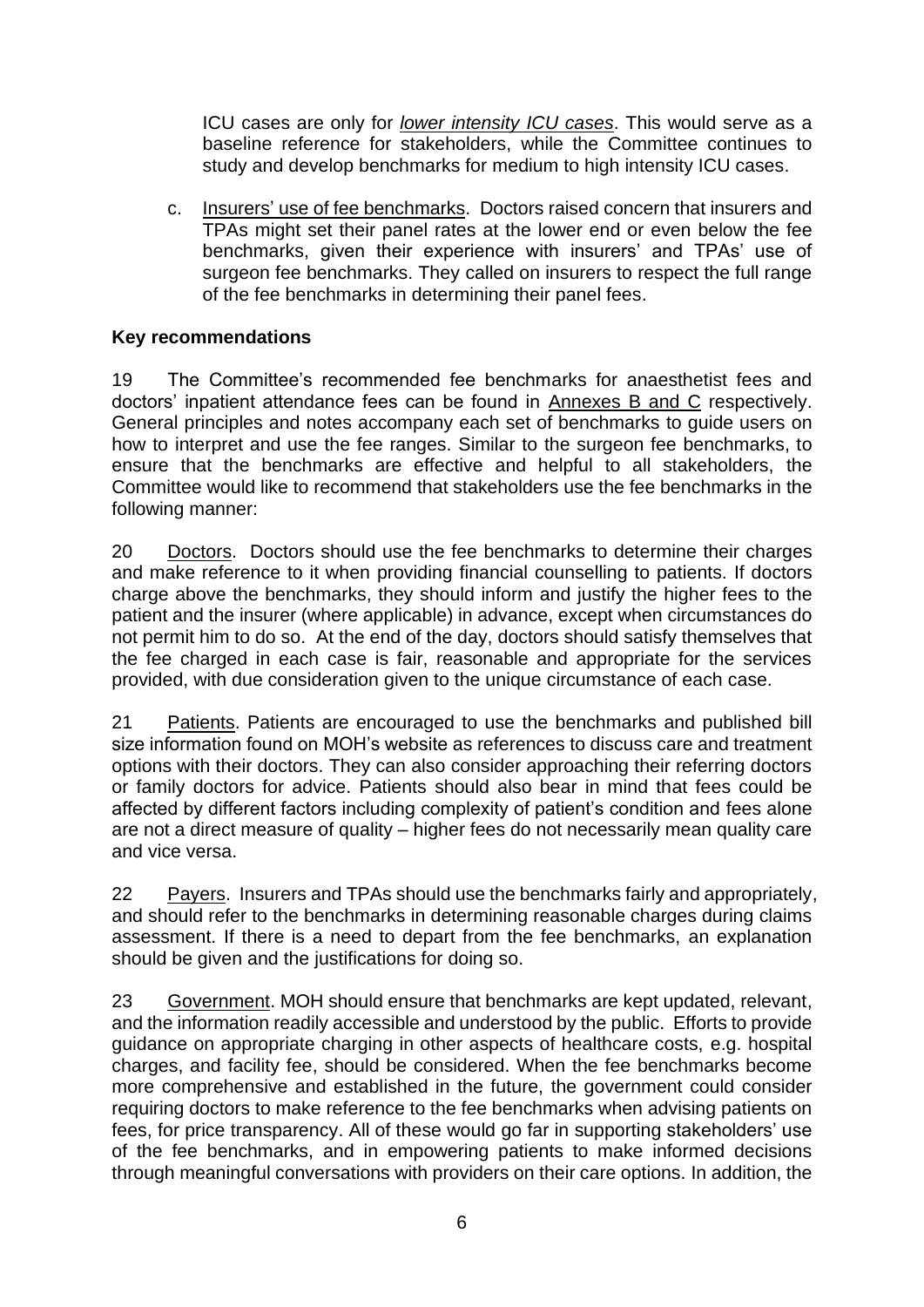ICU cases are only for *lower intensity ICU cases*. This would serve as a baseline reference for stakeholders, while the Committee continues to study and develop benchmarks for medium to high intensity ICU cases.

c. Insurers' use of fee benchmarks. Doctors raised concern that insurers and TPAs might set their panel rates at the lower end or even below the fee benchmarks, given their experience with insurers' and TPAs' use of surgeon fee benchmarks. They called on insurers to respect the full range of the fee benchmarks in determining their panel fees.

#### **Key recommendations**

19 The Committee's recommended fee benchmarks for anaesthetist fees and doctors' inpatient attendance fees can be found in Annexes B and C respectively. General principles and notes accompany each set of benchmarks to guide users on how to interpret and use the fee ranges. Similar to the surgeon fee benchmarks, to ensure that the benchmarks are effective and helpful to all stakeholders, the Committee would like to recommend that stakeholders use the fee benchmarks in the following manner:

20 Doctors. Doctors should use the fee benchmarks to determine their charges and make reference to it when providing financial counselling to patients. If doctors charge above the benchmarks, they should inform and justify the higher fees to the patient and the insurer (where applicable) in advance, except when circumstances do not permit him to do so. At the end of the day, doctors should satisfy themselves that the fee charged in each case is fair, reasonable and appropriate for the services provided, with due consideration given to the unique circumstance of each case.

21 Patients. Patients are encouraged to use the benchmarks and published bill size information found on MOH's website as references to discuss care and treatment options with their doctors. They can also consider approaching their referring doctors or family doctors for advice. Patients should also bear in mind that fees could be affected by different factors including complexity of patient's condition and fees alone are not a direct measure of quality – higher fees do not necessarily mean quality care and vice versa.

22 Payers. Insurers and TPAs should use the benchmarks fairly and appropriately, and should refer to the benchmarks in determining reasonable charges during claims assessment. If there is a need to depart from the fee benchmarks, an explanation should be given and the justifications for doing so.

23 Government. MOH should ensure that benchmarks are kept updated, relevant, and the information readily accessible and understood by the public. Efforts to provide guidance on appropriate charging in other aspects of healthcare costs, e.g. hospital charges, and facility fee, should be considered. When the fee benchmarks become more comprehensive and established in the future, the government could consider requiring doctors to make reference to the fee benchmarks when advising patients on fees, for price transparency. All of these would go far in supporting stakeholders' use of the fee benchmarks, and in empowering patients to make informed decisions through meaningful conversations with providers on their care options. In addition, the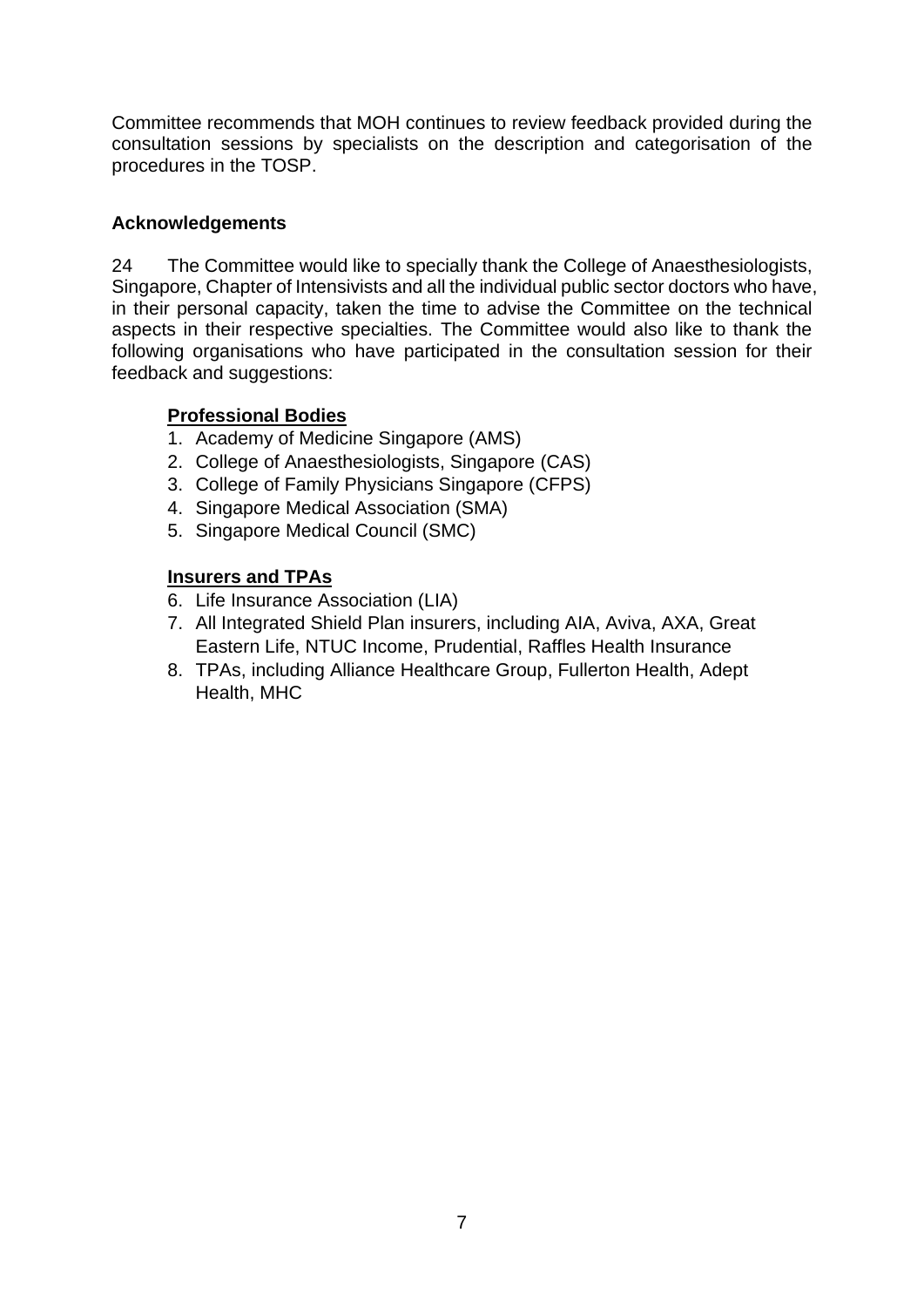Committee recommends that MOH continues to review feedback provided during the consultation sessions by specialists on the description and categorisation of the procedures in the TOSP.

#### **Acknowledgements**

24 The Committee would like to specially thank the College of Anaesthesiologists, Singapore, Chapter of Intensivists and all the individual public sector doctors who have, in their personal capacity, taken the time to advise the Committee on the technical aspects in their respective specialties. The Committee would also like to thank the following organisations who have participated in the consultation session for their feedback and suggestions:

#### **Professional Bodies**

- 1. Academy of Medicine Singapore (AMS)
- 2. College of Anaesthesiologists, Singapore (CAS)
- 3. College of Family Physicians Singapore (CFPS)
- 4. Singapore Medical Association (SMA)
- 5. Singapore Medical Council (SMC)

#### **Insurers and TPAs**

- 6. Life Insurance Association (LIA)
- 7. All Integrated Shield Plan insurers, including AIA, Aviva, AXA, Great Eastern Life, NTUC Income, Prudential, Raffles Health Insurance
- 8. TPAs, including Alliance Healthcare Group, Fullerton Health, Adept Health, MHC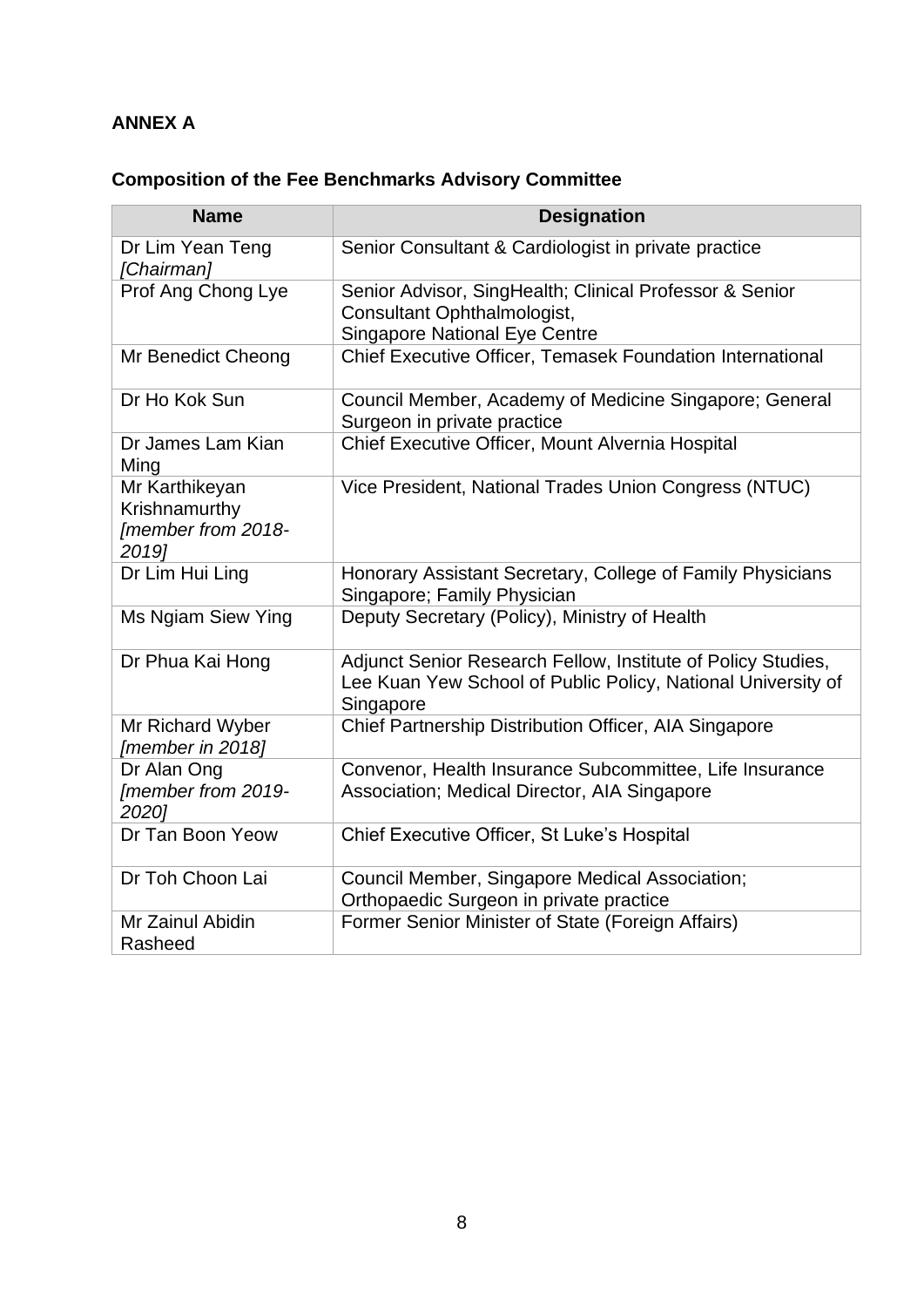### **ANNEX A**

# **Composition of the Fee Benchmarks Advisory Committee**

| <b>Name</b>                                                    | <b>Designation</b>                                                                                                                        |
|----------------------------------------------------------------|-------------------------------------------------------------------------------------------------------------------------------------------|
| Dr Lim Yean Teng<br>[Chairman]                                 | Senior Consultant & Cardiologist in private practice                                                                                      |
| Prof Ang Chong Lye                                             | Senior Advisor, SingHealth; Clinical Professor & Senior<br>Consultant Ophthalmologist,<br><b>Singapore National Eye Centre</b>            |
| Mr Benedict Cheong                                             | Chief Executive Officer, Temasek Foundation International                                                                                 |
| Dr Ho Kok Sun                                                  | Council Member, Academy of Medicine Singapore; General<br>Surgeon in private practice                                                     |
| Dr James Lam Kian<br>Ming                                      | Chief Executive Officer, Mount Alvernia Hospital                                                                                          |
| Mr Karthikeyan<br>Krishnamurthy<br>[member from 2018-<br>2019] | Vice President, National Trades Union Congress (NTUC)                                                                                     |
| Dr Lim Hui Ling                                                | Honorary Assistant Secretary, College of Family Physicians<br>Singapore; Family Physician                                                 |
| Ms Ngiam Siew Ying                                             | Deputy Secretary (Policy), Ministry of Health                                                                                             |
| Dr Phua Kai Hong                                               | Adjunct Senior Research Fellow, Institute of Policy Studies,<br>Lee Kuan Yew School of Public Policy, National University of<br>Singapore |
| Mr Richard Wyber<br>[member in 2018]                           | Chief Partnership Distribution Officer, AIA Singapore                                                                                     |
| Dr Alan Ong<br>[member from 2019-<br>2020]                     | Convenor, Health Insurance Subcommittee, Life Insurance<br>Association; Medical Director, AIA Singapore                                   |
| Dr Tan Boon Yeow                                               | Chief Executive Officer, St Luke's Hospital                                                                                               |
| Dr Toh Choon Lai                                               | Council Member, Singapore Medical Association;<br>Orthopaedic Surgeon in private practice                                                 |
| Mr Zainul Abidin<br>Rasheed                                    | Former Senior Minister of State (Foreign Affairs)                                                                                         |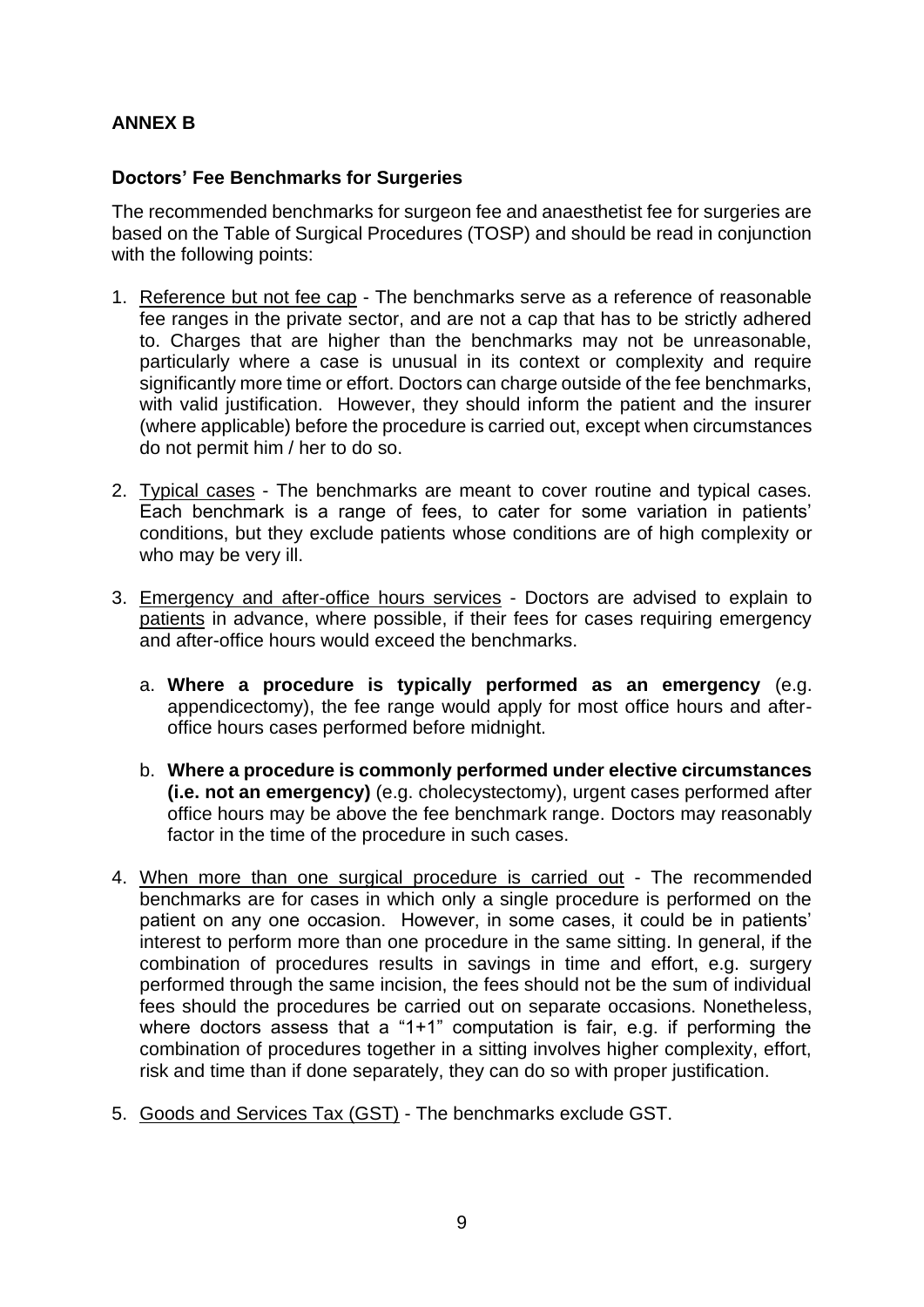#### **ANNEX B**

#### **Doctors' Fee Benchmarks for Surgeries**

The recommended benchmarks for surgeon fee and anaesthetist fee for surgeries are based on the Table of Surgical Procedures (TOSP) and should be read in conjunction with the following points:

- 1. Reference but not fee cap The benchmarks serve as a reference of reasonable fee ranges in the private sector, and are not a cap that has to be strictly adhered to. Charges that are higher than the benchmarks may not be unreasonable, particularly where a case is unusual in its context or complexity and require significantly more time or effort. Doctors can charge outside of the fee benchmarks, with valid justification. However, they should inform the patient and the insurer (where applicable) before the procedure is carried out, except when circumstances do not permit him / her to do so.
- 2. Typical cases The benchmarks are meant to cover routine and typical cases. Each benchmark is a range of fees, to cater for some variation in patients' conditions, but they exclude patients whose conditions are of high complexity or who may be very ill.
- 3. Emergency and after-office hours services Doctors are advised to explain to patients in advance, where possible, if their fees for cases requiring emergency and after-office hours would exceed the benchmarks.
	- a. **Where a procedure is typically performed as an emergency** (e.g. appendicectomy), the fee range would apply for most office hours and afteroffice hours cases performed before midnight.
	- b. **Where a procedure is commonly performed under elective circumstances (i.e. not an emergency)** (e.g. cholecystectomy), urgent cases performed after office hours may be above the fee benchmark range. Doctors may reasonably factor in the time of the procedure in such cases.
- 4. When more than one surgical procedure is carried out The recommended benchmarks are for cases in which only a single procedure is performed on the patient on any one occasion. However, in some cases, it could be in patients' interest to perform more than one procedure in the same sitting. In general, if the combination of procedures results in savings in time and effort, e.g. surgery performed through the same incision, the fees should not be the sum of individual fees should the procedures be carried out on separate occasions. Nonetheless, where doctors assess that a "1+1" computation is fair, e.g. if performing the combination of procedures together in a sitting involves higher complexity, effort, risk and time than if done separately, they can do so with proper justification.
- 5. Goods and Services Tax (GST) The benchmarks exclude GST.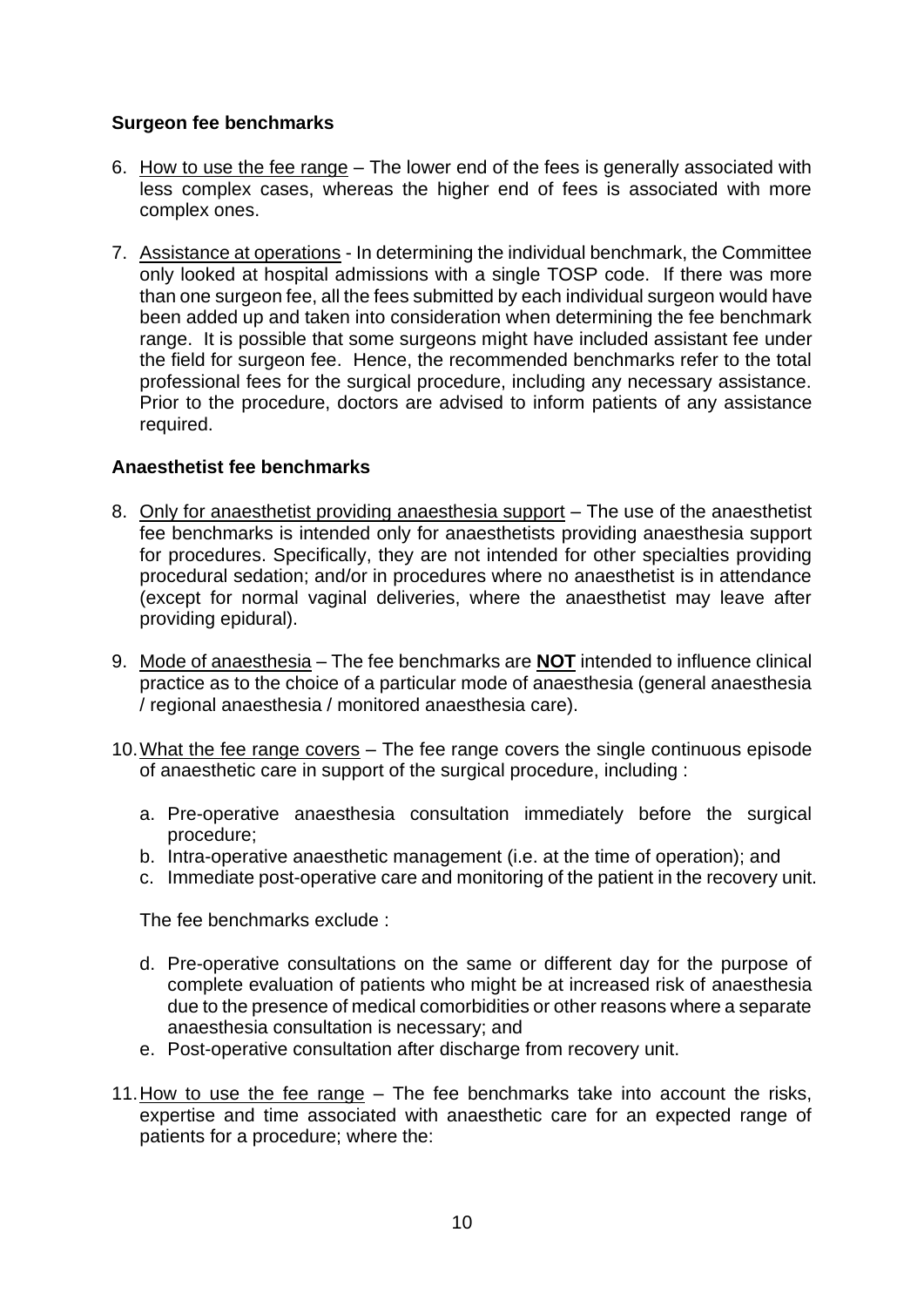#### **Surgeon fee benchmarks**

- 6. How to use the fee range *–* The lower end of the fees is generally associated with less complex cases, whereas the higher end of fees is associated with more complex ones.
- 7. Assistance at operations In determining the individual benchmark, the Committee only looked at hospital admissions with a single TOSP code. If there was more than one surgeon fee, all the fees submitted by each individual surgeon would have been added up and taken into consideration when determining the fee benchmark range. It is possible that some surgeons might have included assistant fee under the field for surgeon fee. Hence, the recommended benchmarks refer to the total professional fees for the surgical procedure, including any necessary assistance. Prior to the procedure, doctors are advised to inform patients of any assistance required.

#### **Anaesthetist fee benchmarks**

- 8. Only for anaesthetist providing anaesthesia support The use of the anaesthetist fee benchmarks is intended only for anaesthetists providing anaesthesia support for procedures. Specifically, they are not intended for other specialties providing procedural sedation; and/or in procedures where no anaesthetist is in attendance (except for normal vaginal deliveries, where the anaesthetist may leave after providing epidural).
- 9. Mode of anaesthesia The fee benchmarks are **NOT** intended to influence clinical practice as to the choice of a particular mode of anaesthesia (general anaesthesia / regional anaesthesia / monitored anaesthesia care).
- 10.What the fee range covers The fee range covers the single continuous episode of anaesthetic care in support of the surgical procedure, including :
	- a. Pre-operative anaesthesia consultation immediately before the surgical procedure;
	- b. Intra-operative anaesthetic management (i.e. at the time of operation); and
	- c. Immediate post-operative care and monitoring of the patient in the recovery unit.

The fee benchmarks exclude :

- d. Pre-operative consultations on the same or different day for the purpose of complete evaluation of patients who might be at increased risk of anaesthesia due to the presence of medical comorbidities or other reasons where a separate anaesthesia consultation is necessary; and
- e. Post-operative consultation after discharge from recovery unit.
- 11.How to use the fee range *–* The fee benchmarks take into account the risks, expertise and time associated with anaesthetic care for an expected range of patients for a procedure; where the: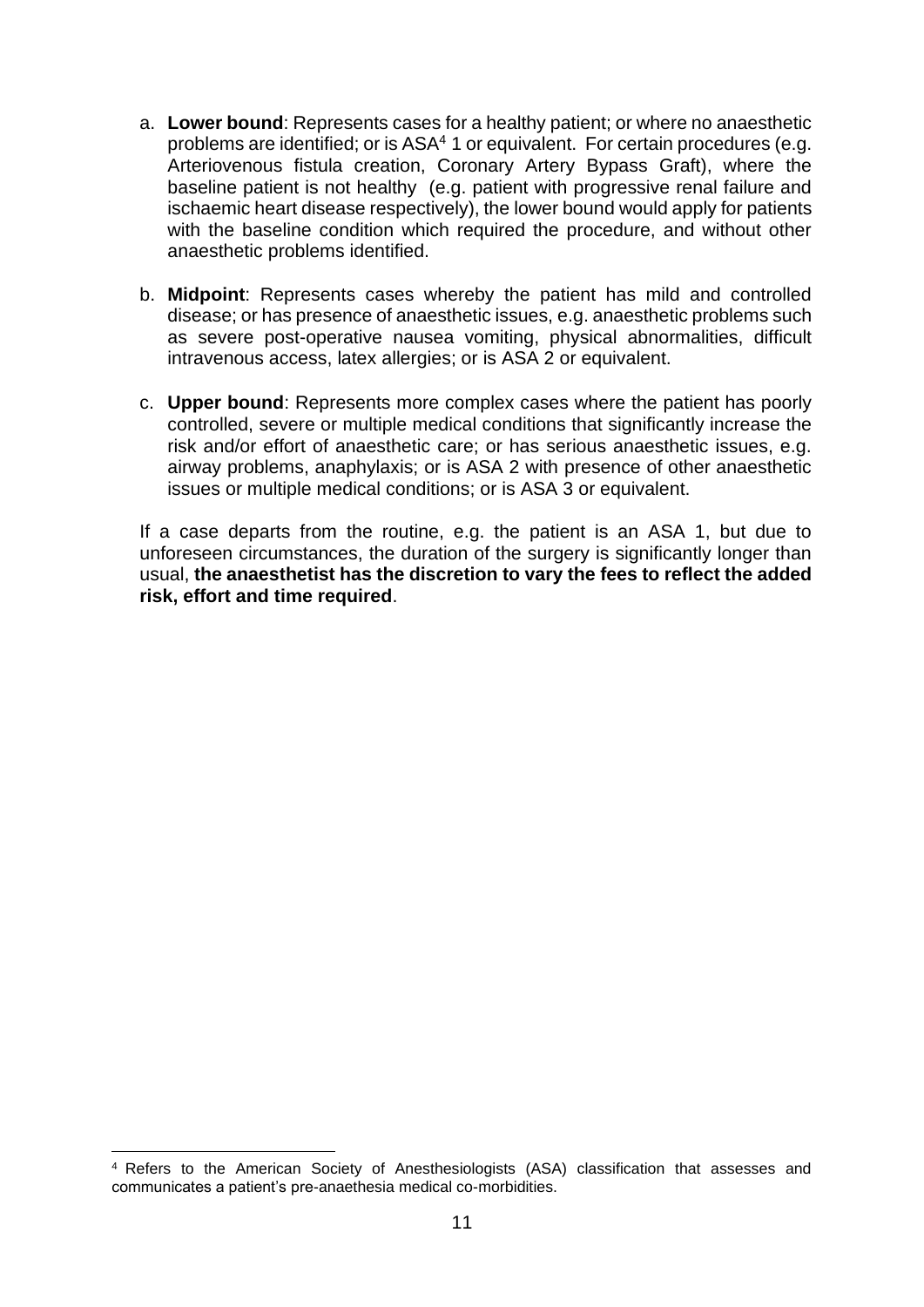- a. **Lower bound**: Represents cases for a healthy patient; or where no anaesthetic problems are identified; or is ASA<sup>4</sup> 1 or equivalent. For certain procedures (e.g. Arteriovenous fistula creation, Coronary Artery Bypass Graft), where the baseline patient is not healthy (e.g. patient with progressive renal failure and ischaemic heart disease respectively), the lower bound would apply for patients with the baseline condition which required the procedure, and without other anaesthetic problems identified.
- b. **Midpoint**: Represents cases whereby the patient has mild and controlled disease; or has presence of anaesthetic issues, e.g. anaesthetic problems such as severe post-operative nausea vomiting, physical abnormalities, difficult intravenous access, latex allergies; or is ASA 2 or equivalent.
- c. **Upper bound**: Represents more complex cases where the patient has poorly controlled, severe or multiple medical conditions that significantly increase the risk and/or effort of anaesthetic care; or has serious anaesthetic issues, e.g. airway problems, anaphylaxis; or is ASA 2 with presence of other anaesthetic issues or multiple medical conditions; or is ASA 3 or equivalent.

If a case departs from the routine, e.g. the patient is an ASA 1, but due to unforeseen circumstances, the duration of the surgery is significantly longer than usual, **the anaesthetist has the discretion to vary the fees to reflect the added risk, effort and time required**.

<sup>4</sup> Refers to the American Society of Anesthesiologists (ASA) classification that assesses and communicates a patient's pre-anaethesia medical co-morbidities.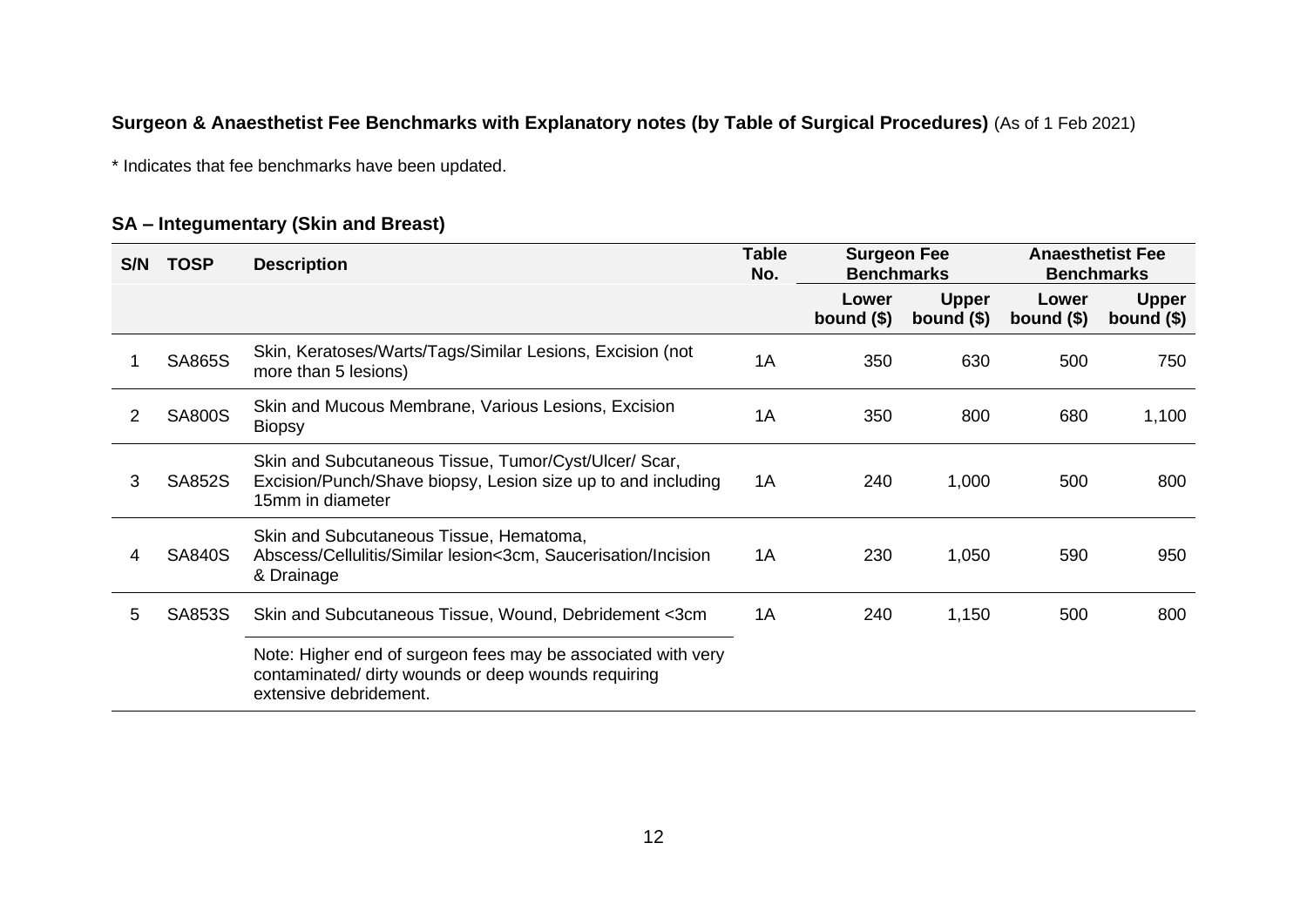### **Surgeon & Anaesthetist Fee Benchmarks with Explanatory notes (by Table of Surgical Procedures)** (As of 1 Feb 2021)

\* Indicates that fee benchmarks have been updated.

#### **SA – Integumentary (Skin and Breast)**

| S/N | <b>TOSP</b>   | <b>Description</b>                                                                                                                            | Table<br>No. | <b>Surgeon Fee</b><br><b>Benchmarks</b> |                             | <b>Benchmarks</b>    | <b>Anaesthetist Fee</b>     |
|-----|---------------|-----------------------------------------------------------------------------------------------------------------------------------------------|--------------|-----------------------------------------|-----------------------------|----------------------|-----------------------------|
|     |               |                                                                                                                                               |              | Lower<br>bound $($)$                    | <b>Upper</b><br>bound $($)$ | Lower<br>bound $($)$ | <b>Upper</b><br>bound $($)$ |
|     | <b>SA865S</b> | Skin, Keratoses/Warts/Tags/Similar Lesions, Excision (not<br>more than 5 lesions)                                                             | 1A           | 350                                     | 630                         | 500                  | 750                         |
|     | <b>SA800S</b> | Skin and Mucous Membrane, Various Lesions, Excision<br><b>Biopsy</b>                                                                          | 1A           | 350                                     | 800                         | 680                  | 1,100                       |
| 3   | <b>SA852S</b> | Skin and Subcutaneous Tissue, Tumor/Cyst/Ulcer/ Scar,<br>Excision/Punch/Shave biopsy, Lesion size up to and including<br>15mm in diameter     | 1A           | 240                                     | 1,000                       | 500                  | 800                         |
| 4   | <b>SA840S</b> | Skin and Subcutaneous Tissue, Hematoma,<br>Abscess/Cellulitis/Similar lesion<3cm, Saucerisation/Incision<br>& Drainage                        | 1A           | 230                                     | 1,050                       | 590                  | 950                         |
| 5   | SA853S        | Skin and Subcutaneous Tissue, Wound, Debridement <3cm                                                                                         | 1A           | 240                                     | 1,150                       | 500                  | 800                         |
|     |               | Note: Higher end of surgeon fees may be associated with very<br>contaminated/ dirty wounds or deep wounds requiring<br>extensive debridement. |              |                                         |                             |                      |                             |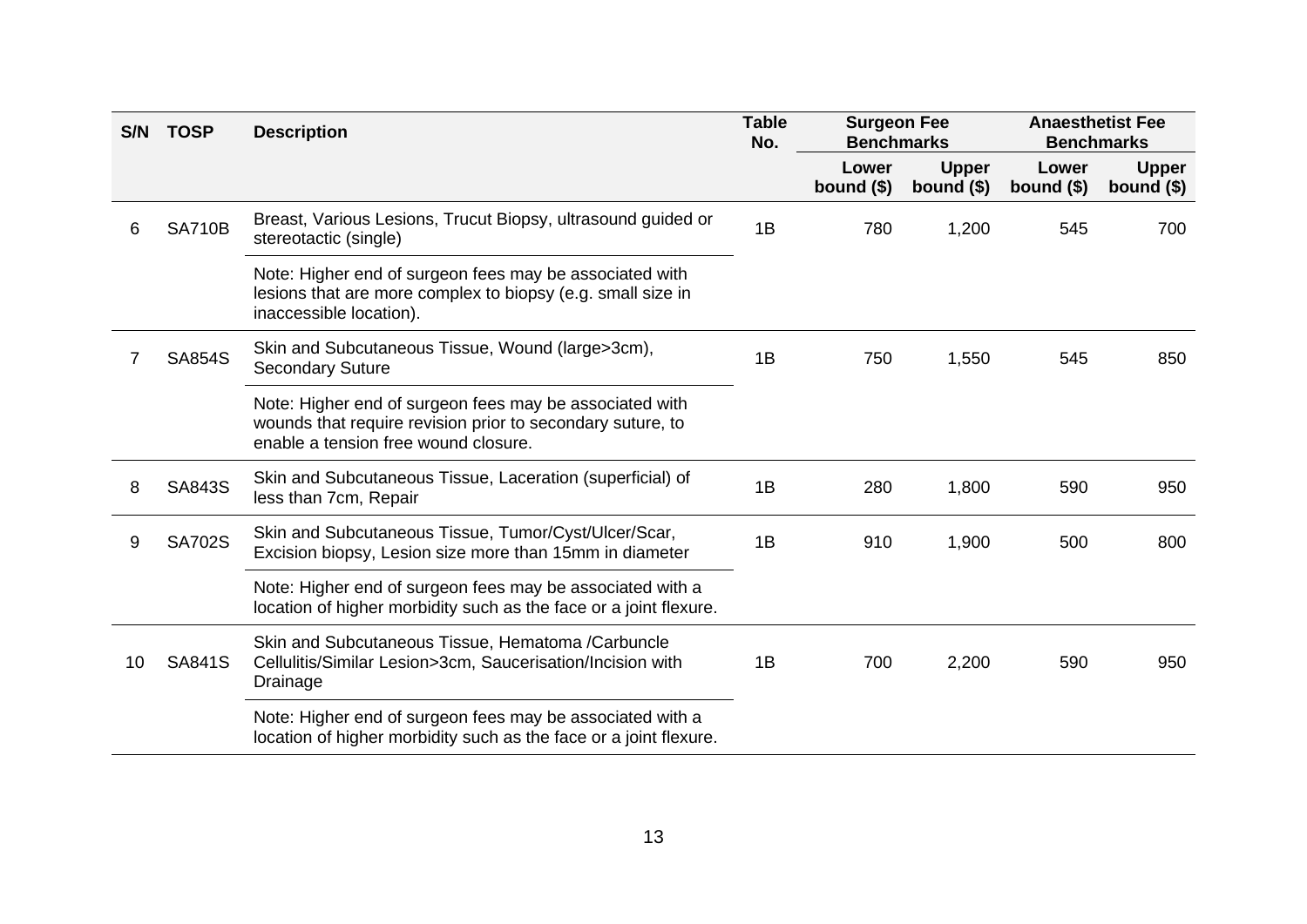| S/N | <b>TOSP</b>   | <b>Description</b>                                                                                                                                            | <b>Table</b><br>No. | <b>Surgeon Fee</b><br><b>Benchmarks</b> |                             | <b>Anaesthetist Fee</b><br><b>Benchmarks</b> |                             |
|-----|---------------|---------------------------------------------------------------------------------------------------------------------------------------------------------------|---------------------|-----------------------------------------|-----------------------------|----------------------------------------------|-----------------------------|
|     |               |                                                                                                                                                               |                     | Lower<br>bound $($)$                    | <b>Upper</b><br>bound $($)$ | Lower<br>bound $($)$                         | <b>Upper</b><br>bound $($)$ |
| 6   | <b>SA710B</b> | Breast, Various Lesions, Trucut Biopsy, ultrasound guided or<br>stereotactic (single)                                                                         | 1B                  | 780                                     | 1,200                       | 545                                          | 700                         |
|     |               | Note: Higher end of surgeon fees may be associated with<br>lesions that are more complex to biopsy (e.g. small size in<br>inaccessible location).             |                     |                                         |                             |                                              |                             |
|     | <b>SA854S</b> | Skin and Subcutaneous Tissue, Wound (large>3cm),<br><b>Secondary Suture</b>                                                                                   | 1B                  | 750                                     | 1,550                       | 545                                          | 850                         |
|     |               | Note: Higher end of surgeon fees may be associated with<br>wounds that require revision prior to secondary suture, to<br>enable a tension free wound closure. |                     |                                         |                             |                                              |                             |
| 8   | <b>SA843S</b> | Skin and Subcutaneous Tissue, Laceration (superficial) of<br>less than 7cm, Repair                                                                            | 1B                  | 280                                     | 1,800                       | 590                                          | 950                         |
| 9   | <b>SA702S</b> | Skin and Subcutaneous Tissue, Tumor/Cyst/Ulcer/Scar,<br>Excision biopsy, Lesion size more than 15mm in diameter                                               | 1B                  | 910                                     | 1,900                       | 500                                          | 800                         |
|     |               | Note: Higher end of surgeon fees may be associated with a<br>location of higher morbidity such as the face or a joint flexure.                                |                     |                                         |                             |                                              |                             |
| 10  | <b>SA841S</b> | Skin and Subcutaneous Tissue, Hematoma /Carbuncle<br>Cellulitis/Similar Lesion>3cm, Saucerisation/Incision with<br>Drainage                                   | 1B                  | 700                                     | 2,200                       | 590                                          | 950                         |
|     |               | Note: Higher end of surgeon fees may be associated with a<br>location of higher morbidity such as the face or a joint flexure.                                |                     |                                         |                             |                                              |                             |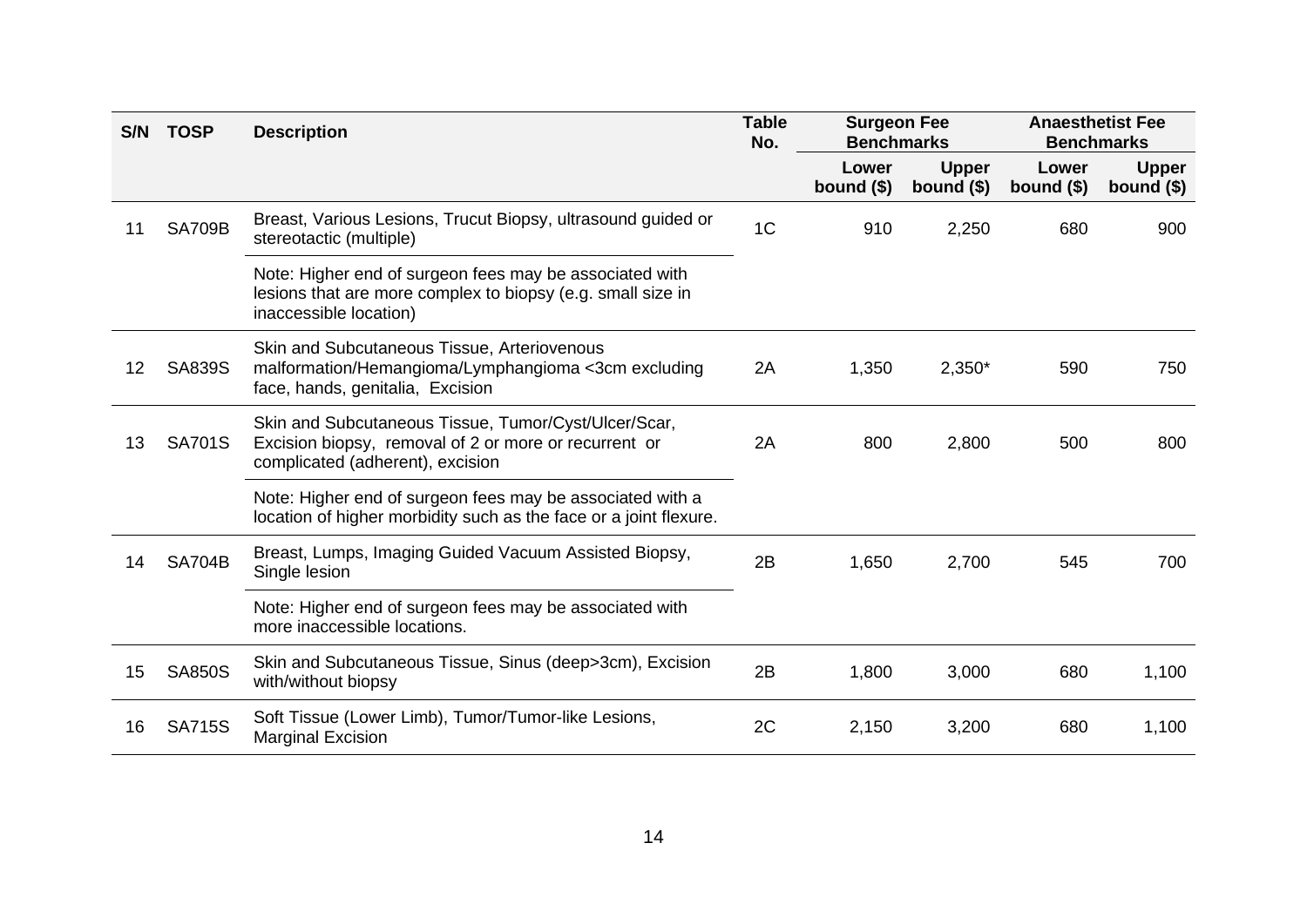| S/N | <b>TOSP</b>   | <b>Description</b>                                                                                                                                | <b>Table</b><br>No. | <b>Surgeon Fee</b><br><b>Benchmarks</b> |                             | <b>Anaesthetist Fee</b><br><b>Benchmarks</b> |                             |  |
|-----|---------------|---------------------------------------------------------------------------------------------------------------------------------------------------|---------------------|-----------------------------------------|-----------------------------|----------------------------------------------|-----------------------------|--|
|     |               |                                                                                                                                                   |                     | Lower<br>bound $($)$                    | <b>Upper</b><br>bound $($)$ | Lower<br>bound $($)$                         | <b>Upper</b><br>bound $($)$ |  |
| 11  | <b>SA709B</b> | Breast, Various Lesions, Trucut Biopsy, ultrasound guided or<br>stereotactic (multiple)                                                           | 1 <sup>C</sup>      | 910                                     | 2,250                       | 680                                          | 900                         |  |
|     |               | Note: Higher end of surgeon fees may be associated with<br>lesions that are more complex to biopsy (e.g. small size in<br>inaccessible location)  |                     |                                         |                             |                                              |                             |  |
| 12  | <b>SA839S</b> | Skin and Subcutaneous Tissue, Arteriovenous<br>malformation/Hemangioma/Lymphangioma <3cm excluding<br>face, hands, genitalia, Excision            | 2A                  | 1,350                                   | $2,350*$                    | 590                                          | 750                         |  |
| 13  | <b>SA701S</b> | Skin and Subcutaneous Tissue, Tumor/Cyst/Ulcer/Scar,<br>Excision biopsy, removal of 2 or more or recurrent or<br>complicated (adherent), excision | 2A                  | 800                                     | 2,800                       | 500                                          | 800                         |  |
|     |               | Note: Higher end of surgeon fees may be associated with a<br>location of higher morbidity such as the face or a joint flexure.                    |                     |                                         |                             |                                              |                             |  |
| 14  | <b>SA704B</b> | Breast, Lumps, Imaging Guided Vacuum Assisted Biopsy,<br>Single lesion                                                                            | 2B                  | 1,650                                   | 2,700                       | 545                                          | 700                         |  |
|     |               | Note: Higher end of surgeon fees may be associated with<br>more inaccessible locations.                                                           |                     |                                         |                             |                                              |                             |  |
| 15  | <b>SA850S</b> | Skin and Subcutaneous Tissue, Sinus (deep>3cm), Excision<br>with/without biopsy                                                                   | 2B                  | 1,800                                   | 3,000                       | 680                                          | 1,100                       |  |
| 16  | <b>SA715S</b> | Soft Tissue (Lower Limb), Tumor/Tumor-like Lesions,<br><b>Marginal Excision</b>                                                                   | 2C                  | 2,150                                   | 3,200                       | 680                                          | 1,100                       |  |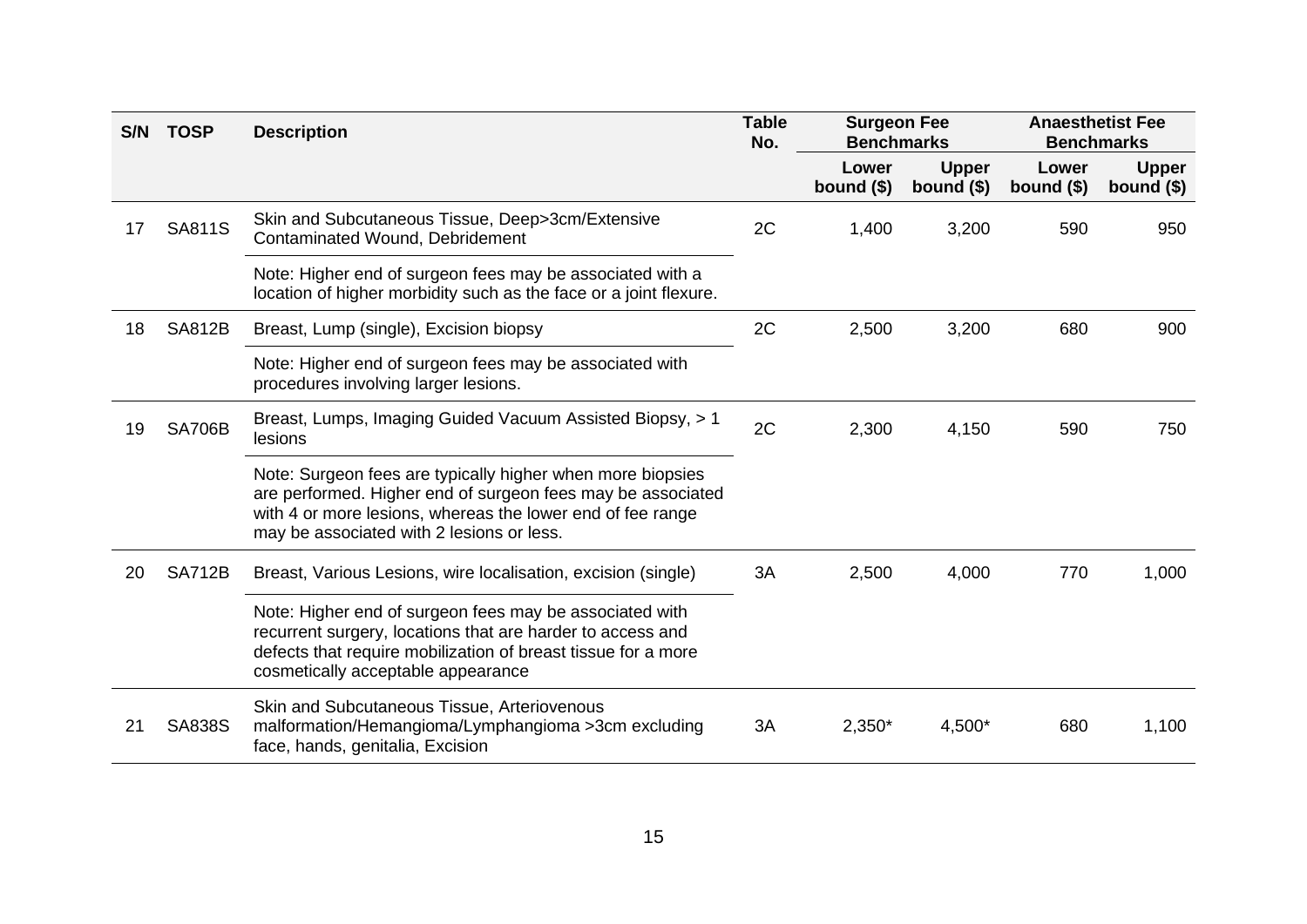| S/N | <b>TOSP</b>   | <b>Description</b>                                                                                                                                                                                                                   | <b>Table</b><br>No. | <b>Surgeon Fee</b><br><b>Benchmarks</b> |                             | <b>Anaesthetist Fee</b><br><b>Benchmarks</b> |                             |
|-----|---------------|--------------------------------------------------------------------------------------------------------------------------------------------------------------------------------------------------------------------------------------|---------------------|-----------------------------------------|-----------------------------|----------------------------------------------|-----------------------------|
|     |               |                                                                                                                                                                                                                                      |                     | Lower<br>bound $($)$                    | <b>Upper</b><br>bound $($)$ | Lower<br>bound $($)$                         | <b>Upper</b><br>bound $($)$ |
| 17  | <b>SA811S</b> | Skin and Subcutaneous Tissue, Deep>3cm/Extensive<br>Contaminated Wound, Debridement                                                                                                                                                  | 2C                  | 1,400                                   | 3,200                       | 590                                          | 950                         |
|     |               | Note: Higher end of surgeon fees may be associated with a<br>location of higher morbidity such as the face or a joint flexure.                                                                                                       |                     |                                         |                             |                                              |                             |
| 18  | <b>SA812B</b> | Breast, Lump (single), Excision biopsy                                                                                                                                                                                               | 2C                  | 2,500                                   | 3,200                       | 680                                          | 900                         |
|     |               | Note: Higher end of surgeon fees may be associated with<br>procedures involving larger lesions.                                                                                                                                      |                     |                                         |                             |                                              |                             |
| 19  | <b>SA706B</b> | Breast, Lumps, Imaging Guided Vacuum Assisted Biopsy, > 1<br>lesions                                                                                                                                                                 | 2C                  | 2,300                                   | 4,150                       | 590                                          | 750                         |
|     |               | Note: Surgeon fees are typically higher when more biopsies<br>are performed. Higher end of surgeon fees may be associated<br>with 4 or more lesions, whereas the lower end of fee range<br>may be associated with 2 lesions or less. |                     |                                         |                             |                                              |                             |
| 20  | <b>SA712B</b> | Breast, Various Lesions, wire localisation, excision (single)                                                                                                                                                                        | 3A                  | 2,500                                   | 4,000                       | 770                                          | 1,000                       |
|     |               | Note: Higher end of surgeon fees may be associated with<br>recurrent surgery, locations that are harder to access and<br>defects that require mobilization of breast tissue for a more<br>cosmetically acceptable appearance         |                     |                                         |                             |                                              |                             |
| 21  | <b>SA838S</b> | Skin and Subcutaneous Tissue, Arteriovenous<br>malformation/Hemangioma/Lymphangioma >3cm excluding<br>face, hands, genitalia, Excision                                                                                               | 3A                  | $2,350*$                                | $4,500*$                    | 680                                          | 1,100                       |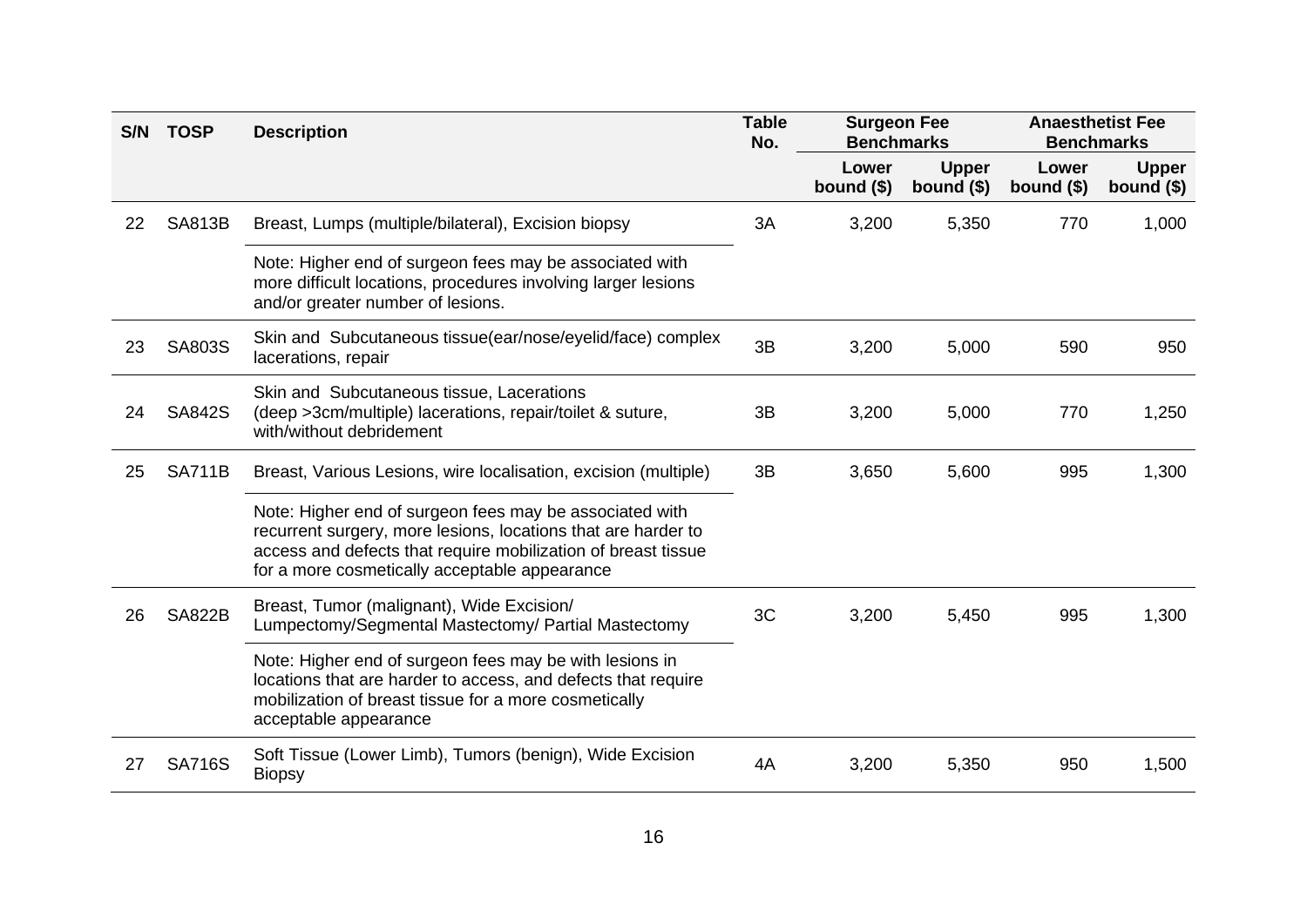| S/N | <b>TOSP</b>   | <b>Description</b>                                                                                                                                                                                                                         | <b>Table</b><br>No. | <b>Surgeon Fee</b><br><b>Benchmarks</b> |                             | <b>Anaesthetist Fee</b><br><b>Benchmarks</b> |                             |
|-----|---------------|--------------------------------------------------------------------------------------------------------------------------------------------------------------------------------------------------------------------------------------------|---------------------|-----------------------------------------|-----------------------------|----------------------------------------------|-----------------------------|
|     |               |                                                                                                                                                                                                                                            |                     | Lower<br>bound $($)$                    | <b>Upper</b><br>bound $($)$ | Lower<br>bound $($)$                         | <b>Upper</b><br>bound $($)$ |
| 22  | <b>SA813B</b> | Breast, Lumps (multiple/bilateral), Excision biopsy                                                                                                                                                                                        | 3A                  | 3,200                                   | 5,350                       | 770                                          | 1,000                       |
|     |               | Note: Higher end of surgeon fees may be associated with<br>more difficult locations, procedures involving larger lesions<br>and/or greater number of lesions.                                                                              |                     |                                         |                             |                                              |                             |
| 23  | SA803S        | Skin and Subcutaneous tissue(ear/nose/eyelid/face) complex<br>lacerations, repair                                                                                                                                                          | 3B                  | 3,200                                   | 5,000                       | 590                                          | 950                         |
| 24  | <b>SA842S</b> | Skin and Subcutaneous tissue, Lacerations<br>(deep >3cm/multiple) lacerations, repair/toilet & suture,<br>with/without debridement                                                                                                         | 3B                  | 3,200                                   | 5,000                       | 770                                          | 1,250                       |
| 25  | <b>SA711B</b> | Breast, Various Lesions, wire localisation, excision (multiple)                                                                                                                                                                            | 3B                  | 3,650                                   | 5,600                       | 995                                          | 1,300                       |
|     |               | Note: Higher end of surgeon fees may be associated with<br>recurrent surgery, more lesions, locations that are harder to<br>access and defects that require mobilization of breast tissue<br>for a more cosmetically acceptable appearance |                     |                                         |                             |                                              |                             |
| 26  | <b>SA822B</b> | Breast, Tumor (malignant), Wide Excision/<br>Lumpectomy/Segmental Mastectomy/ Partial Mastectomy                                                                                                                                           | 3C                  | 3,200                                   | 5,450                       | 995                                          | 1,300                       |
|     |               | Note: Higher end of surgeon fees may be with lesions in<br>locations that are harder to access, and defects that require<br>mobilization of breast tissue for a more cosmetically<br>acceptable appearance                                 |                     |                                         |                             |                                              |                             |
| 27  | <b>SA716S</b> | Soft Tissue (Lower Limb), Tumors (benign), Wide Excision<br><b>Biopsy</b>                                                                                                                                                                  | 4A                  | 3,200                                   | 5,350                       | 950                                          | 1,500                       |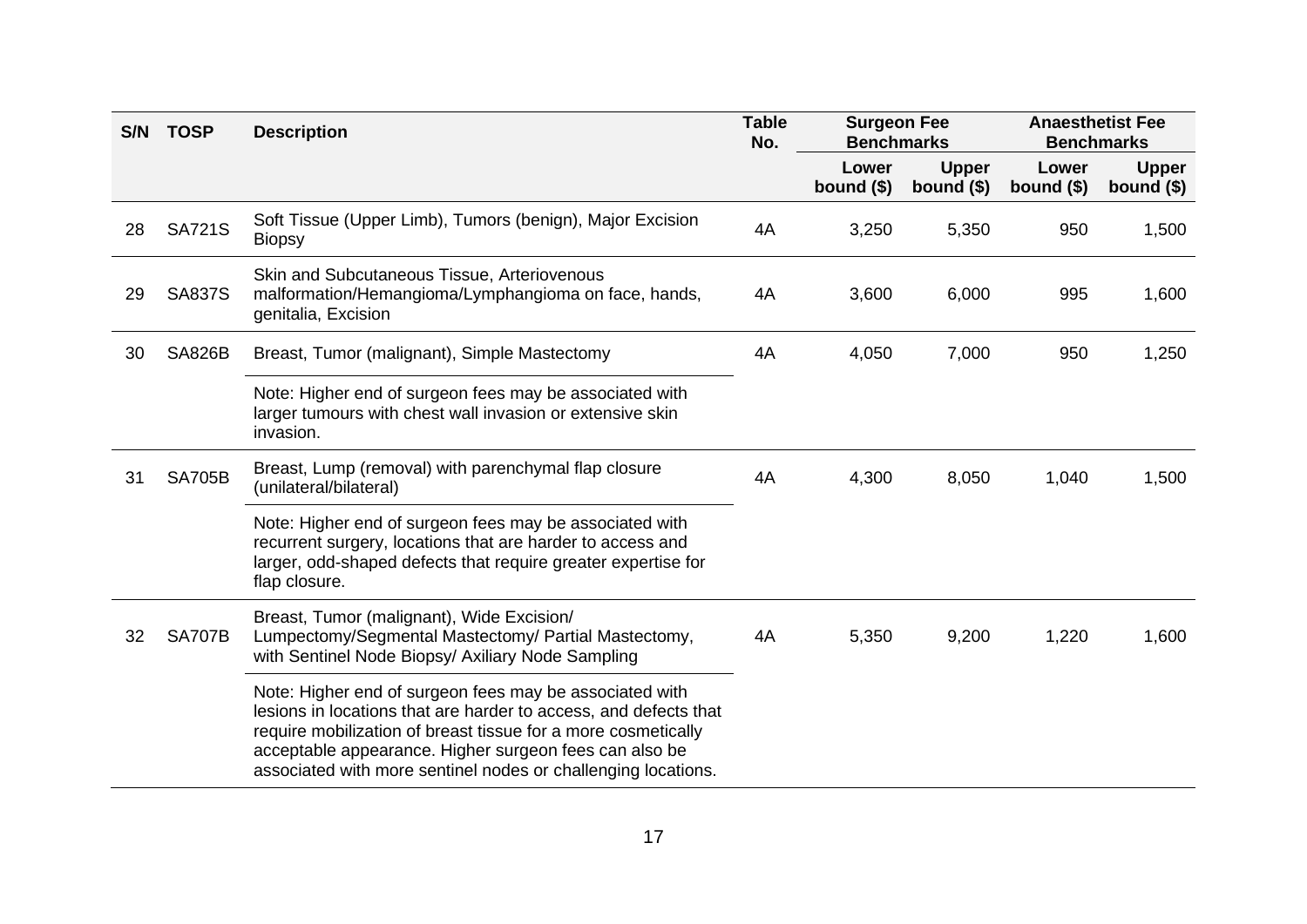| S/N | <b>TOSP</b>   | <b>Description</b>                                                                                                                                                                                                                                                                                                      | <b>Table</b><br>No. | <b>Surgeon Fee</b><br><b>Benchmarks</b> |                             | <b>Anaesthetist Fee</b><br><b>Benchmarks</b> |                             |
|-----|---------------|-------------------------------------------------------------------------------------------------------------------------------------------------------------------------------------------------------------------------------------------------------------------------------------------------------------------------|---------------------|-----------------------------------------|-----------------------------|----------------------------------------------|-----------------------------|
|     |               |                                                                                                                                                                                                                                                                                                                         |                     | Lower<br>bound $($)$                    | <b>Upper</b><br>bound $($)$ | Lower<br>bound $($)$                         | <b>Upper</b><br>bound $($)$ |
| 28  | <b>SA721S</b> | Soft Tissue (Upper Limb), Tumors (benign), Major Excision<br><b>Biopsy</b>                                                                                                                                                                                                                                              | 4A                  | 3,250                                   | 5,350                       | 950                                          | 1,500                       |
| 29  | <b>SA837S</b> | Skin and Subcutaneous Tissue, Arteriovenous<br>malformation/Hemangioma/Lymphangioma on face, hands,<br>genitalia, Excision                                                                                                                                                                                              | 4A                  | 3,600                                   | 6,000                       | 995                                          | 1,600                       |
| 30  | <b>SA826B</b> | Breast, Tumor (malignant), Simple Mastectomy                                                                                                                                                                                                                                                                            | 4A                  | 4,050                                   | 7,000                       | 950                                          | 1,250                       |
|     |               | Note: Higher end of surgeon fees may be associated with<br>larger tumours with chest wall invasion or extensive skin<br>invasion.                                                                                                                                                                                       |                     |                                         |                             |                                              |                             |
| 31  | <b>SA705B</b> | Breast, Lump (removal) with parenchymal flap closure<br>(unilateral/bilateral)                                                                                                                                                                                                                                          | 4A                  | 4,300                                   | 8,050                       | 1,040                                        | 1,500                       |
|     |               | Note: Higher end of surgeon fees may be associated with<br>recurrent surgery, locations that are harder to access and<br>larger, odd-shaped defects that require greater expertise for<br>flap closure.                                                                                                                 |                     |                                         |                             |                                              |                             |
| 32  | <b>SA707B</b> | Breast, Tumor (malignant), Wide Excision/<br>Lumpectomy/Segmental Mastectomy/ Partial Mastectomy,<br>with Sentinel Node Biopsy/ Axiliary Node Sampling                                                                                                                                                                  | 4A                  | 5,350                                   | 9,200                       | 1,220                                        | 1,600                       |
|     |               | Note: Higher end of surgeon fees may be associated with<br>lesions in locations that are harder to access, and defects that<br>require mobilization of breast tissue for a more cosmetically<br>acceptable appearance. Higher surgeon fees can also be<br>associated with more sentinel nodes or challenging locations. |                     |                                         |                             |                                              |                             |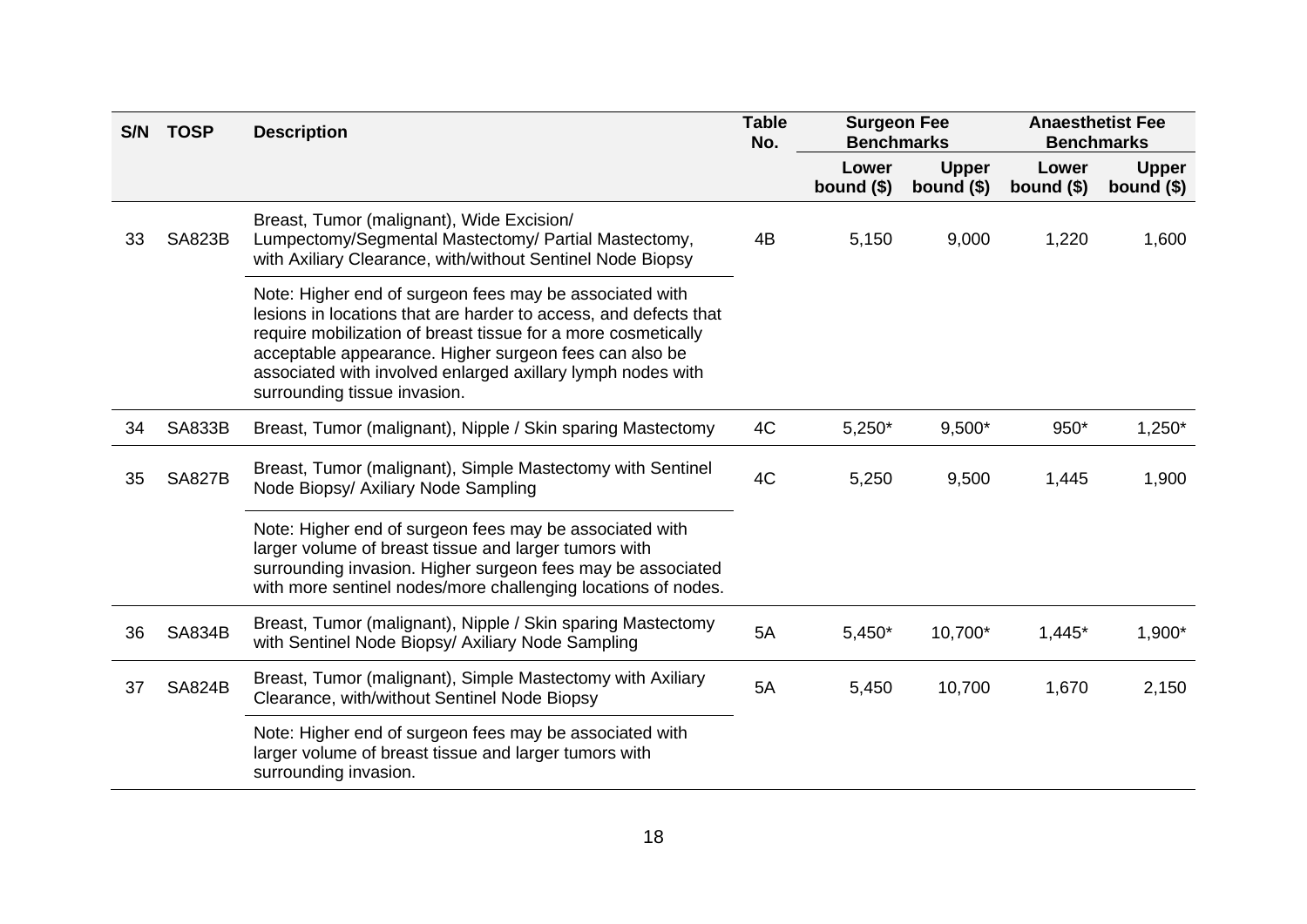| S/N | <b>TOSP</b>   | <b>Description</b>                                                                                                                                                                                                                                                                                                                                    | <b>Table</b><br>No. | <b>Surgeon Fee</b><br><b>Benchmarks</b> |                             | <b>Anaesthetist Fee</b><br><b>Benchmarks</b> |                             |
|-----|---------------|-------------------------------------------------------------------------------------------------------------------------------------------------------------------------------------------------------------------------------------------------------------------------------------------------------------------------------------------------------|---------------------|-----------------------------------------|-----------------------------|----------------------------------------------|-----------------------------|
|     |               |                                                                                                                                                                                                                                                                                                                                                       |                     | Lower<br>bound $($)$                    | <b>Upper</b><br>bound $($)$ | Lower<br>bound $($)$                         | <b>Upper</b><br>bound $($)$ |
| 33  | <b>SA823B</b> | Breast, Tumor (malignant), Wide Excision/<br>Lumpectomy/Segmental Mastectomy/ Partial Mastectomy,<br>with Axiliary Clearance, with/without Sentinel Node Biopsy                                                                                                                                                                                       | 4B                  | 5,150                                   | 9,000                       | 1,220                                        | 1,600                       |
|     |               | Note: Higher end of surgeon fees may be associated with<br>lesions in locations that are harder to access, and defects that<br>require mobilization of breast tissue for a more cosmetically<br>acceptable appearance. Higher surgeon fees can also be<br>associated with involved enlarged axillary lymph nodes with<br>surrounding tissue invasion. |                     |                                         |                             |                                              |                             |
| 34  | <b>SA833B</b> | Breast, Tumor (malignant), Nipple / Skin sparing Mastectomy                                                                                                                                                                                                                                                                                           | 4C                  | $5,250*$                                | $9,500*$                    | 950*                                         | $1,250*$                    |
| 35  | <b>SA827B</b> | Breast, Tumor (malignant), Simple Mastectomy with Sentinel<br>Node Biopsy/ Axiliary Node Sampling                                                                                                                                                                                                                                                     | 4C                  | 5,250                                   | 9,500                       | 1,445                                        | 1,900                       |
|     |               | Note: Higher end of surgeon fees may be associated with<br>larger volume of breast tissue and larger tumors with<br>surrounding invasion. Higher surgeon fees may be associated<br>with more sentinel nodes/more challenging locations of nodes.                                                                                                      |                     |                                         |                             |                                              |                             |
| 36  | <b>SA834B</b> | Breast, Tumor (malignant), Nipple / Skin sparing Mastectomy<br>with Sentinel Node Biopsy/ Axiliary Node Sampling                                                                                                                                                                                                                                      | 5A                  | $5,450*$                                | 10,700*                     | $1,445*$                                     | 1,900*                      |
| 37  | <b>SA824B</b> | Breast, Tumor (malignant), Simple Mastectomy with Axiliary<br>Clearance, with/without Sentinel Node Biopsy                                                                                                                                                                                                                                            | 5A                  | 5,450                                   | 10,700                      | 1,670                                        | 2,150                       |
|     |               | Note: Higher end of surgeon fees may be associated with<br>larger volume of breast tissue and larger tumors with<br>surrounding invasion.                                                                                                                                                                                                             |                     |                                         |                             |                                              |                             |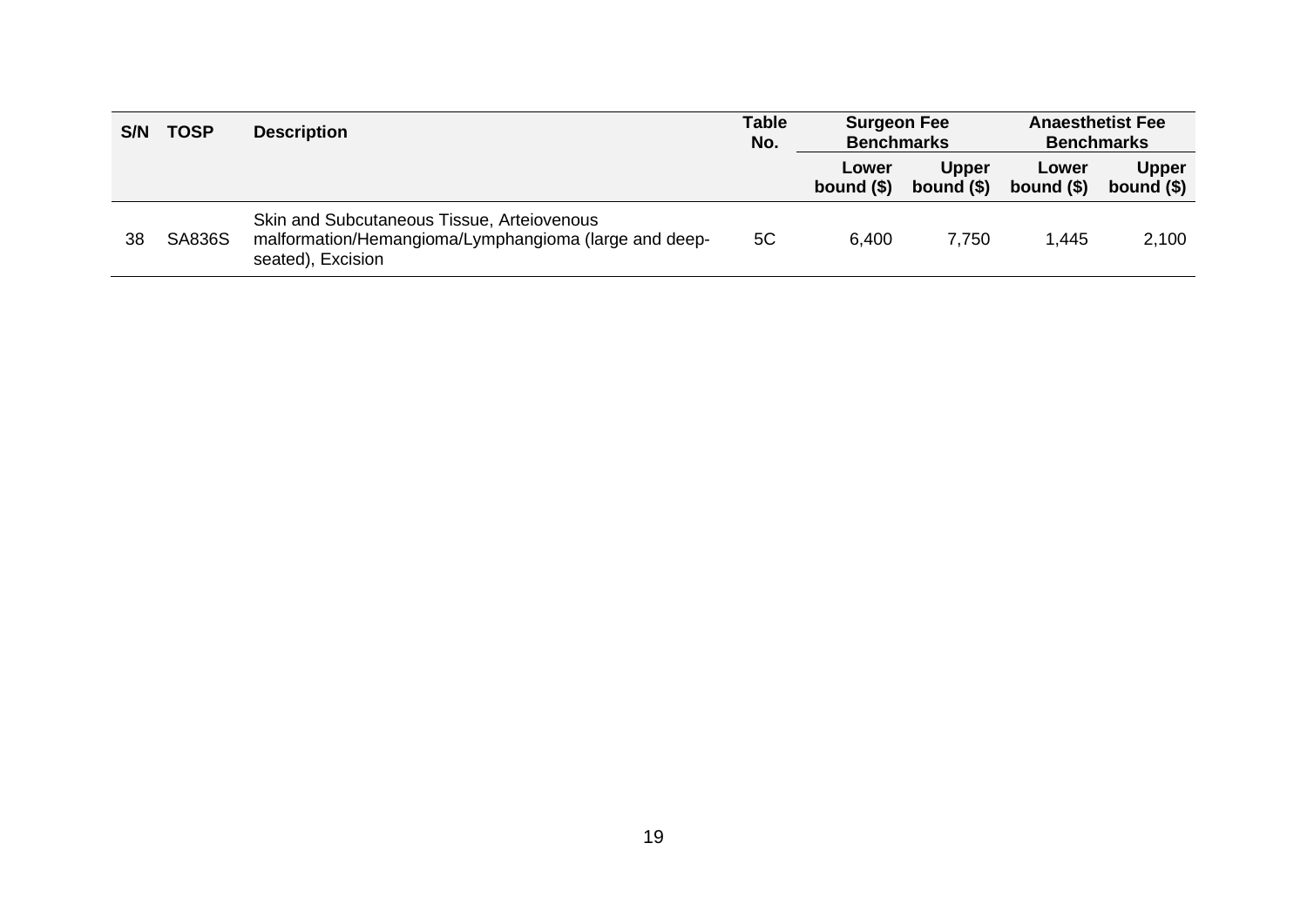| S/N | <b>TOSP</b>   | <b>Description</b>                                                                                                       | <b>Table</b><br>No. | <b>Surgeon Fee</b><br><b>Benchmarks</b> |                             | <b>Anaesthetist Fee</b><br><b>Benchmarks</b> |                             |
|-----|---------------|--------------------------------------------------------------------------------------------------------------------------|---------------------|-----------------------------------------|-----------------------------|----------------------------------------------|-----------------------------|
|     |               |                                                                                                                          |                     | Lower<br>bound $(§)$                    | <b>Upper</b><br>bound $(§)$ | Lower<br>bound $(§)$                         | <b>Upper</b><br>bound $($)$ |
| 38  | <b>SA836S</b> | Skin and Subcutaneous Tissue, Arteiovenous<br>malformation/Hemangioma/Lymphangioma (large and deep-<br>seated), Excision | 5C                  | 6.400                                   | 7,750                       | 1,445                                        | 2,100                       |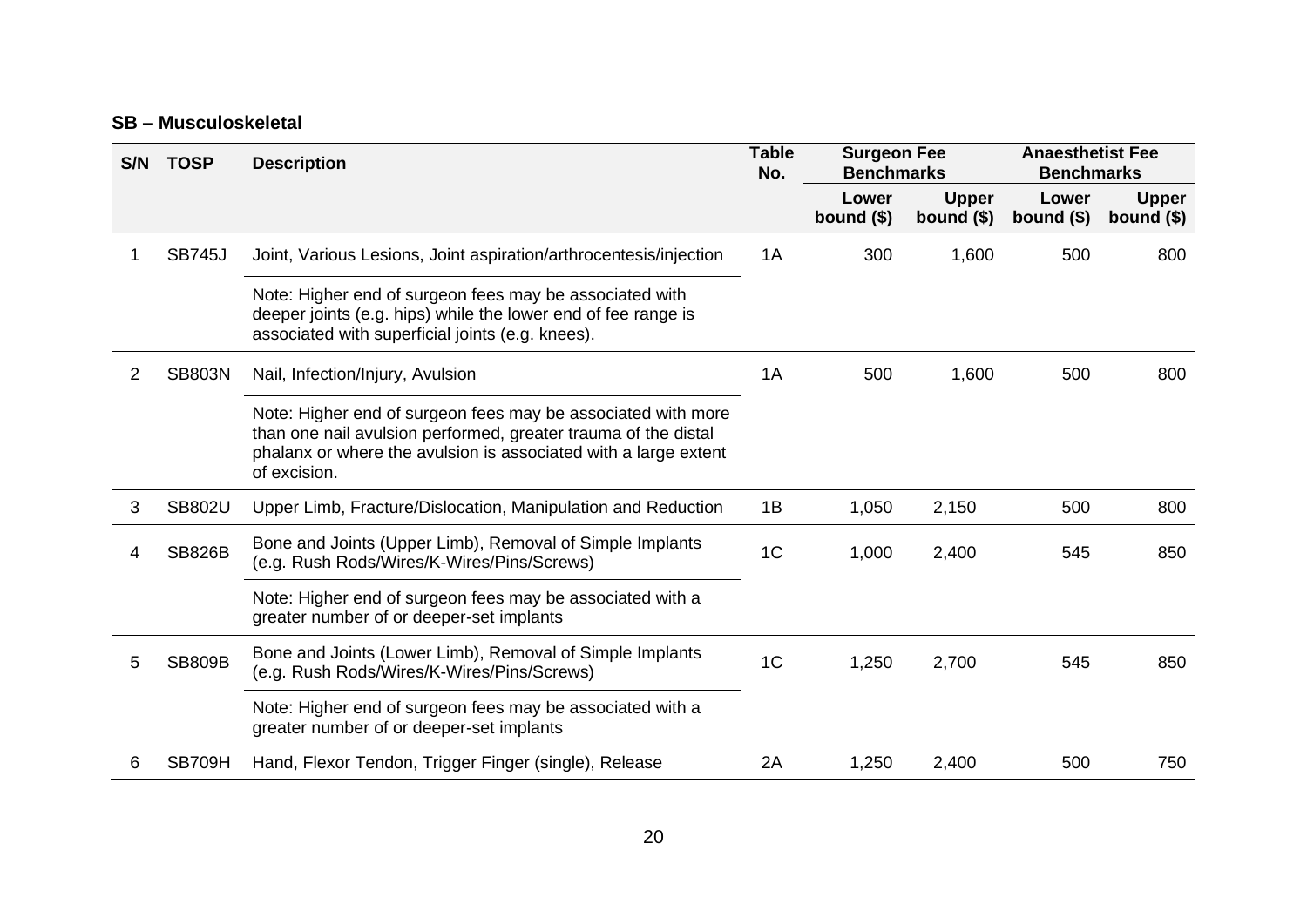#### **SB – Musculoskeletal**

| S/N | <b>TOSP</b>   | <b>Description</b>                                                                                                                                                                                                | <b>Table</b><br>No. | <b>Surgeon Fee</b><br><b>Benchmarks</b> |                             | <b>Anaesthetist Fee</b><br><b>Benchmarks</b> |                             |
|-----|---------------|-------------------------------------------------------------------------------------------------------------------------------------------------------------------------------------------------------------------|---------------------|-----------------------------------------|-----------------------------|----------------------------------------------|-----------------------------|
|     |               |                                                                                                                                                                                                                   |                     | Lower<br>bound $($)$                    | <b>Upper</b><br>bound $($)$ | Lower<br>bound $($)$                         | <b>Upper</b><br>bound $($)$ |
|     | <b>SB745J</b> | Joint, Various Lesions, Joint aspiration/arthrocentesis/injection                                                                                                                                                 | 1A                  | 300                                     | 1,600                       | 500                                          | 800                         |
|     |               | Note: Higher end of surgeon fees may be associated with<br>deeper joints (e.g. hips) while the lower end of fee range is<br>associated with superficial joints (e.g. knees).                                      |                     |                                         |                             |                                              |                             |
| 2   | <b>SB803N</b> | Nail, Infection/Injury, Avulsion                                                                                                                                                                                  | 1A                  | 500                                     | 1,600                       | 500                                          | 800                         |
|     |               | Note: Higher end of surgeon fees may be associated with more<br>than one nail avulsion performed, greater trauma of the distal<br>phalanx or where the avulsion is associated with a large extent<br>of excision. |                     |                                         |                             |                                              |                             |
| 3   | <b>SB802U</b> | Upper Limb, Fracture/Dislocation, Manipulation and Reduction                                                                                                                                                      | 1B                  | 1,050                                   | 2,150                       | 500                                          | 800                         |
| 4   | <b>SB826B</b> | Bone and Joints (Upper Limb), Removal of Simple Implants<br>(e.g. Rush Rods/Wires/K-Wires/Pins/Screws)                                                                                                            | 1 <sub>C</sub>      | 1,000                                   | 2,400                       | 545                                          | 850                         |
|     |               | Note: Higher end of surgeon fees may be associated with a<br>greater number of or deeper-set implants                                                                                                             |                     |                                         |                             |                                              |                             |
| 5   | <b>SB809B</b> | Bone and Joints (Lower Limb), Removal of Simple Implants<br>(e.g. Rush Rods/Wires/K-Wires/Pins/Screws)                                                                                                            | 1 <sub>C</sub>      | 1,250                                   | 2,700                       | 545                                          | 850                         |
|     |               | Note: Higher end of surgeon fees may be associated with a<br>greater number of or deeper-set implants                                                                                                             |                     |                                         |                             |                                              |                             |
| 6   | SB709H        | Hand, Flexor Tendon, Trigger Finger (single), Release                                                                                                                                                             | 2A                  | 1,250                                   | 2,400                       | 500                                          | 750                         |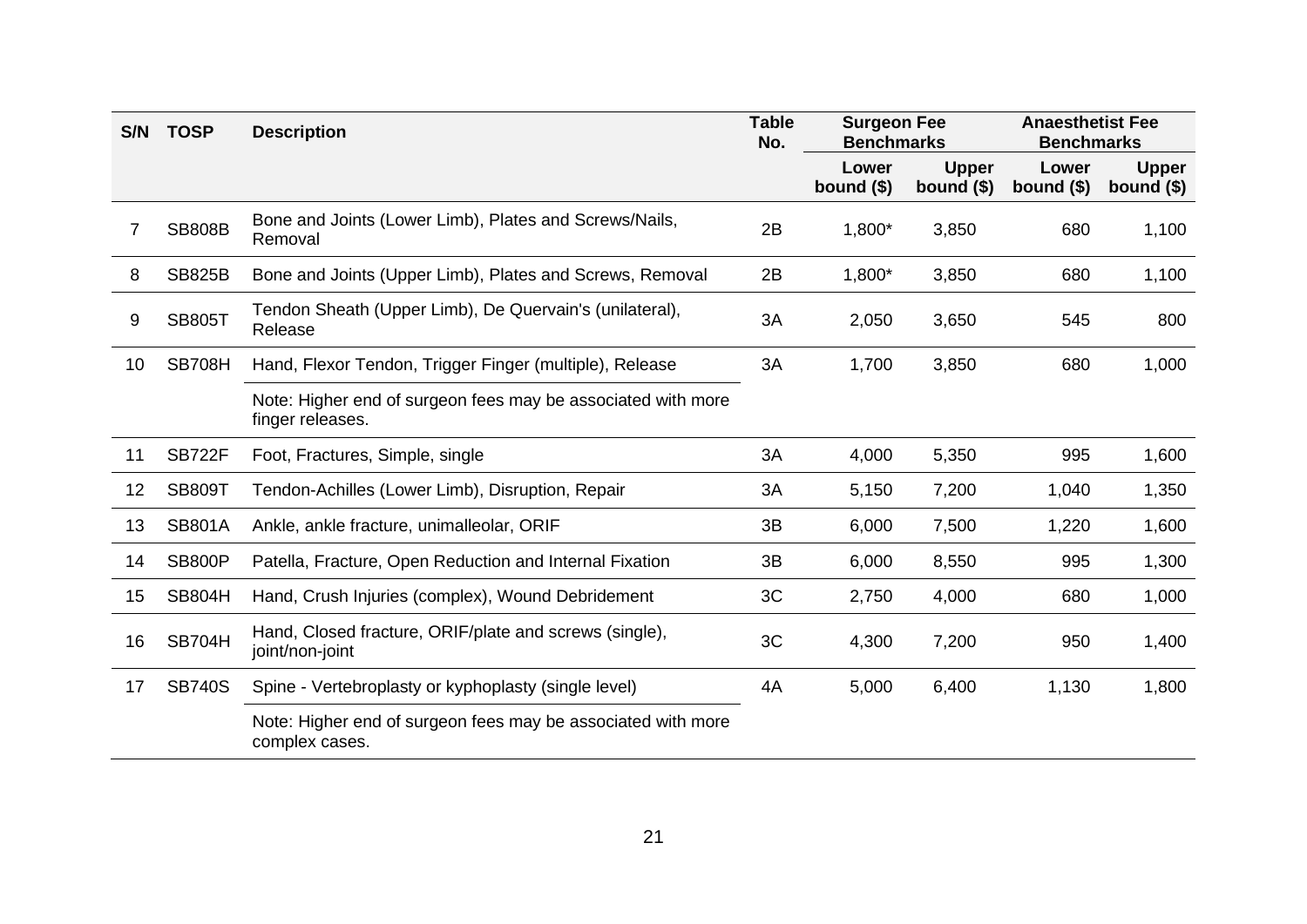| S/N | <b>TOSP</b>   | <b>Description</b>                                                               | <b>Table</b><br>No. | <b>Surgeon Fee</b><br><b>Benchmarks</b> |                             | <b>Anaesthetist Fee</b><br><b>Benchmarks</b> |                             |
|-----|---------------|----------------------------------------------------------------------------------|---------------------|-----------------------------------------|-----------------------------|----------------------------------------------|-----------------------------|
|     |               |                                                                                  |                     | Lower<br>bound $($)$                    | <b>Upper</b><br>bound $($)$ | Lower<br>bound $($)$                         | <b>Upper</b><br>bound $($)$ |
| 7   | <b>SB808B</b> | Bone and Joints (Lower Limb), Plates and Screws/Nails,<br>Removal                | 2B                  | 1,800*                                  | 3,850                       | 680                                          | 1,100                       |
| 8   | <b>SB825B</b> | Bone and Joints (Upper Limb), Plates and Screws, Removal                         | 2B                  | 1,800*                                  | 3,850                       | 680                                          | 1,100                       |
| 9   | <b>SB805T</b> | Tendon Sheath (Upper Limb), De Quervain's (unilateral),<br>Release               | 3A                  | 2,050                                   | 3,650                       | 545                                          | 800                         |
| 10  | <b>SB708H</b> | Hand, Flexor Tendon, Trigger Finger (multiple), Release                          | 3A                  | 1,700                                   | 3,850                       | 680                                          | 1,000                       |
|     |               | Note: Higher end of surgeon fees may be associated with more<br>finger releases. |                     |                                         |                             |                                              |                             |
| 11  | <b>SB722F</b> | Foot, Fractures, Simple, single                                                  | 3A                  | 4,000                                   | 5,350                       | 995                                          | 1,600                       |
| 12  | <b>SB809T</b> | Tendon-Achilles (Lower Limb), Disruption, Repair                                 | 3A                  | 5,150                                   | 7,200                       | 1,040                                        | 1,350                       |
| 13  | <b>SB801A</b> | Ankle, ankle fracture, unimalleolar, ORIF                                        | 3B                  | 6,000                                   | 7,500                       | 1,220                                        | 1,600                       |
| 14  | <b>SB800P</b> | Patella, Fracture, Open Reduction and Internal Fixation                          | 3B                  | 6,000                                   | 8,550                       | 995                                          | 1,300                       |
| 15  | <b>SB804H</b> | Hand, Crush Injuries (complex), Wound Debridement                                | 3C                  | 2,750                                   | 4,000                       | 680                                          | 1,000                       |
| 16  | <b>SB704H</b> | Hand, Closed fracture, ORIF/plate and screws (single),<br>joint/non-joint        | 3C                  | 4,300                                   | 7,200                       | 950                                          | 1,400                       |
| 17  | <b>SB740S</b> | Spine - Vertebroplasty or kyphoplasty (single level)                             | 4A                  | 5,000                                   | 6,400                       | 1,130                                        | 1,800                       |
|     |               | Note: Higher end of surgeon fees may be associated with more<br>complex cases.   |                     |                                         |                             |                                              |                             |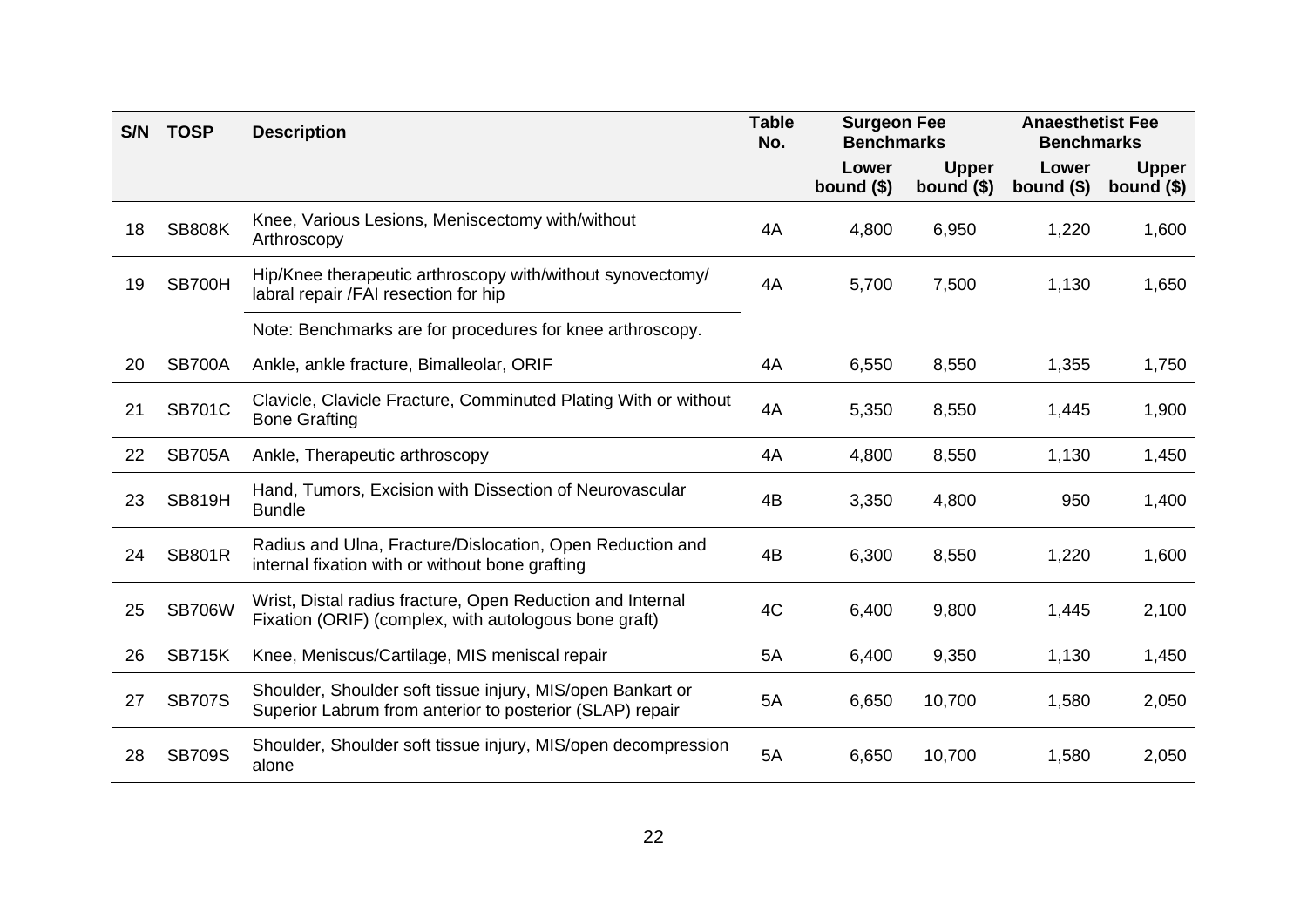| S/N | <b>TOSP</b>   | <b>Description</b>                                                                                                     | <b>Table</b><br>No. | <b>Surgeon Fee</b><br><b>Benchmarks</b> |                             | <b>Anaesthetist Fee</b><br><b>Benchmarks</b> |                             |
|-----|---------------|------------------------------------------------------------------------------------------------------------------------|---------------------|-----------------------------------------|-----------------------------|----------------------------------------------|-----------------------------|
|     |               |                                                                                                                        |                     | Lower<br>bound $($)$                    | <b>Upper</b><br>bound $($)$ | Lower<br>bound $($)$                         | <b>Upper</b><br>bound $($)$ |
| 18  | <b>SB808K</b> | Knee, Various Lesions, Meniscectomy with/without<br>Arthroscopy                                                        | 4A                  | 4,800                                   | 6,950                       | 1,220                                        | 1,600                       |
| 19  | SB700H        | Hip/Knee therapeutic arthroscopy with/without synovectomy/<br>labral repair /FAI resection for hip                     | 4A                  | 5,700                                   | 7,500                       | 1,130                                        | 1,650                       |
|     |               | Note: Benchmarks are for procedures for knee arthroscopy.                                                              |                     |                                         |                             |                                              |                             |
| 20  | <b>SB700A</b> | Ankle, ankle fracture, Bimalleolar, ORIF                                                                               | 4A                  | 6,550                                   | 8,550                       | 1,355                                        | 1,750                       |
| 21  | <b>SB701C</b> | Clavicle, Clavicle Fracture, Comminuted Plating With or without<br><b>Bone Grafting</b>                                | 4A                  | 5,350                                   | 8,550                       | 1,445                                        | 1,900                       |
| 22  | <b>SB705A</b> | Ankle, Therapeutic arthroscopy                                                                                         | 4A                  | 4,800                                   | 8,550                       | 1,130                                        | 1,450                       |
| 23  | <b>SB819H</b> | Hand, Tumors, Excision with Dissection of Neurovascular<br><b>Bundle</b>                                               | 4B                  | 3,350                                   | 4,800                       | 950                                          | 1,400                       |
| 24  | <b>SB801R</b> | Radius and Ulna, Fracture/Dislocation, Open Reduction and<br>internal fixation with or without bone grafting           | 4B                  | 6,300                                   | 8,550                       | 1,220                                        | 1,600                       |
| 25  | <b>SB706W</b> | Wrist, Distal radius fracture, Open Reduction and Internal<br>Fixation (ORIF) (complex, with autologous bone graft)    | 4C                  | 6,400                                   | 9,800                       | 1,445                                        | 2,100                       |
| 26  | <b>SB715K</b> | Knee, Meniscus/Cartilage, MIS meniscal repair                                                                          | 5A                  | 6,400                                   | 9,350                       | 1,130                                        | 1,450                       |
| 27  | <b>SB707S</b> | Shoulder, Shoulder soft tissue injury, MIS/open Bankart or<br>Superior Labrum from anterior to posterior (SLAP) repair | 5A                  | 6,650                                   | 10,700                      | 1,580                                        | 2,050                       |
| 28  | <b>SB709S</b> | Shoulder, Shoulder soft tissue injury, MIS/open decompression<br>alone                                                 | 5A                  | 6,650                                   | 10,700                      | 1,580                                        | 2,050                       |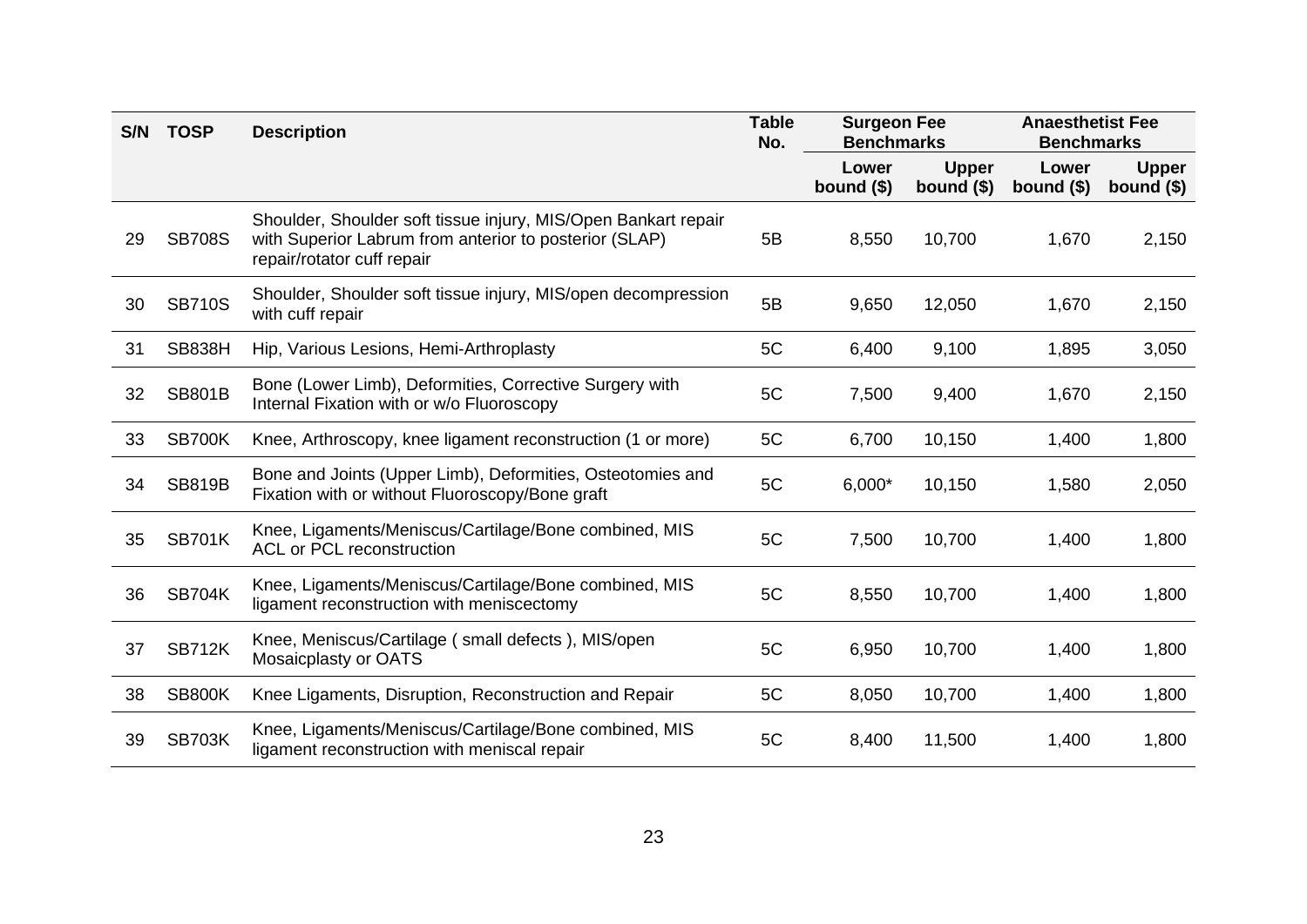| S/N | <b>TOSP</b>   | <b>Description</b>                                                                                                                                     | <b>Table</b><br>No. | <b>Surgeon Fee</b><br><b>Benchmarks</b> |                             | <b>Anaesthetist Fee</b><br><b>Benchmarks</b> |                             |
|-----|---------------|--------------------------------------------------------------------------------------------------------------------------------------------------------|---------------------|-----------------------------------------|-----------------------------|----------------------------------------------|-----------------------------|
|     |               |                                                                                                                                                        |                     | Lower<br>bound $($)$                    | <b>Upper</b><br>bound $($)$ | Lower<br>bound $($)$                         | <b>Upper</b><br>bound $($)$ |
| 29  | <b>SB708S</b> | Shoulder, Shoulder soft tissue injury, MIS/Open Bankart repair<br>with Superior Labrum from anterior to posterior (SLAP)<br>repair/rotator cuff repair | 5B                  | 8,550                                   | 10,700                      | 1,670                                        | 2,150                       |
| 30  | <b>SB710S</b> | Shoulder, Shoulder soft tissue injury, MIS/open decompression<br>with cuff repair                                                                      | 5B                  | 9,650                                   | 12,050                      | 1,670                                        | 2,150                       |
| 31  | <b>SB838H</b> | Hip, Various Lesions, Hemi-Arthroplasty                                                                                                                | 5C                  | 6,400                                   | 9,100                       | 1,895                                        | 3,050                       |
| 32  | <b>SB801B</b> | Bone (Lower Limb), Deformities, Corrective Surgery with<br>Internal Fixation with or w/o Fluoroscopy                                                   | 5C                  | 7,500                                   | 9,400                       | 1,670                                        | 2,150                       |
| 33  | SB700K        | Knee, Arthroscopy, knee ligament reconstruction (1 or more)                                                                                            | 5C                  | 6,700                                   | 10,150                      | 1,400                                        | 1,800                       |
| 34  | <b>SB819B</b> | Bone and Joints (Upper Limb), Deformities, Osteotomies and<br>Fixation with or without Fluoroscopy/Bone graft                                          | 5C                  | $6,000*$                                | 10,150                      | 1,580                                        | 2,050                       |
| 35  | <b>SB701K</b> | Knee, Ligaments/Meniscus/Cartilage/Bone combined, MIS<br><b>ACL or PCL reconstruction</b>                                                              | 5C                  | 7,500                                   | 10,700                      | 1,400                                        | 1,800                       |
| 36  | <b>SB704K</b> | Knee, Ligaments/Meniscus/Cartilage/Bone combined, MIS<br>ligament reconstruction with meniscectomy                                                     | 5C                  | 8,550                                   | 10,700                      | 1,400                                        | 1,800                       |
| 37  | <b>SB712K</b> | Knee, Meniscus/Cartilage (small defects), MIS/open<br>Mosaicplasty or OATS                                                                             | 5C                  | 6,950                                   | 10,700                      | 1,400                                        | 1,800                       |
| 38  | <b>SB800K</b> | Knee Ligaments, Disruption, Reconstruction and Repair                                                                                                  | 5C                  | 8,050                                   | 10,700                      | 1,400                                        | 1,800                       |
| 39  | <b>SB703K</b> | Knee, Ligaments/Meniscus/Cartilage/Bone combined, MIS<br>ligament reconstruction with meniscal repair                                                  | 5C                  | 8,400                                   | 11,500                      | 1,400                                        | 1,800                       |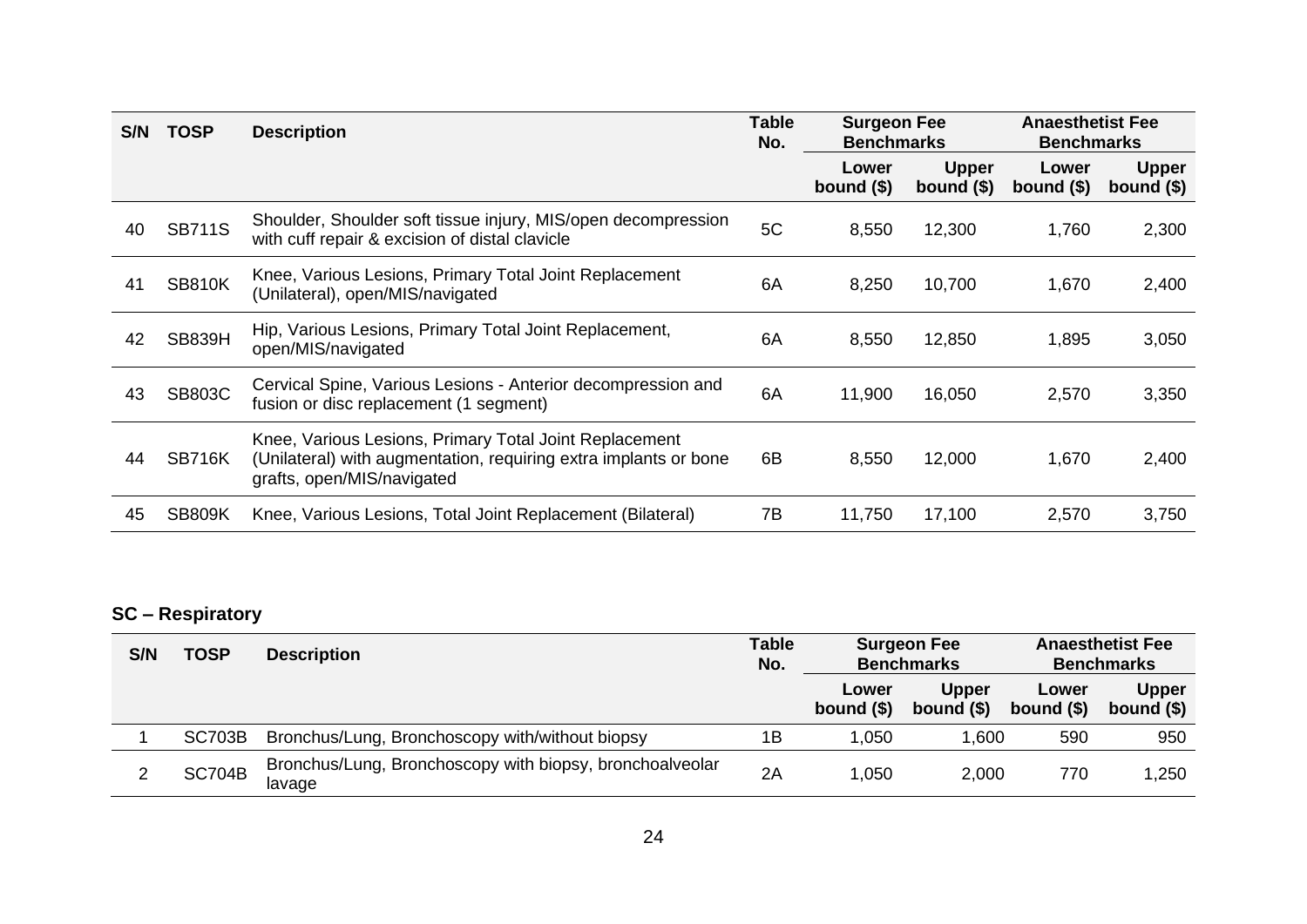| S/N | <b>TOSP</b>   | <b>Description</b>                                                                                                                                       | <b>Table</b><br>No. | <b>Surgeon Fee</b><br><b>Benchmarks</b> |                             | <b>Anaesthetist Fee</b><br><b>Benchmarks</b> |                             |
|-----|---------------|----------------------------------------------------------------------------------------------------------------------------------------------------------|---------------------|-----------------------------------------|-----------------------------|----------------------------------------------|-----------------------------|
|     |               |                                                                                                                                                          |                     | Lower<br>bound $($)$                    | <b>Upper</b><br>bound $($)$ | Lower<br>bound $($)$                         | <b>Upper</b><br>bound $($)$ |
| 40  | <b>SB711S</b> | Shoulder, Shoulder soft tissue injury, MIS/open decompression<br>with cuff repair & excision of distal clavicle                                          | 5C                  | 8,550                                   | 12,300                      | 1,760                                        | 2,300                       |
| 41  | <b>SB810K</b> | Knee, Various Lesions, Primary Total Joint Replacement<br>(Unilateral), open/MIS/navigated                                                               | 6A                  | 8,250                                   | 10,700                      | 1,670                                        | 2,400                       |
| 42  | <b>SB839H</b> | Hip, Various Lesions, Primary Total Joint Replacement,<br>open/MIS/navigated                                                                             | 6A                  | 8,550                                   | 12,850                      | 1,895                                        | 3,050                       |
| 43  | <b>SB803C</b> | Cervical Spine, Various Lesions - Anterior decompression and<br>fusion or disc replacement (1 segment)                                                   | 6A                  | 11,900                                  | 16,050                      | 2,570                                        | 3,350                       |
| 44  | <b>SB716K</b> | Knee, Various Lesions, Primary Total Joint Replacement<br>(Unilateral) with augmentation, requiring extra implants or bone<br>grafts, open/MIS/navigated | 6B                  | 8,550                                   | 12,000                      | 1,670                                        | 2,400                       |
| 45  | <b>SB809K</b> | Knee, Various Lesions, Total Joint Replacement (Bilateral)                                                                                               | 7B                  | 11,750                                  | 17,100                      | 2,570                                        | 3,750                       |

### **SC – Respiratory**

| S/N | <b>TOSP</b>   | <b>Description</b>                                                 | <b>Table</b><br>No. | <b>Surgeon Fee</b><br><b>Benchmarks</b> |                             | <b>Anaesthetist Fee</b><br><b>Benchmarks</b> |                             |
|-----|---------------|--------------------------------------------------------------------|---------------------|-----------------------------------------|-----------------------------|----------------------------------------------|-----------------------------|
|     |               |                                                                    |                     | Lower<br>bound $($)$                    | <b>Upper</b><br>bound $(§)$ | Lower<br>bound $($)$                         | <b>Upper</b><br>bound $($)$ |
|     | <b>SC703B</b> | Bronchus/Lung, Bronchoscopy with/without biopsy                    | 1B                  | 1,050                                   | .600                        | 590                                          | 950                         |
|     | <b>SC704B</b> | Bronchus/Lung, Bronchoscopy with biopsy, bronchoalveolar<br>lavage | 2A                  | 1,050                                   | 2,000                       | 770                                          | 1,250                       |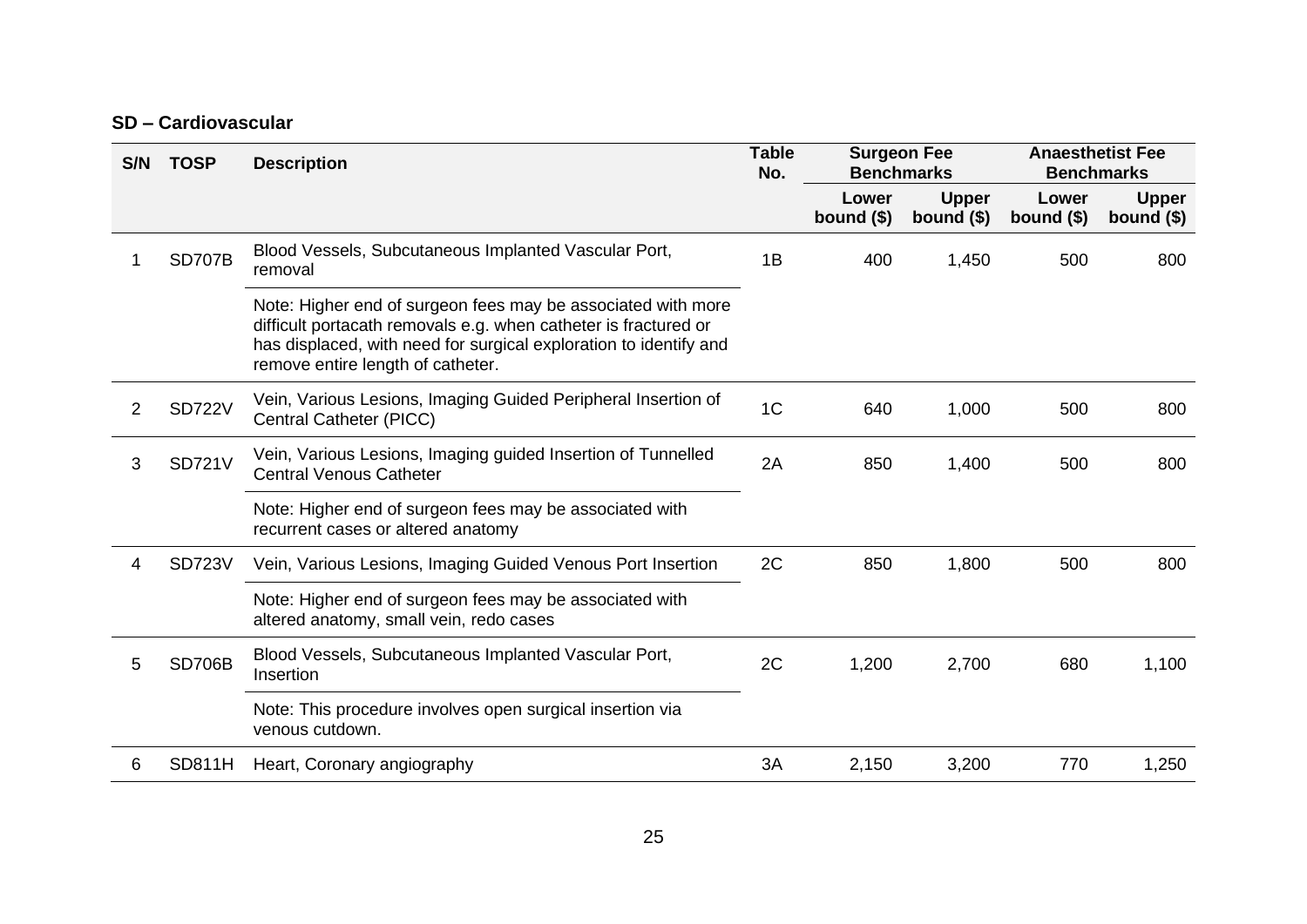#### **SD – Cardiovascular**

| S/N | <b>TOSP</b>   | <b>Description</b>                                                                                                                                                                                                                        | <b>Table</b><br>No. | <b>Surgeon Fee</b><br><b>Benchmarks</b> |                             | <b>Anaesthetist Fee</b><br><b>Benchmarks</b> |                             |
|-----|---------------|-------------------------------------------------------------------------------------------------------------------------------------------------------------------------------------------------------------------------------------------|---------------------|-----------------------------------------|-----------------------------|----------------------------------------------|-----------------------------|
|     |               |                                                                                                                                                                                                                                           |                     | Lower<br>bound $($)$                    | <b>Upper</b><br>bound $($)$ | Lower<br>bound $($)$                         | <b>Upper</b><br>bound $($)$ |
|     | <b>SD707B</b> | Blood Vessels, Subcutaneous Implanted Vascular Port,<br>removal                                                                                                                                                                           | 1B                  | 400                                     | 1,450                       | 500                                          | 800                         |
|     |               | Note: Higher end of surgeon fees may be associated with more<br>difficult portacath removals e.g. when catheter is fractured or<br>has displaced, with need for surgical exploration to identify and<br>remove entire length of catheter. |                     |                                         |                             |                                              |                             |
| 2   | <b>SD722V</b> | Vein, Various Lesions, Imaging Guided Peripheral Insertion of<br>Central Catheter (PICC)                                                                                                                                                  | 1 <sub>C</sub>      | 640                                     | 1,000                       | 500                                          | 800                         |
| 3   | <b>SD721V</b> | Vein, Various Lesions, Imaging guided Insertion of Tunnelled<br><b>Central Venous Catheter</b>                                                                                                                                            | 2A                  | 850                                     | 1,400                       | 500                                          | 800                         |
|     |               | Note: Higher end of surgeon fees may be associated with<br>recurrent cases or altered anatomy                                                                                                                                             |                     |                                         |                             |                                              |                             |
| 4   | <b>SD723V</b> | Vein, Various Lesions, Imaging Guided Venous Port Insertion                                                                                                                                                                               | 2C                  | 850                                     | 1,800                       | 500                                          | 800                         |
|     |               | Note: Higher end of surgeon fees may be associated with<br>altered anatomy, small vein, redo cases                                                                                                                                        |                     |                                         |                             |                                              |                             |
| 5   | <b>SD706B</b> | Blood Vessels, Subcutaneous Implanted Vascular Port,<br>Insertion                                                                                                                                                                         | 2C                  | 1,200                                   | 2,700                       | 680                                          | 1,100                       |
|     |               | Note: This procedure involves open surgical insertion via<br>venous cutdown.                                                                                                                                                              |                     |                                         |                             |                                              |                             |
| 6   | <b>SD811H</b> | Heart, Coronary angiography                                                                                                                                                                                                               | 3A                  | 2,150                                   | 3,200                       | 770                                          | 1,250                       |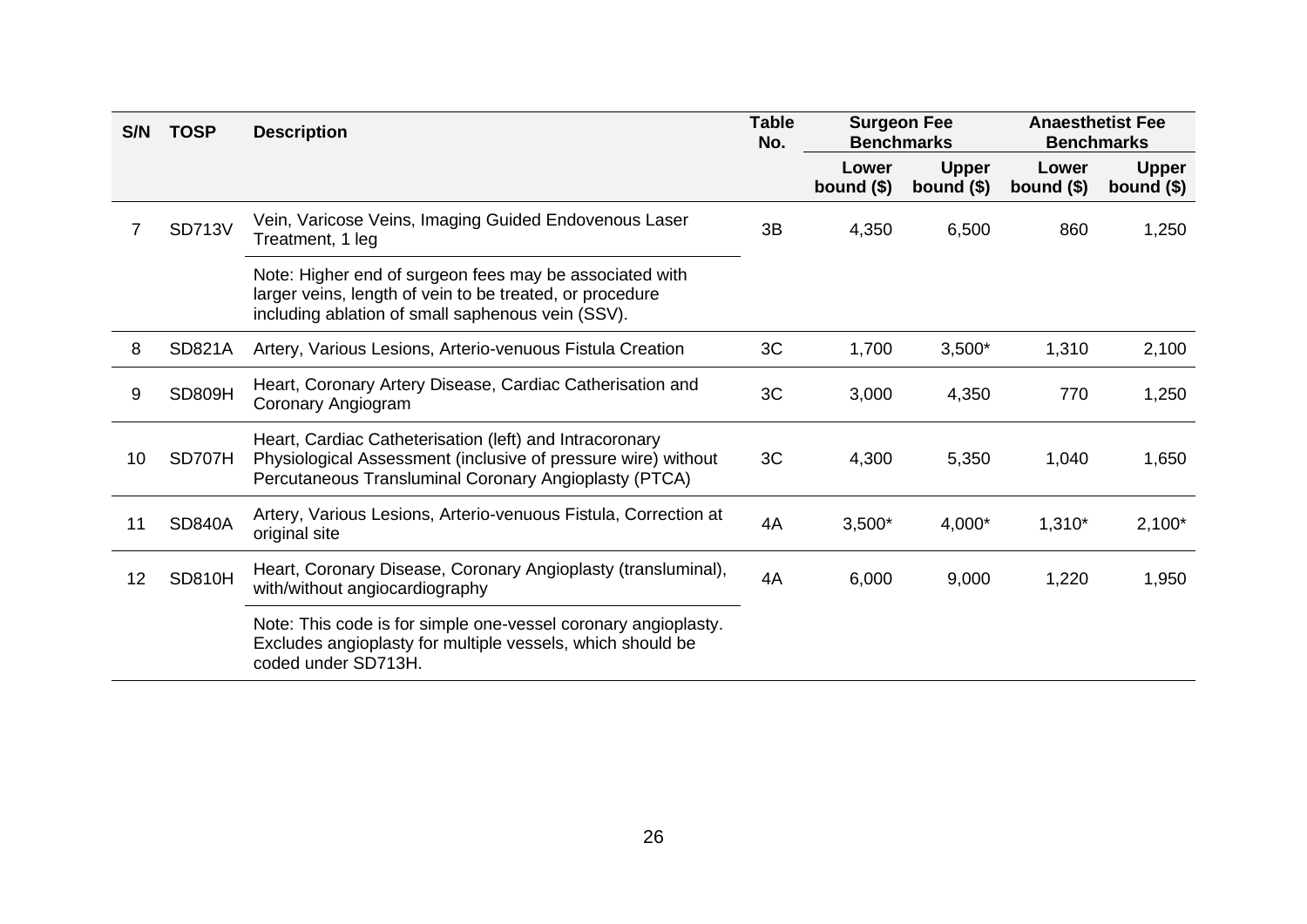| S/N | <b>TOSP</b>   | <b>Description</b>                                                                                                                                                                | <b>Table</b><br>No. | <b>Surgeon Fee</b><br><b>Benchmarks</b> |                             | <b>Anaesthetist Fee</b><br><b>Benchmarks</b> |                             |
|-----|---------------|-----------------------------------------------------------------------------------------------------------------------------------------------------------------------------------|---------------------|-----------------------------------------|-----------------------------|----------------------------------------------|-----------------------------|
|     |               |                                                                                                                                                                                   |                     | Lower<br>bound $($)$                    | <b>Upper</b><br>bound $($)$ | Lower<br>bound $($)$                         | <b>Upper</b><br>bound $($)$ |
|     | <b>SD713V</b> | Vein, Varicose Veins, Imaging Guided Endovenous Laser<br>Treatment, 1 leg                                                                                                         | 3B                  | 4,350                                   | 6,500                       | 860                                          | 1,250                       |
|     |               | Note: Higher end of surgeon fees may be associated with<br>larger veins, length of vein to be treated, or procedure<br>including ablation of small saphenous vein (SSV).          |                     |                                         |                             |                                              |                             |
| 8   | <b>SD821A</b> | Artery, Various Lesions, Arterio-venuous Fistula Creation                                                                                                                         | 3C                  | 1,700                                   | $3,500*$                    | 1,310                                        | 2,100                       |
| 9   | <b>SD809H</b> | Heart, Coronary Artery Disease, Cardiac Catherisation and<br>Coronary Angiogram                                                                                                   | 3C                  | 3,000                                   | 4,350                       | 770                                          | 1,250                       |
| 10  | SD707H        | Heart, Cardiac Catheterisation (left) and Intracoronary<br>Physiological Assessment (inclusive of pressure wire) without<br>Percutaneous Transluminal Coronary Angioplasty (PTCA) | 3C                  | 4,300                                   | 5,350                       | 1,040                                        | 1,650                       |
| 11  | <b>SD840A</b> | Artery, Various Lesions, Arterio-venuous Fistula, Correction at<br>original site                                                                                                  | 4A                  | $3,500*$                                | 4,000*                      | $1,310*$                                     | $2,100*$                    |
| 12  | <b>SD810H</b> | Heart, Coronary Disease, Coronary Angioplasty (transluminal),<br>with/without angiocardiography                                                                                   | 4A                  | 6,000                                   | 9,000                       | 1,220                                        | 1,950                       |
|     |               | Note: This code is for simple one-vessel coronary angioplasty.<br>Excludes angioplasty for multiple vessels, which should be<br>coded under SD713H.                               |                     |                                         |                             |                                              |                             |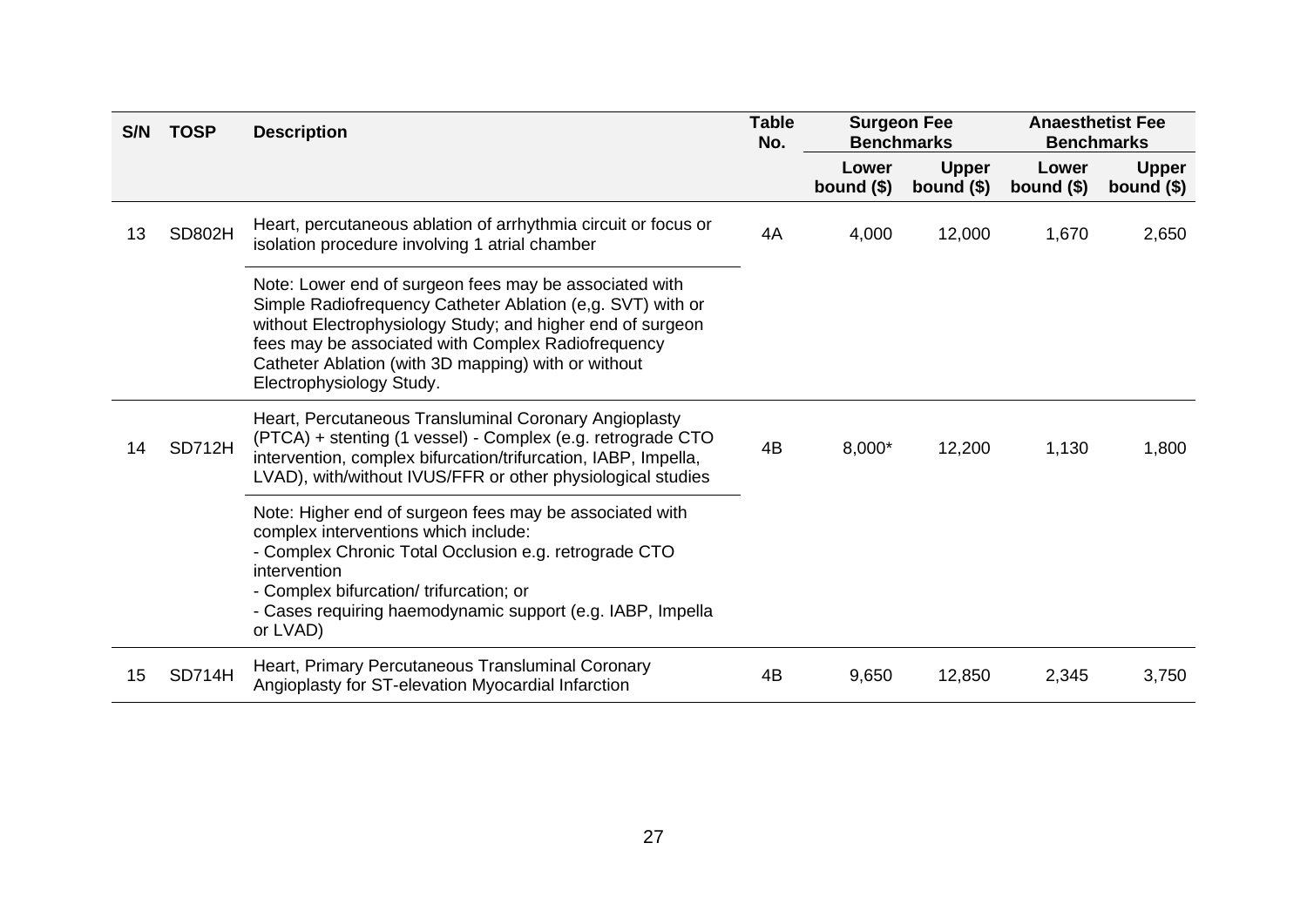| S/N | <b>TOSP</b>   | <b>Description</b>                                                                                                                                                                                                                                                                                                          | <b>Table</b><br>No. | <b>Surgeon Fee</b><br><b>Anaesthetist Fee</b><br><b>Benchmarks</b><br><b>Benchmarks</b> |                             |                      |                             |
|-----|---------------|-----------------------------------------------------------------------------------------------------------------------------------------------------------------------------------------------------------------------------------------------------------------------------------------------------------------------------|---------------------|-----------------------------------------------------------------------------------------|-----------------------------|----------------------|-----------------------------|
|     |               |                                                                                                                                                                                                                                                                                                                             |                     | Lower<br>bound $($)$                                                                    | <b>Upper</b><br>bound $($)$ | Lower<br>bound $($)$ | <b>Upper</b><br>bound $($)$ |
| 13  | <b>SD802H</b> | Heart, percutaneous ablation of arrhythmia circuit or focus or<br>isolation procedure involving 1 atrial chamber                                                                                                                                                                                                            | 4A                  | 4,000                                                                                   | 12,000                      | 1,670                | 2,650                       |
|     |               | Note: Lower end of surgeon fees may be associated with<br>Simple Radiofrequency Catheter Ablation (e.g. SVT) with or<br>without Electrophysiology Study; and higher end of surgeon<br>fees may be associated with Complex Radiofrequency<br>Catheter Ablation (with 3D mapping) with or without<br>Electrophysiology Study. |                     |                                                                                         |                             |                      |                             |
| 14  | <b>SD712H</b> | Heart, Percutaneous Transluminal Coronary Angioplasty<br>(PTCA) + stenting (1 vessel) - Complex (e.g. retrograde CTO<br>intervention, complex bifurcation/trifurcation, IABP, Impella,<br>LVAD), with/without IVUS/FFR or other physiological studies                                                                       | 4B                  | 8,000*                                                                                  | 12,200                      | 1,130                | 1,800                       |
|     |               | Note: Higher end of surgeon fees may be associated with<br>complex interventions which include:<br>- Complex Chronic Total Occlusion e.g. retrograde CTO<br>intervention<br>- Complex bifurcation/ trifurcation; or<br>- Cases requiring haemodynamic support (e.g. IABP, Impella<br>or LVAD)                               |                     |                                                                                         |                             |                      |                             |
| 15  | SD714H        | Heart, Primary Percutaneous Transluminal Coronary<br>Angioplasty for ST-elevation Myocardial Infarction                                                                                                                                                                                                                     | 4B                  | 9,650                                                                                   | 12,850                      | 2,345                | 3,750                       |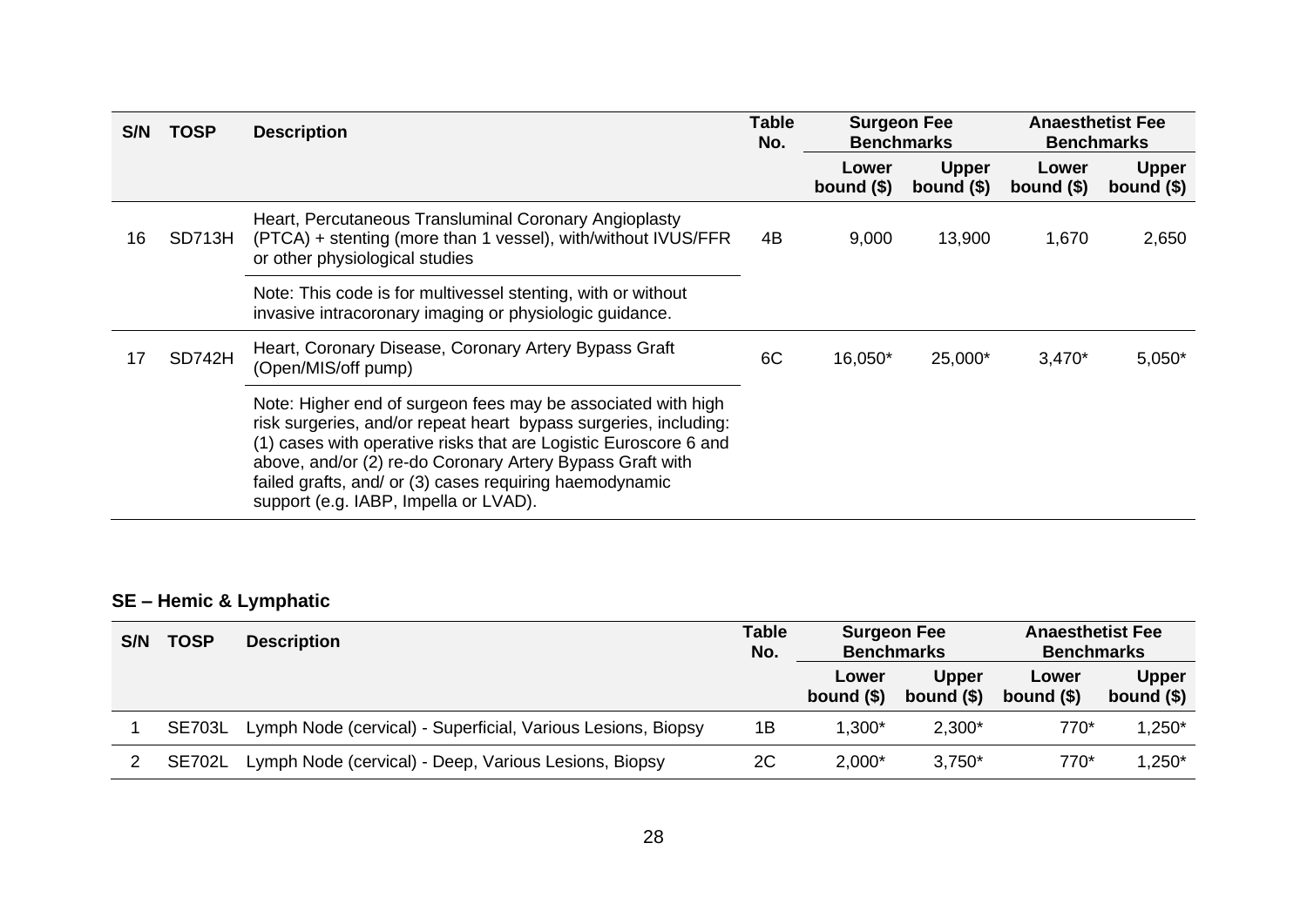| S/N | <b>TOSP</b> | <b>Description</b>                                                                                                                                                                                                                                                                                                                                                    | <b>Table</b><br>No. | <b>Surgeon Fee</b><br><b>Benchmarks</b> |                             | <b>Anaesthetist Fee</b><br><b>Benchmarks</b> |                             |
|-----|-------------|-----------------------------------------------------------------------------------------------------------------------------------------------------------------------------------------------------------------------------------------------------------------------------------------------------------------------------------------------------------------------|---------------------|-----------------------------------------|-----------------------------|----------------------------------------------|-----------------------------|
|     |             |                                                                                                                                                                                                                                                                                                                                                                       |                     | Lower<br>bound $($)$                    | <b>Upper</b><br>bound $(§)$ | Lower<br>bound $(§)$                         | <b>Upper</b><br>bound $($)$ |
| 16  | SD713H      | Heart, Percutaneous Transluminal Coronary Angioplasty<br>(PTCA) + stenting (more than 1 vessel), with/without IVUS/FFR<br>or other physiological studies                                                                                                                                                                                                              | 4B                  | 9,000                                   | 13,900                      | 1,670                                        | 2,650                       |
|     |             | Note: This code is for multivessel stenting, with or without<br>invasive intracoronary imaging or physiologic quidance.                                                                                                                                                                                                                                               |                     |                                         |                             |                                              |                             |
|     | SD742H      | Heart, Coronary Disease, Coronary Artery Bypass Graft<br>(Open/MIS/off pump)                                                                                                                                                                                                                                                                                          | 6C                  | 16,050*                                 | 25,000*                     | $3,470*$                                     | $5,050*$                    |
|     |             | Note: Higher end of surgeon fees may be associated with high<br>risk surgeries, and/or repeat heart bypass surgeries, including:<br>(1) cases with operative risks that are Logistic Euroscore 6 and<br>above, and/or (2) re-do Coronary Artery Bypass Graft with<br>failed grafts, and/ or (3) cases requiring haemodynamic<br>support (e.g. IABP, Impella or LVAD). |                     |                                         |                             |                                              |                             |

## **SE – Hemic & Lymphatic**

| S/N | <b>TOSP</b>   | <b>Description</b>                                           | <b>Table</b><br>No. | <b>Surgeon Fee</b><br><b>Benchmarks</b> |                             | <b>Anaesthetist Fee</b><br><b>Benchmarks</b> |                             |
|-----|---------------|--------------------------------------------------------------|---------------------|-----------------------------------------|-----------------------------|----------------------------------------------|-----------------------------|
|     |               |                                                              |                     | Lower<br>bound $(§)$                    | <b>Upper</b><br>bound $(§)$ | Lower<br>bound $(§)$                         | <b>Upper</b><br>bound $($)$ |
|     | <b>SE703L</b> | Lymph Node (cervical) - Superficial, Various Lesions, Biopsy | 1Β                  | 1,300*                                  | $2,300*$                    | 770*                                         | 1,250*                      |
|     | SE702L        | Lymph Node (cervical) - Deep, Various Lesions, Biopsy        | 2C                  | $2,000*$                                | $3,750*$                    | 770*                                         | $1,250*$                    |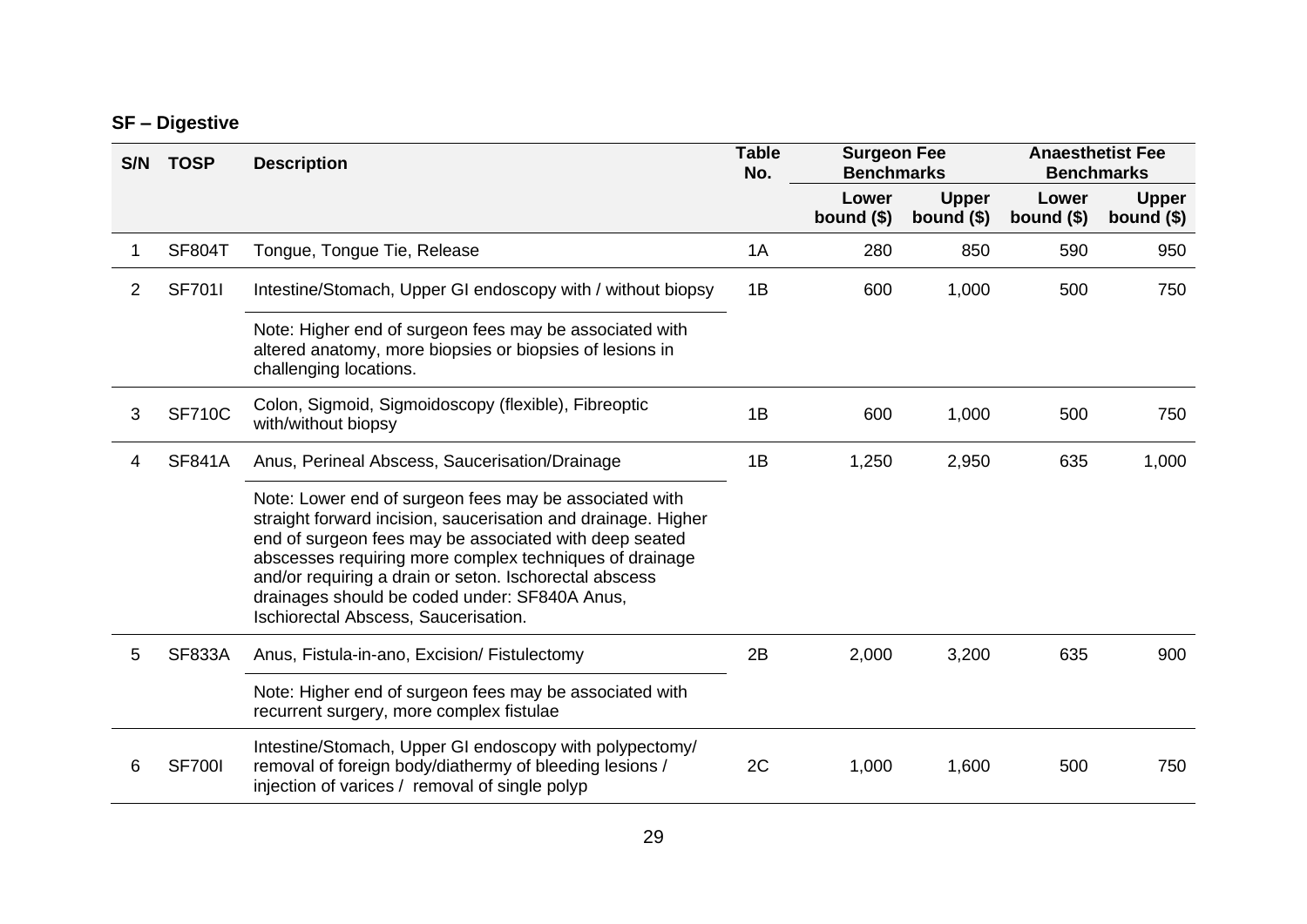### **SF – Digestive**

| S/N | <b>TOSP</b>   | <b>Description</b>                                                                                                                                                                                                                                                                                                                                                                              | <b>Table</b><br>No. | <b>Surgeon Fee</b><br><b>Benchmarks</b> |                             |                      | <b>Anaesthetist Fee</b><br><b>Benchmarks</b> |
|-----|---------------|-------------------------------------------------------------------------------------------------------------------------------------------------------------------------------------------------------------------------------------------------------------------------------------------------------------------------------------------------------------------------------------------------|---------------------|-----------------------------------------|-----------------------------|----------------------|----------------------------------------------|
|     |               |                                                                                                                                                                                                                                                                                                                                                                                                 |                     | Lower<br>bound $($)$                    | <b>Upper</b><br>bound $($)$ | Lower<br>bound $($)$ | <b>Upper</b><br>bound $($)$                  |
|     | <b>SF804T</b> | Tongue, Tongue Tie, Release                                                                                                                                                                                                                                                                                                                                                                     | 1A                  | 280                                     | 850                         | 590                  | 950                                          |
| 2   | <b>SF701I</b> | Intestine/Stomach, Upper GI endoscopy with / without biopsy                                                                                                                                                                                                                                                                                                                                     | 1B                  | 600                                     | 1,000                       | 500                  | 750                                          |
|     |               | Note: Higher end of surgeon fees may be associated with<br>altered anatomy, more biopsies or biopsies of lesions in<br>challenging locations.                                                                                                                                                                                                                                                   |                     |                                         |                             |                      |                                              |
| 3   | <b>SF710C</b> | Colon, Sigmoid, Sigmoidoscopy (flexible), Fibreoptic<br>with/without biopsy                                                                                                                                                                                                                                                                                                                     | 1B                  | 600                                     | 1,000                       | 500                  | 750                                          |
|     | <b>SF841A</b> | Anus, Perineal Abscess, Saucerisation/Drainage                                                                                                                                                                                                                                                                                                                                                  | 1B                  | 1,250                                   | 2,950                       | 635                  | 1,000                                        |
|     |               | Note: Lower end of surgeon fees may be associated with<br>straight forward incision, saucerisation and drainage. Higher<br>end of surgeon fees may be associated with deep seated<br>abscesses requiring more complex techniques of drainage<br>and/or requiring a drain or seton. Ischorectal abscess<br>drainages should be coded under: SF840A Anus,<br>Ischiorectal Abscess, Saucerisation. |                     |                                         |                             |                      |                                              |
| 5   | <b>SF833A</b> | Anus, Fistula-in-ano, Excision/ Fistulectomy                                                                                                                                                                                                                                                                                                                                                    | 2B                  | 2,000                                   | 3,200                       | 635                  | 900                                          |
|     |               | Note: Higher end of surgeon fees may be associated with<br>recurrent surgery, more complex fistulae                                                                                                                                                                                                                                                                                             |                     |                                         |                             |                      |                                              |
| 6   | <b>SF700I</b> | Intestine/Stomach, Upper GI endoscopy with polypectomy/<br>removal of foreign body/diathermy of bleeding lesions /<br>injection of varices / removal of single polyp                                                                                                                                                                                                                            | 2C                  | 1,000                                   | 1,600                       | 500                  | 750                                          |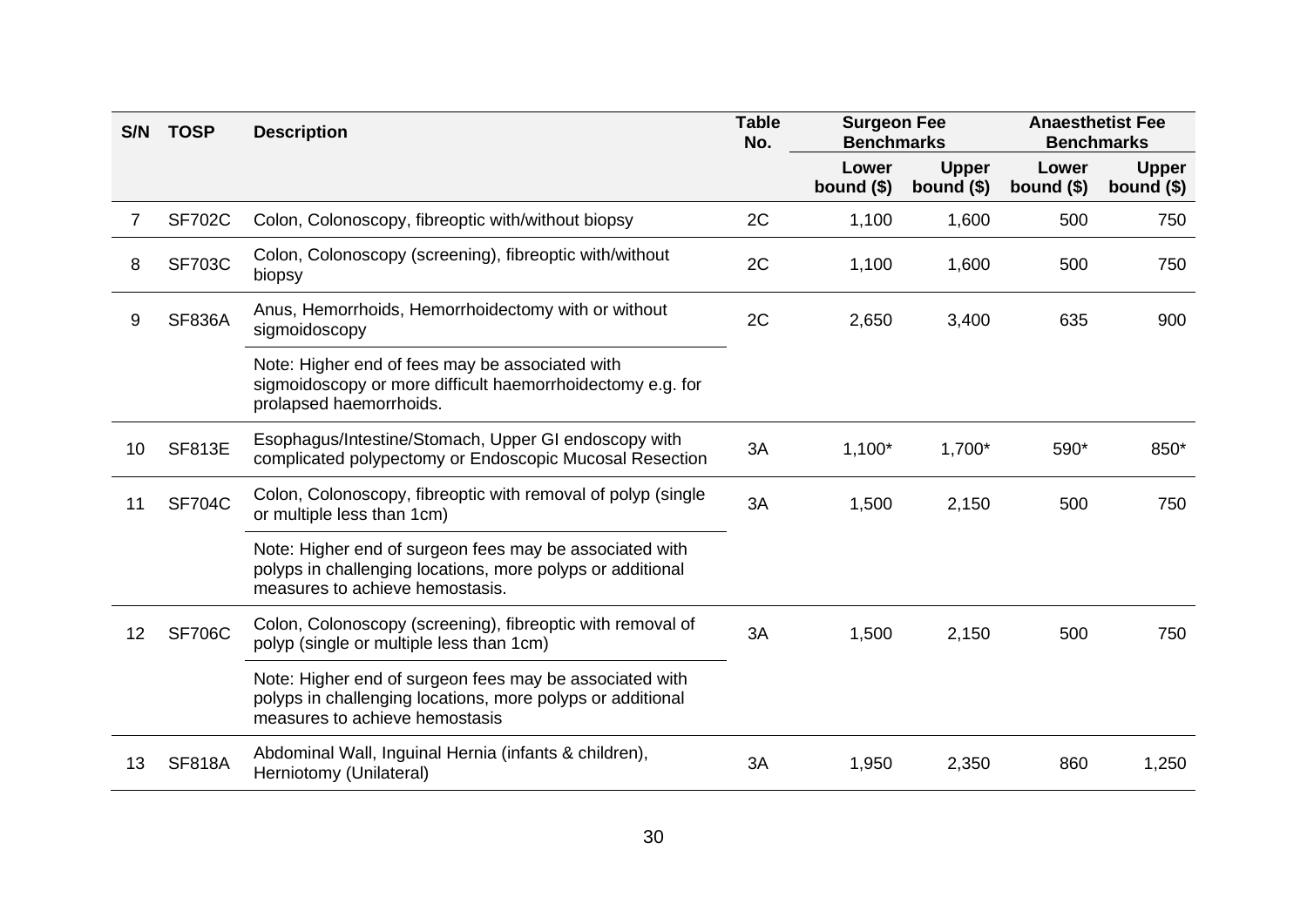| S/N | <b>TOSP</b>   | <b>Description</b>                                                                                                                                       | <b>Table</b><br>No. | <b>Surgeon Fee</b><br><b>Benchmarks</b> |                             | <b>Anaesthetist Fee</b><br><b>Benchmarks</b> |                             |
|-----|---------------|----------------------------------------------------------------------------------------------------------------------------------------------------------|---------------------|-----------------------------------------|-----------------------------|----------------------------------------------|-----------------------------|
|     |               |                                                                                                                                                          |                     | Lower<br>bound $($)$                    | <b>Upper</b><br>bound $($)$ | Lower<br>bound $($)$                         | <b>Upper</b><br>bound $($)$ |
| 7   | <b>SF702C</b> | Colon, Colonoscopy, fibreoptic with/without biopsy                                                                                                       | 2C                  | 1,100                                   | 1,600                       | 500                                          | 750                         |
| 8   | <b>SF703C</b> | Colon, Colonoscopy (screening), fibreoptic with/without<br>biopsy                                                                                        | 2C                  | 1,100                                   | 1,600                       | 500                                          | 750                         |
| 9   | <b>SF836A</b> | Anus, Hemorrhoids, Hemorrhoidectomy with or without<br>sigmoidoscopy                                                                                     | 2C                  | 2,650                                   | 3,400                       | 635                                          | 900                         |
|     |               | Note: Higher end of fees may be associated with<br>sigmoidoscopy or more difficult haemorrhoidectomy e.g. for<br>prolapsed haemorrhoids.                 |                     |                                         |                             |                                              |                             |
| 10  | <b>SF813E</b> | Esophagus/Intestine/Stomach, Upper GI endoscopy with<br>complicated polypectomy or Endoscopic Mucosal Resection                                          | 3A                  | $1,100*$                                | $1,700*$                    | 590*                                         | 850*                        |
| 11  | <b>SF704C</b> | Colon, Colonoscopy, fibreoptic with removal of polyp (single<br>or multiple less than 1cm)                                                               | 3A                  | 1,500                                   | 2,150                       | 500                                          | 750                         |
|     |               | Note: Higher end of surgeon fees may be associated with<br>polyps in challenging locations, more polyps or additional<br>measures to achieve hemostasis. |                     |                                         |                             |                                              |                             |
| 12  | <b>SF706C</b> | Colon, Colonoscopy (screening), fibreoptic with removal of<br>polyp (single or multiple less than 1cm)                                                   | 3A                  | 1,500                                   | 2,150                       | 500                                          | 750                         |
|     |               | Note: Higher end of surgeon fees may be associated with<br>polyps in challenging locations, more polyps or additional<br>measures to achieve hemostasis  |                     |                                         |                             |                                              |                             |
| 13  | <b>SF818A</b> | Abdominal Wall, Inguinal Hernia (infants & children),<br>Herniotomy (Unilateral)                                                                         | 3A                  | 1,950                                   | 2,350                       | 860                                          | 1,250                       |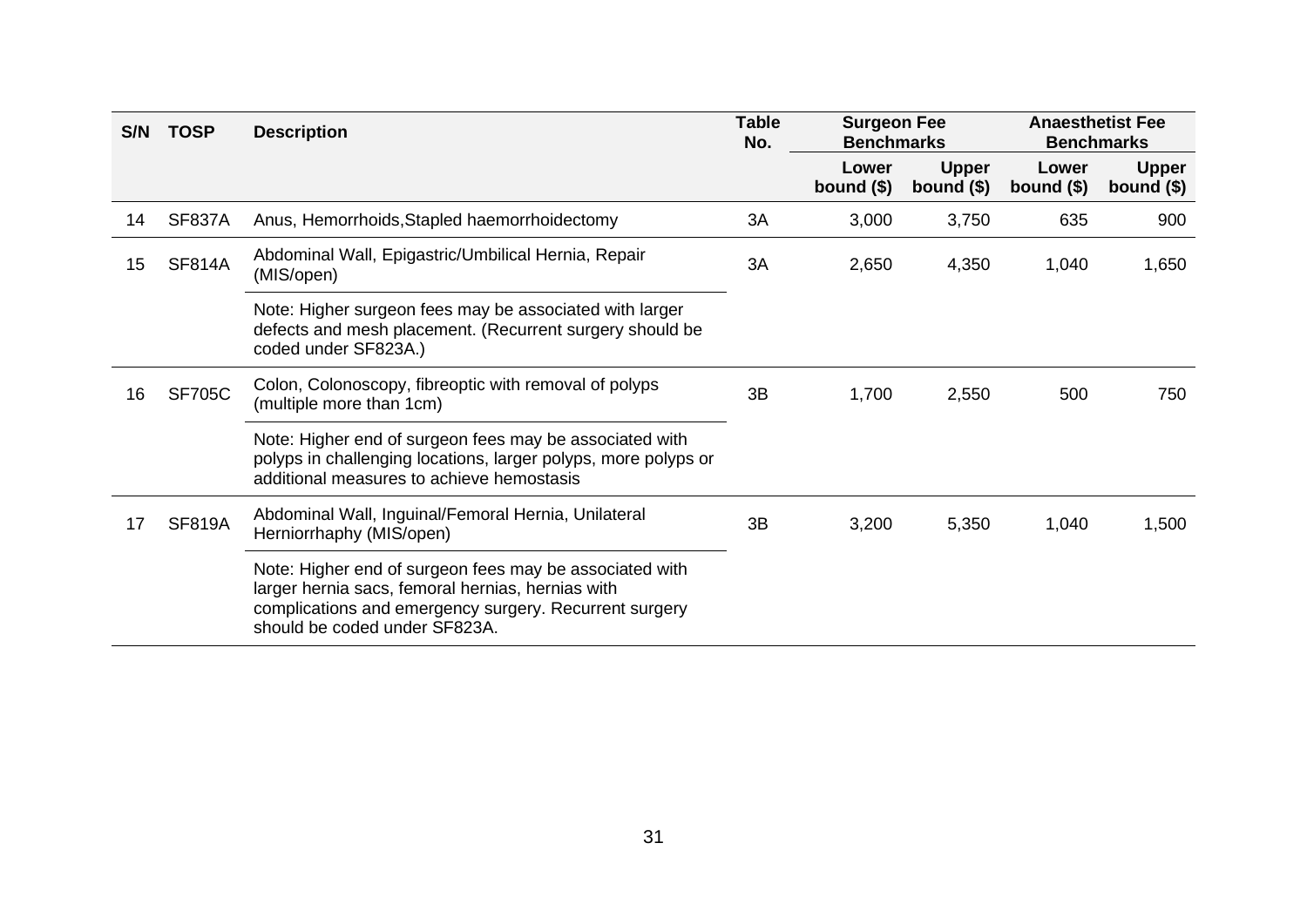| S/N | <b>TOSP</b>   | <b>Description</b>                                                                                                                                                                                      | <b>Table</b><br>No. | <b>Surgeon Fee</b><br><b>Benchmarks</b> |                             | <b>Anaesthetist Fee</b><br><b>Benchmarks</b> |                             |
|-----|---------------|---------------------------------------------------------------------------------------------------------------------------------------------------------------------------------------------------------|---------------------|-----------------------------------------|-----------------------------|----------------------------------------------|-----------------------------|
|     |               |                                                                                                                                                                                                         |                     | Lower<br>bound $($)$                    | <b>Upper</b><br>bound $($)$ | Lower<br>bound $($)$                         | <b>Upper</b><br>bound $($)$ |
| 14  | <b>SF837A</b> | Anus, Hemorrhoids, Stapled haemorrhoidectomy                                                                                                                                                            | 3A                  | 3,000                                   | 3,750                       | 635                                          | 900                         |
| 15  | <b>SF814A</b> | Abdominal Wall, Epigastric/Umbilical Hernia, Repair<br>(MIS/open)                                                                                                                                       | 3A                  | 2,650                                   | 4,350                       | 1,040                                        | 1,650                       |
|     |               | Note: Higher surgeon fees may be associated with larger<br>defects and mesh placement. (Recurrent surgery should be<br>coded under SF823A.)                                                             |                     |                                         |                             |                                              |                             |
| 16  | <b>SF705C</b> | Colon, Colonoscopy, fibreoptic with removal of polyps<br>(multiple more than 1cm)                                                                                                                       | 3B                  | 1,700                                   | 2,550                       | 500                                          | 750                         |
|     |               | Note: Higher end of surgeon fees may be associated with<br>polyps in challenging locations, larger polyps, more polyps or<br>additional measures to achieve hemostasis                                  |                     |                                         |                             |                                              |                             |
| 17  | <b>SF819A</b> | Abdominal Wall, Inguinal/Femoral Hernia, Unilateral<br>Herniorrhaphy (MIS/open)                                                                                                                         | 3B                  | 3,200                                   | 5,350                       | 1,040                                        | 1,500                       |
|     |               | Note: Higher end of surgeon fees may be associated with<br>larger hernia sacs, femoral hernias, hernias with<br>complications and emergency surgery. Recurrent surgery<br>should be coded under SF823A. |                     |                                         |                             |                                              |                             |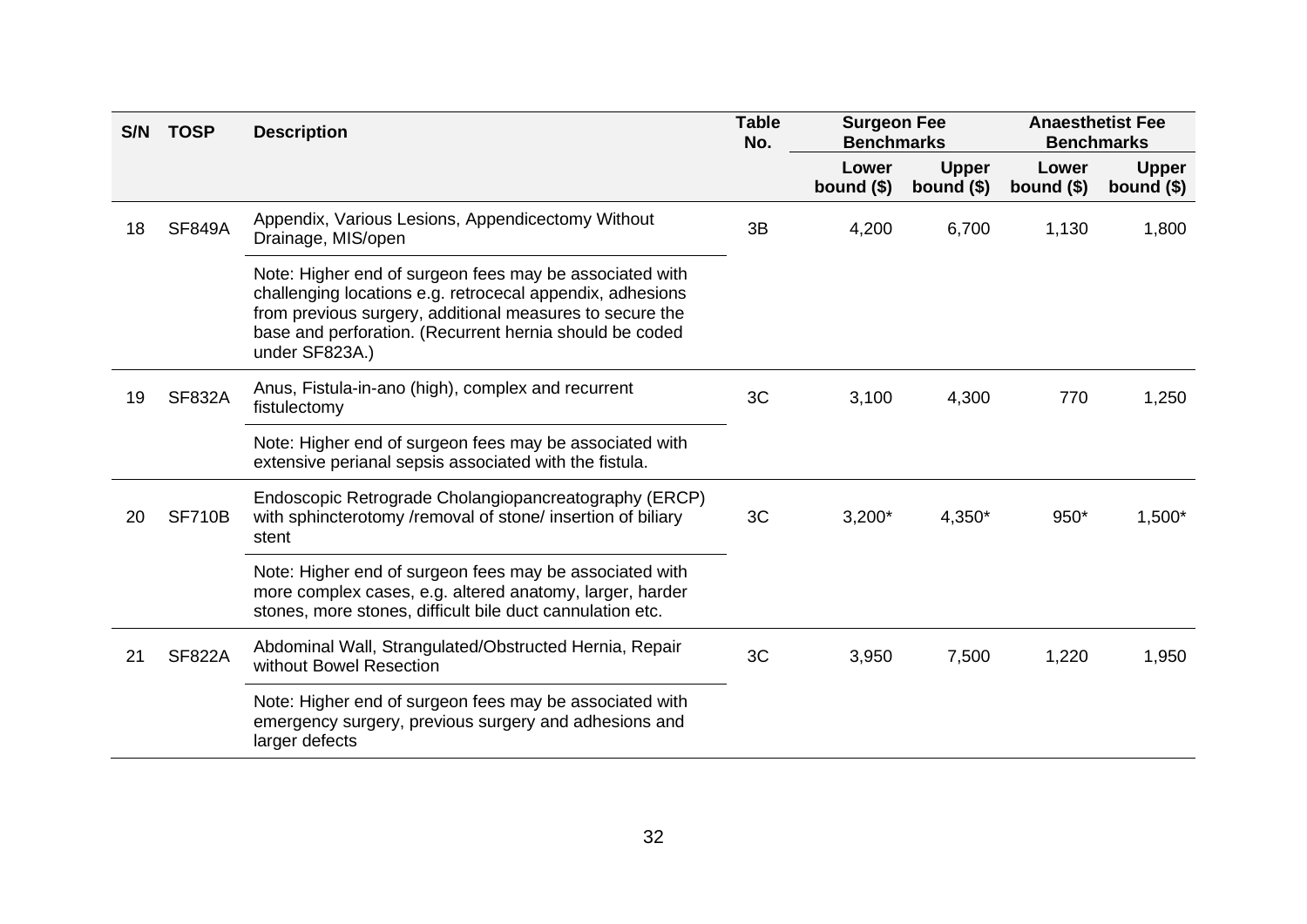| S/N | <b>TOSP</b>   | <b>Description</b>                                                                                                                                                                                                                                            | <b>Table</b><br>No. | <b>Surgeon Fee</b><br><b>Benchmarks</b> |                             | <b>Anaesthetist Fee</b><br><b>Benchmarks</b> |                             |
|-----|---------------|---------------------------------------------------------------------------------------------------------------------------------------------------------------------------------------------------------------------------------------------------------------|---------------------|-----------------------------------------|-----------------------------|----------------------------------------------|-----------------------------|
|     |               |                                                                                                                                                                                                                                                               |                     | Lower<br>bound $($)$                    | <b>Upper</b><br>bound $($)$ | Lower<br>bound $($)$                         | <b>Upper</b><br>bound $($)$ |
| 18  | <b>SF849A</b> | Appendix, Various Lesions, Appendicectomy Without<br>Drainage, MIS/open                                                                                                                                                                                       | 3B                  | 4,200                                   | 6,700                       | 1,130                                        | 1,800                       |
|     |               | Note: Higher end of surgeon fees may be associated with<br>challenging locations e.g. retrocecal appendix, adhesions<br>from previous surgery, additional measures to secure the<br>base and perforation. (Recurrent hernia should be coded<br>under SF823A.) |                     |                                         |                             |                                              |                             |
| 19  | <b>SF832A</b> | Anus, Fistula-in-ano (high), complex and recurrent<br>fistulectomy                                                                                                                                                                                            | 3C                  | 3,100                                   | 4,300                       | 770                                          | 1,250                       |
|     |               | Note: Higher end of surgeon fees may be associated with<br>extensive perianal sepsis associated with the fistula.                                                                                                                                             |                     |                                         |                             |                                              |                             |
| 20  | <b>SF710B</b> | Endoscopic Retrograde Cholangiopancreatography (ERCP)<br>with sphincterotomy /removal of stone/ insertion of biliary<br>stent                                                                                                                                 | 3C                  | $3,200*$                                | 4,350*                      | 950*                                         | $1,500*$                    |
|     |               | Note: Higher end of surgeon fees may be associated with<br>more complex cases, e.g. altered anatomy, larger, harder<br>stones, more stones, difficult bile duct cannulation etc.                                                                              |                     |                                         |                             |                                              |                             |
| 21  | <b>SF822A</b> | Abdominal Wall, Strangulated/Obstructed Hernia, Repair<br>without Bowel Resection                                                                                                                                                                             | 3C                  | 3,950                                   | 7,500                       | 1,220                                        | 1,950                       |
|     |               | Note: Higher end of surgeon fees may be associated with<br>emergency surgery, previous surgery and adhesions and<br>larger defects                                                                                                                            |                     |                                         |                             |                                              |                             |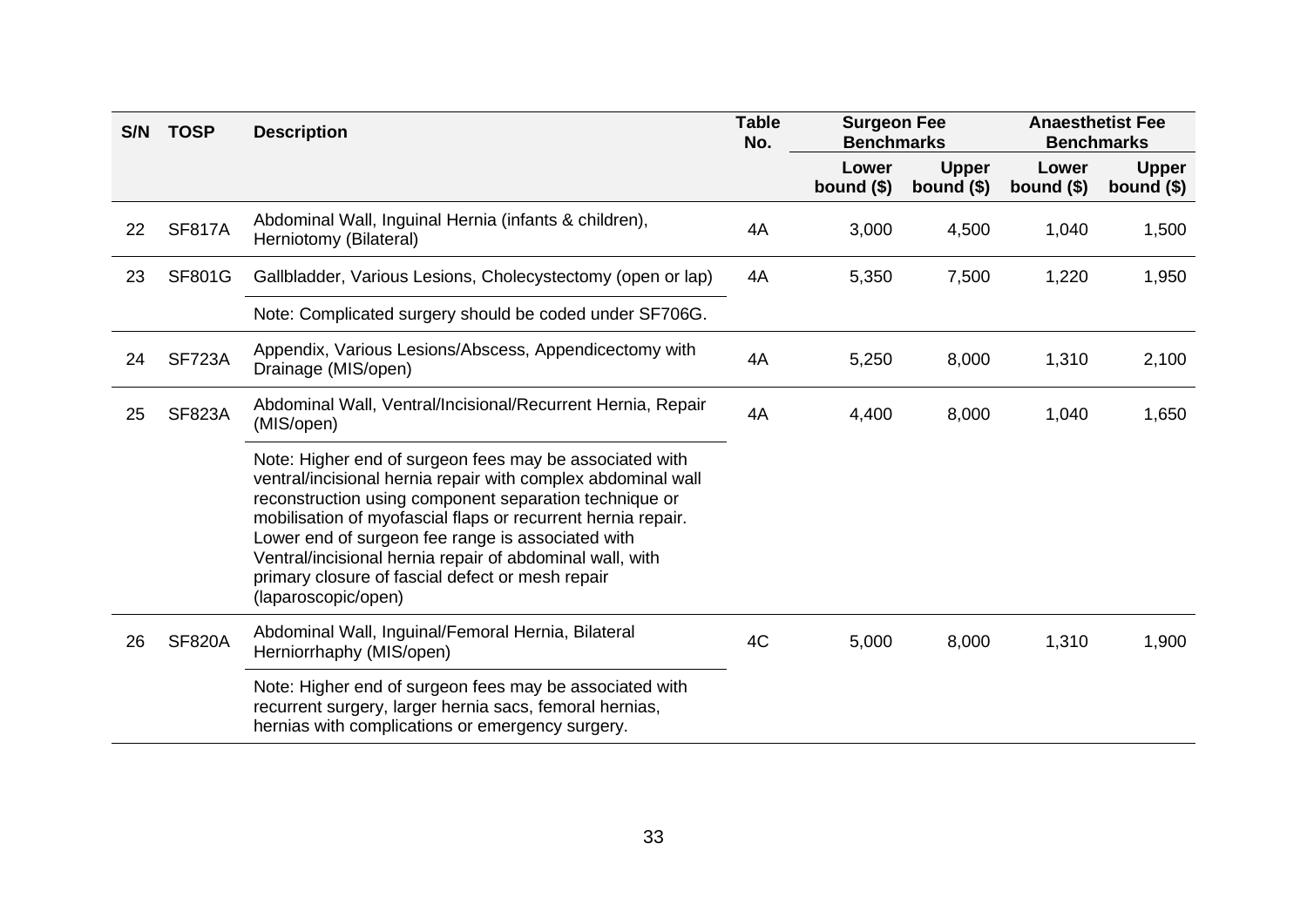| S/N | <b>TOSP</b>   | <b>Description</b>                                                                                                                                                                                                                                                                                                                                                                                                                            | <b>Table</b><br>No. | <b>Surgeon Fee</b><br><b>Benchmarks</b> |                             | <b>Anaesthetist Fee</b><br><b>Benchmarks</b> |                             |
|-----|---------------|-----------------------------------------------------------------------------------------------------------------------------------------------------------------------------------------------------------------------------------------------------------------------------------------------------------------------------------------------------------------------------------------------------------------------------------------------|---------------------|-----------------------------------------|-----------------------------|----------------------------------------------|-----------------------------|
|     |               |                                                                                                                                                                                                                                                                                                                                                                                                                                               |                     | Lower<br>bound $($)$                    | <b>Upper</b><br>bound $($)$ | Lower<br>bound $($)$                         | <b>Upper</b><br>bound $($)$ |
| 22  | <b>SF817A</b> | Abdominal Wall, Inguinal Hernia (infants & children),<br>Herniotomy (Bilateral)                                                                                                                                                                                                                                                                                                                                                               | 4A                  | 3,000                                   | 4,500                       | 1,040                                        | 1,500                       |
| 23  | <b>SF801G</b> | Gallbladder, Various Lesions, Cholecystectomy (open or lap)                                                                                                                                                                                                                                                                                                                                                                                   | 4A                  | 5,350                                   | 7,500                       | 1,220                                        | 1,950                       |
|     |               | Note: Complicated surgery should be coded under SF706G.                                                                                                                                                                                                                                                                                                                                                                                       |                     |                                         |                             |                                              |                             |
| 24  | <b>SF723A</b> | Appendix, Various Lesions/Abscess, Appendicectomy with<br>Drainage (MIS/open)                                                                                                                                                                                                                                                                                                                                                                 | 4A                  | 5,250                                   | 8,000                       | 1,310                                        | 2,100                       |
| 25  | <b>SF823A</b> | Abdominal Wall, Ventral/Incisional/Recurrent Hernia, Repair<br>(MIS/open)                                                                                                                                                                                                                                                                                                                                                                     | 4A                  | 4,400                                   | 8,000                       | 1,040                                        | 1,650                       |
|     |               | Note: Higher end of surgeon fees may be associated with<br>ventral/incisional hernia repair with complex abdominal wall<br>reconstruction using component separation technique or<br>mobilisation of myofascial flaps or recurrent hernia repair.<br>Lower end of surgeon fee range is associated with<br>Ventral/incisional hernia repair of abdominal wall, with<br>primary closure of fascial defect or mesh repair<br>(laparoscopic/open) |                     |                                         |                             |                                              |                             |
| 26  | <b>SF820A</b> | Abdominal Wall, Inguinal/Femoral Hernia, Bilateral<br>Herniorrhaphy (MIS/open)                                                                                                                                                                                                                                                                                                                                                                | 4C                  | 5,000                                   | 8,000                       | 1,310                                        | 1,900                       |
|     |               | Note: Higher end of surgeon fees may be associated with<br>recurrent surgery, larger hernia sacs, femoral hernias,<br>hernias with complications or emergency surgery.                                                                                                                                                                                                                                                                        |                     |                                         |                             |                                              |                             |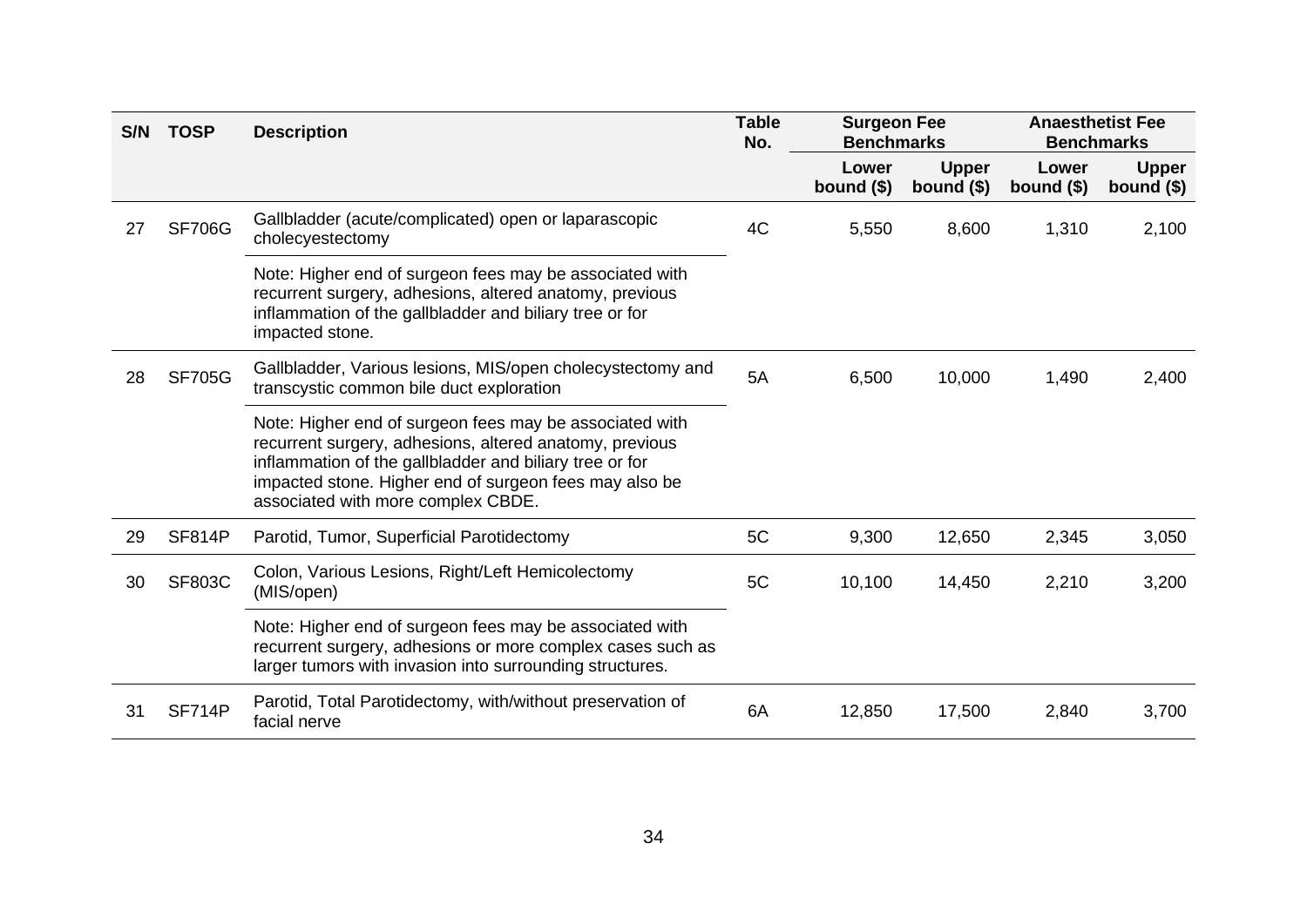| S/N | <b>TOSP</b>   | <b>Description</b>                                                                                                                                                                                                                                                            | <b>Table</b><br>No. | <b>Surgeon Fee</b><br><b>Benchmarks</b> |                             | <b>Anaesthetist Fee</b><br><b>Benchmarks</b> |                             |
|-----|---------------|-------------------------------------------------------------------------------------------------------------------------------------------------------------------------------------------------------------------------------------------------------------------------------|---------------------|-----------------------------------------|-----------------------------|----------------------------------------------|-----------------------------|
|     |               |                                                                                                                                                                                                                                                                               |                     | Lower<br>bound $($)$                    | <b>Upper</b><br>bound $($)$ | Lower<br>bound $($)$                         | <b>Upper</b><br>bound $($)$ |
| 27  | <b>SF706G</b> | Gallbladder (acute/complicated) open or laparascopic<br>cholecyestectomy                                                                                                                                                                                                      | 4C                  | 5,550                                   | 8,600                       | 1,310                                        | 2,100                       |
|     |               | Note: Higher end of surgeon fees may be associated with<br>recurrent surgery, adhesions, altered anatomy, previous<br>inflammation of the gallbladder and biliary tree or for<br>impacted stone.                                                                              |                     |                                         |                             |                                              |                             |
| 28  | <b>SF705G</b> | Gallbladder, Various lesions, MIS/open cholecystectomy and<br>transcystic common bile duct exploration                                                                                                                                                                        | 5A                  | 6,500                                   | 10,000                      | 1,490                                        | 2,400                       |
|     |               | Note: Higher end of surgeon fees may be associated with<br>recurrent surgery, adhesions, altered anatomy, previous<br>inflammation of the gallbladder and biliary tree or for<br>impacted stone. Higher end of surgeon fees may also be<br>associated with more complex CBDE. |                     |                                         |                             |                                              |                             |
| 29  | <b>SF814P</b> | Parotid, Tumor, Superficial Parotidectomy                                                                                                                                                                                                                                     | 5C                  | 9,300                                   | 12,650                      | 2,345                                        | 3,050                       |
| 30  | <b>SF803C</b> | Colon, Various Lesions, Right/Left Hemicolectomy<br>(MIS/open)                                                                                                                                                                                                                | 5C                  | 10,100                                  | 14,450                      | 2,210                                        | 3,200                       |
|     |               | Note: Higher end of surgeon fees may be associated with<br>recurrent surgery, adhesions or more complex cases such as<br>larger tumors with invasion into surrounding structures.                                                                                             |                     |                                         |                             |                                              |                             |
| 31  | SF714P        | Parotid, Total Parotidectomy, with/without preservation of<br>facial nerve                                                                                                                                                                                                    | 6A                  | 12,850                                  | 17,500                      | 2,840                                        | 3,700                       |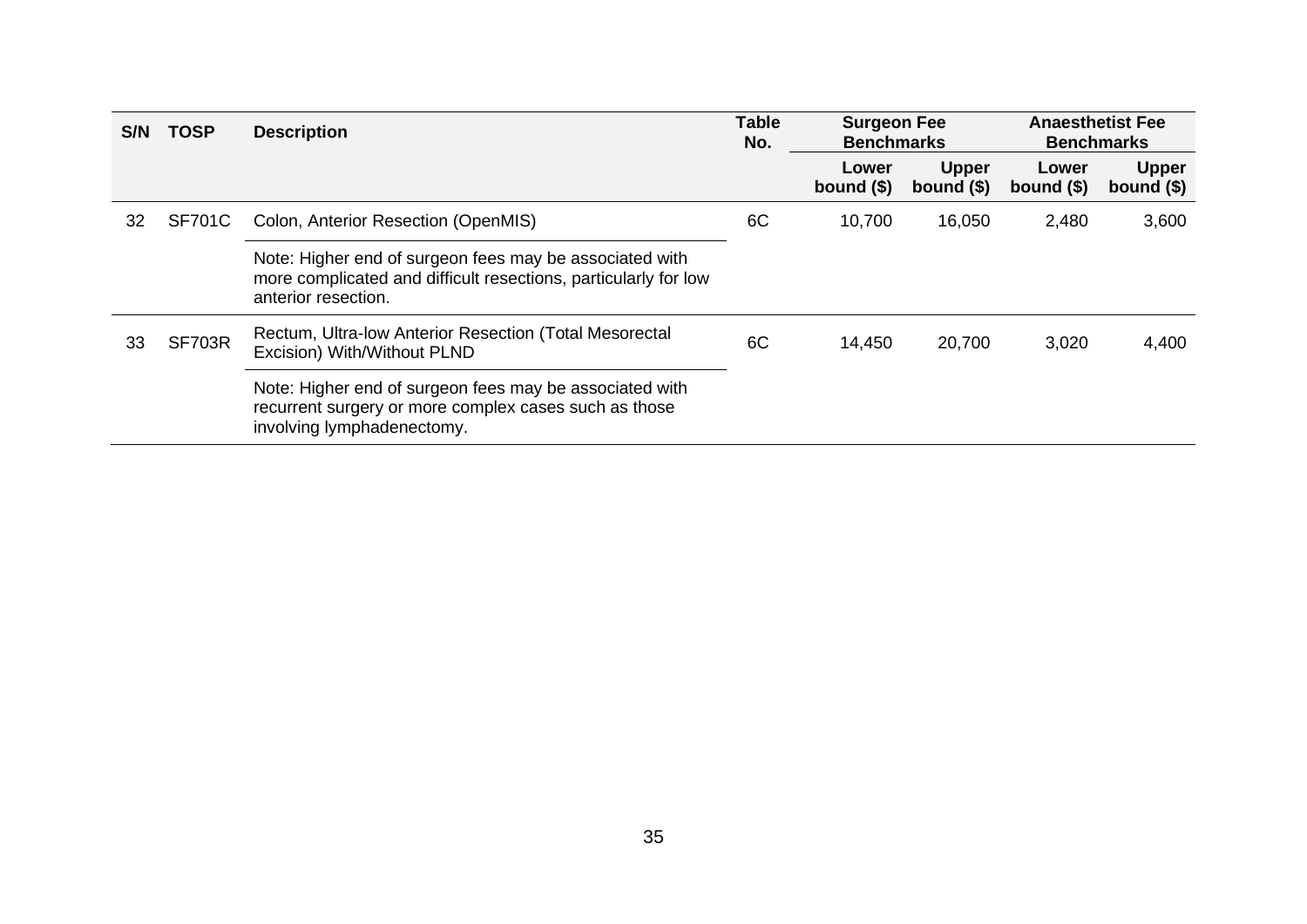| <b>S/N</b> | <b>TOSP</b>   | <b>Description</b>                                                                                                                                | <b>Table</b><br>No. | <b>Surgeon Fee</b><br><b>Benchmarks</b> |                             | <b>Anaesthetist Fee</b><br><b>Benchmarks</b> |                             |
|------------|---------------|---------------------------------------------------------------------------------------------------------------------------------------------------|---------------------|-----------------------------------------|-----------------------------|----------------------------------------------|-----------------------------|
|            |               |                                                                                                                                                   |                     | Lower<br>bound $($)$                    | <b>Upper</b><br>bound $(§)$ | Lower<br>bound $(§)$                         | <b>Upper</b><br>bound $($)$ |
| 32         | <b>SF701C</b> | Colon, Anterior Resection (OpenMIS)                                                                                                               | 6C                  | 10,700                                  | 16,050                      | 2,480                                        | 3,600                       |
|            |               | Note: Higher end of surgeon fees may be associated with<br>more complicated and difficult resections, particularly for low<br>anterior resection. |                     |                                         |                             |                                              |                             |
| 33         | <b>SF703R</b> | Rectum, Ultra-low Anterior Resection (Total Mesorectal<br>Excision) With/Without PLND                                                             | 6C                  | 14,450                                  | 20,700                      | 3,020                                        | 4,400                       |
|            |               | Note: Higher end of surgeon fees may be associated with<br>recurrent surgery or more complex cases such as those<br>involving lymphadenectomy.    |                     |                                         |                             |                                              |                             |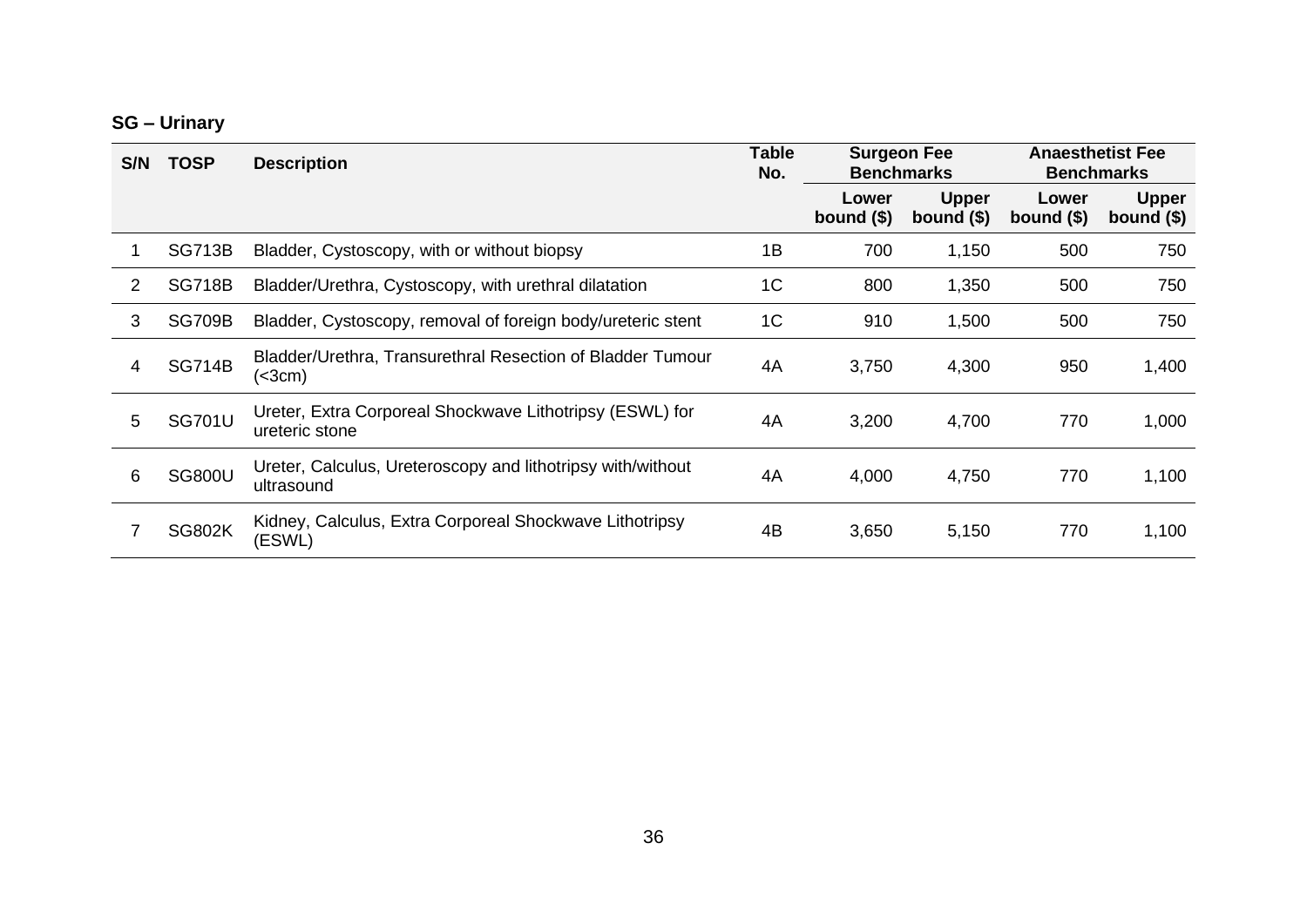### **SG – Urinary**

| S/N | <b>TOSP</b>   | <b>Description</b>                                                         | <b>Table</b><br>No. | <b>Surgeon Fee</b><br><b>Benchmarks</b> |                             | <b>Anaesthetist Fee</b><br><b>Benchmarks</b> |                             |
|-----|---------------|----------------------------------------------------------------------------|---------------------|-----------------------------------------|-----------------------------|----------------------------------------------|-----------------------------|
|     |               |                                                                            |                     | Lower<br>bound $(\$)$                   | <b>Upper</b><br>bound $($)$ | Lower<br>bound $(\$)$                        | <b>Upper</b><br>bound $($)$ |
|     | <b>SG713B</b> | Bladder, Cystoscopy, with or without biopsy                                | 1B                  | 700                                     | 1,150                       | 500                                          | 750                         |
| 2   | <b>SG718B</b> | Bladder/Urethra, Cystoscopy, with urethral dilatation                      | 1 <sup>C</sup>      | 800                                     | 1,350                       | 500                                          | 750                         |
| 3   | <b>SG709B</b> | Bladder, Cystoscopy, removal of foreign body/ureteric stent                | 1 <sup>C</sup>      | 910                                     | 1,500                       | 500                                          | 750                         |
| 4   | <b>SG714B</b> | Bladder/Urethra, Transurethral Resection of Bladder Tumour<br>(<3cm)       | 4A                  | 3,750                                   | 4,300                       | 950                                          | 1,400                       |
| 5   | <b>SG701U</b> | Ureter, Extra Corporeal Shockwave Lithotripsy (ESWL) for<br>ureteric stone | 4A                  | 3,200                                   | 4,700                       | 770                                          | 1,000                       |
| 6   | <b>SG800U</b> | Ureter, Calculus, Ureteroscopy and lithotripsy with/without<br>ultrasound  | 4A                  | 4,000                                   | 4,750                       | 770                                          | 1,100                       |
|     | <b>SG802K</b> | Kidney, Calculus, Extra Corporeal Shockwave Lithotripsy<br>(ESWL)          | 4B                  | 3,650                                   | 5,150                       | 770                                          | 1,100                       |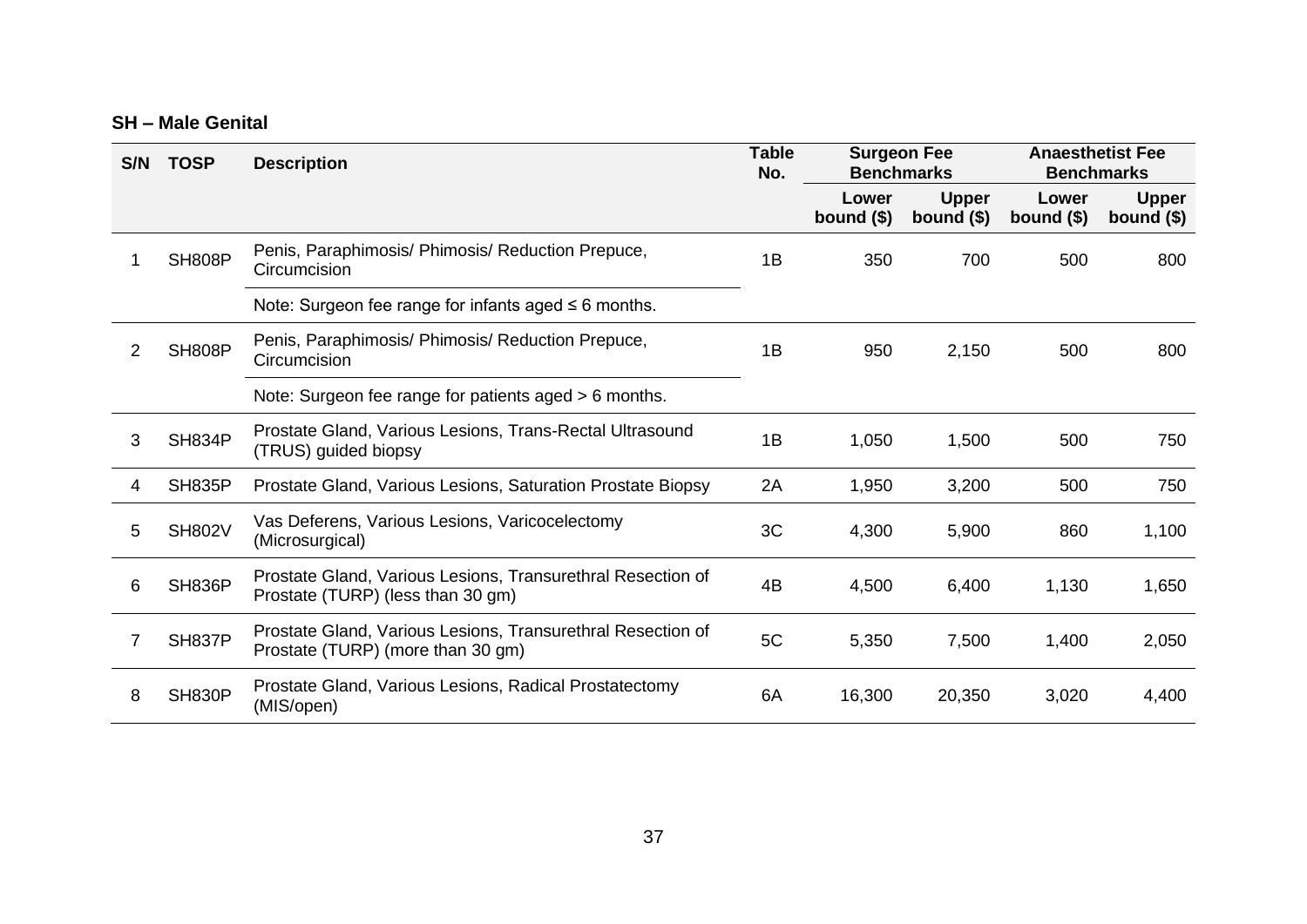#### **SH – Male Genital**

| S/N | <b>TOSP</b>   | <b>Description</b>                                                                               | <b>Table</b><br>No. | <b>Surgeon Fee</b><br><b>Benchmarks</b> |                             | <b>Anaesthetist Fee</b><br><b>Benchmarks</b> |                             |
|-----|---------------|--------------------------------------------------------------------------------------------------|---------------------|-----------------------------------------|-----------------------------|----------------------------------------------|-----------------------------|
|     |               |                                                                                                  |                     | Lower<br>bound $($)$                    | <b>Upper</b><br>bound $($)$ | Lower<br>bound $($)$                         | <b>Upper</b><br>bound $($)$ |
|     | <b>SH808P</b> | Penis, Paraphimosis/ Phimosis/ Reduction Prepuce,<br>Circumcision                                | 1B                  | 350                                     | 700                         | 500                                          | 800                         |
|     |               | Note: Surgeon fee range for infants aged $\leq 6$ months.                                        |                     |                                         |                             |                                              |                             |
| 2   | <b>SH808P</b> | Penis, Paraphimosis/ Phimosis/ Reduction Prepuce,<br>Circumcision                                | 1B                  | 950                                     | 2,150                       | 500                                          | 800                         |
|     |               | Note: Surgeon fee range for patients aged > 6 months.                                            |                     |                                         |                             |                                              |                             |
| 3   | <b>SH834P</b> | Prostate Gland, Various Lesions, Trans-Rectal Ultrasound<br>(TRUS) guided biopsy                 | 1B                  | 1,050                                   | 1,500                       | 500                                          | 750                         |
| 4   | <b>SH835P</b> | Prostate Gland, Various Lesions, Saturation Prostate Biopsy                                      | 2A                  | 1,950                                   | 3,200                       | 500                                          | 750                         |
| 5   | <b>SH802V</b> | Vas Deferens, Various Lesions, Varicocelectomy<br>(Microsurgical)                                | 3C                  | 4,300                                   | 5,900                       | 860                                          | 1,100                       |
| 6   | <b>SH836P</b> | Prostate Gland, Various Lesions, Transurethral Resection of<br>Prostate (TURP) (less than 30 gm) | 4B                  | 4,500                                   | 6,400                       | 1,130                                        | 1,650                       |
|     | <b>SH837P</b> | Prostate Gland, Various Lesions, Transurethral Resection of<br>Prostate (TURP) (more than 30 gm) | 5C                  | 5,350                                   | 7,500                       | 1,400                                        | 2,050                       |
| 8   | <b>SH830P</b> | Prostate Gland, Various Lesions, Radical Prostatectomy<br>(MIS/open)                             | 6A                  | 16,300                                  | 20,350                      | 3,020                                        | 4,400                       |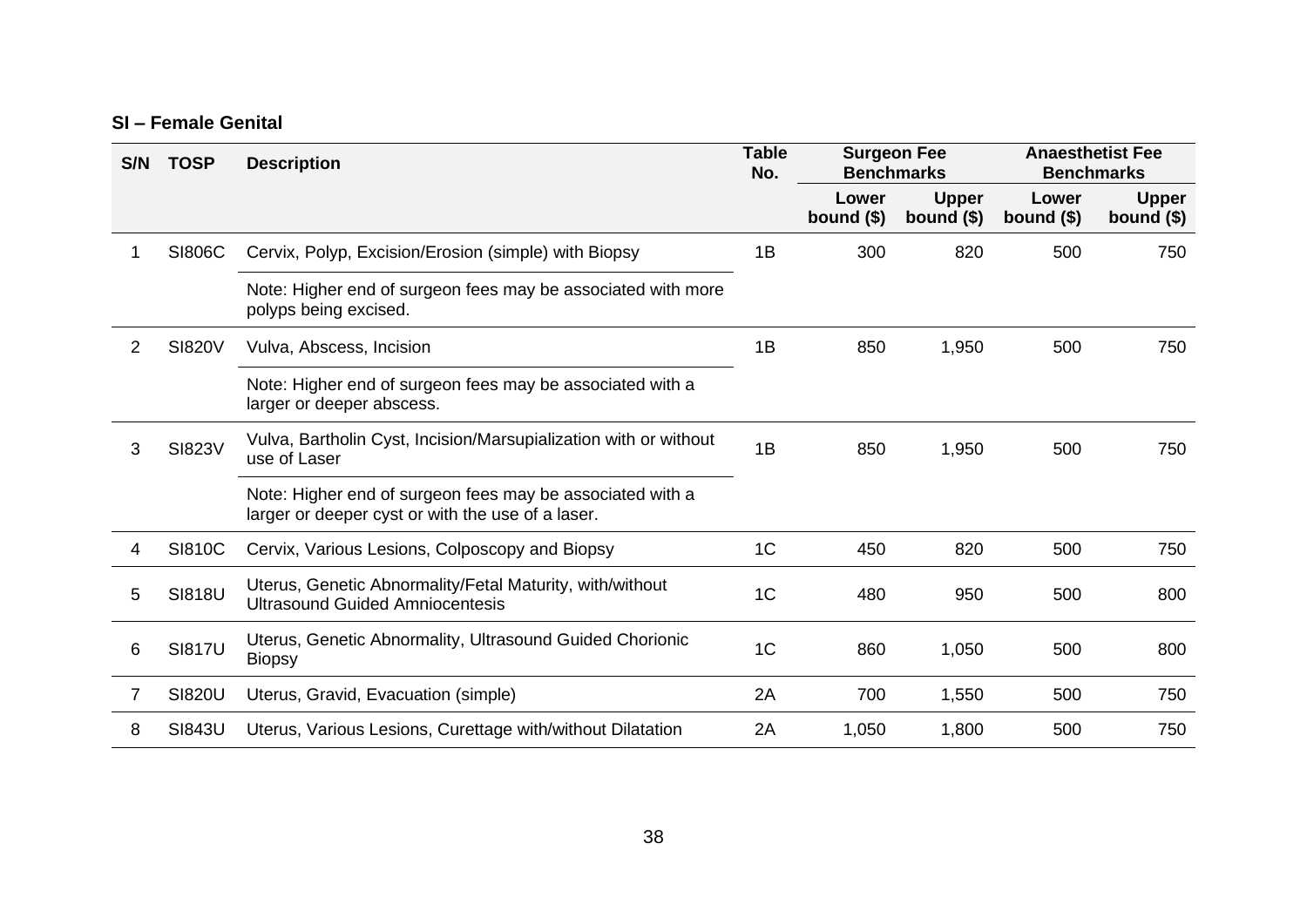#### **SI – Female Genital**

| S/N | <b>TOSP</b>   | <b>Description</b>                                                                                             | <b>Table</b><br>No. | <b>Surgeon Fee</b><br><b>Benchmarks</b> |                             | <b>Anaesthetist Fee</b><br><b>Benchmarks</b> |                             |
|-----|---------------|----------------------------------------------------------------------------------------------------------------|---------------------|-----------------------------------------|-----------------------------|----------------------------------------------|-----------------------------|
|     |               |                                                                                                                |                     | Lower<br>bound $($)$                    | <b>Upper</b><br>bound $($)$ | Lower<br>bound $($)$                         | <b>Upper</b><br>bound $($)$ |
|     | <b>SI806C</b> | Cervix, Polyp, Excision/Erosion (simple) with Biopsy                                                           | 1B                  | 300                                     | 820                         | 500                                          | 750                         |
|     |               | Note: Higher end of surgeon fees may be associated with more<br>polyps being excised.                          |                     |                                         |                             |                                              |                             |
| 2   | <b>SI820V</b> | Vulva, Abscess, Incision                                                                                       | 1B                  | 850                                     | 1,950                       | 500                                          | 750                         |
|     |               | Note: Higher end of surgeon fees may be associated with a<br>larger or deeper abscess.                         |                     |                                         |                             |                                              |                             |
| 3   | <b>SI823V</b> | Vulva, Bartholin Cyst, Incision/Marsupialization with or without<br>use of Laser                               | 1B                  | 850                                     | 1,950                       | 500                                          | 750                         |
|     |               | Note: Higher end of surgeon fees may be associated with a<br>larger or deeper cyst or with the use of a laser. |                     |                                         |                             |                                              |                             |
| 4   | <b>SI810C</b> | Cervix, Various Lesions, Colposcopy and Biopsy                                                                 | 1 <sup>C</sup>      | 450                                     | 820                         | 500                                          | 750                         |
| 5   | <b>SI818U</b> | Uterus, Genetic Abnormality/Fetal Maturity, with/without<br><b>Ultrasound Guided Amniocentesis</b>             | 1 <sup>C</sup>      | 480                                     | 950                         | 500                                          | 800                         |
| 6   | <b>SI817U</b> | Uterus, Genetic Abnormality, Ultrasound Guided Chorionic<br><b>Biopsy</b>                                      | 1 <sup>C</sup>      | 860                                     | 1,050                       | 500                                          | 800                         |
| 7   | <b>SI820U</b> | Uterus, Gravid, Evacuation (simple)                                                                            | 2A                  | 700                                     | 1,550                       | 500                                          | 750                         |
| 8   | <b>SI843U</b> | Uterus, Various Lesions, Curettage with/without Dilatation                                                     | 2A                  | 1,050                                   | 1,800                       | 500                                          | 750                         |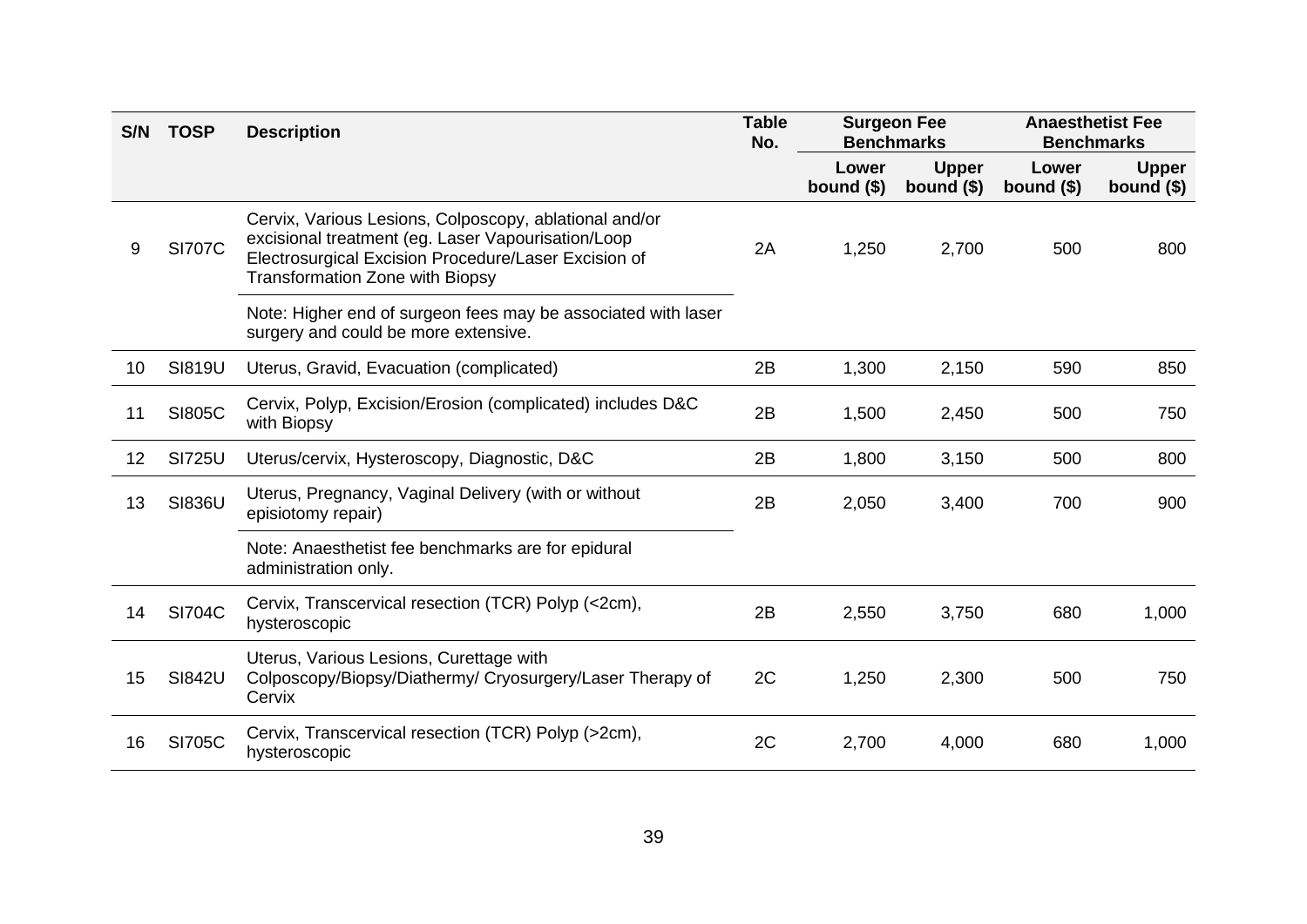| S/N | <b>TOSP</b>   | <b>Description</b>                                                                                                                                                                                             | <b>Table</b><br>No. |                      | <b>Surgeon Fee</b><br><b>Benchmarks</b> | <b>Anaesthetist Fee</b><br><b>Benchmarks</b> |                             |
|-----|---------------|----------------------------------------------------------------------------------------------------------------------------------------------------------------------------------------------------------------|---------------------|----------------------|-----------------------------------------|----------------------------------------------|-----------------------------|
|     |               |                                                                                                                                                                                                                |                     | Lower<br>bound $($)$ | <b>Upper</b><br>bound $($)$             | Lower<br>bound $($)$                         | <b>Upper</b><br>bound $($)$ |
| 9   | <b>SI707C</b> | Cervix, Various Lesions, Colposcopy, ablational and/or<br>excisional treatment (eg. Laser Vapourisation/Loop<br>Electrosurgical Excision Procedure/Laser Excision of<br><b>Transformation Zone with Biopsy</b> | 2A                  | 1,250                | 2,700                                   | 500                                          | 800                         |
|     |               | Note: Higher end of surgeon fees may be associated with laser<br>surgery and could be more extensive.                                                                                                          |                     |                      |                                         |                                              |                             |
| 10  | <b>SI819U</b> | Uterus, Gravid, Evacuation (complicated)                                                                                                                                                                       | 2B                  | 1,300                | 2,150                                   | 590                                          | 850                         |
| 11  | <b>SI805C</b> | Cervix, Polyp, Excision/Erosion (complicated) includes D&C<br>with Biopsy                                                                                                                                      | 2B                  | 1,500                | 2,450                                   | 500                                          | 750                         |
| 12  | <b>SI725U</b> | Uterus/cervix, Hysteroscopy, Diagnostic, D&C                                                                                                                                                                   | 2B                  | 1,800                | 3,150                                   | 500                                          | 800                         |
| 13  | <b>SI836U</b> | Uterus, Pregnancy, Vaginal Delivery (with or without<br>episiotomy repair)                                                                                                                                     | 2B                  | 2,050                | 3,400                                   | 700                                          | 900                         |
|     |               | Note: Anaesthetist fee benchmarks are for epidural<br>administration only.                                                                                                                                     |                     |                      |                                         |                                              |                             |
| 14  | <b>SI704C</b> | Cervix, Transcervical resection (TCR) Polyp (<2cm),<br>hysteroscopic                                                                                                                                           | 2B                  | 2,550                | 3,750                                   | 680                                          | 1,000                       |
| 15  | <b>SI842U</b> | Uterus, Various Lesions, Curettage with<br>Colposcopy/Biopsy/Diathermy/ Cryosurgery/Laser Therapy of<br>Cervix                                                                                                 | 2C                  | 1,250                | 2,300                                   | 500                                          | 750                         |
| 16  | <b>SI705C</b> | Cervix, Transcervical resection (TCR) Polyp (>2cm),<br>hysteroscopic                                                                                                                                           | 2C                  | 2,700                | 4,000                                   | 680                                          | 1,000                       |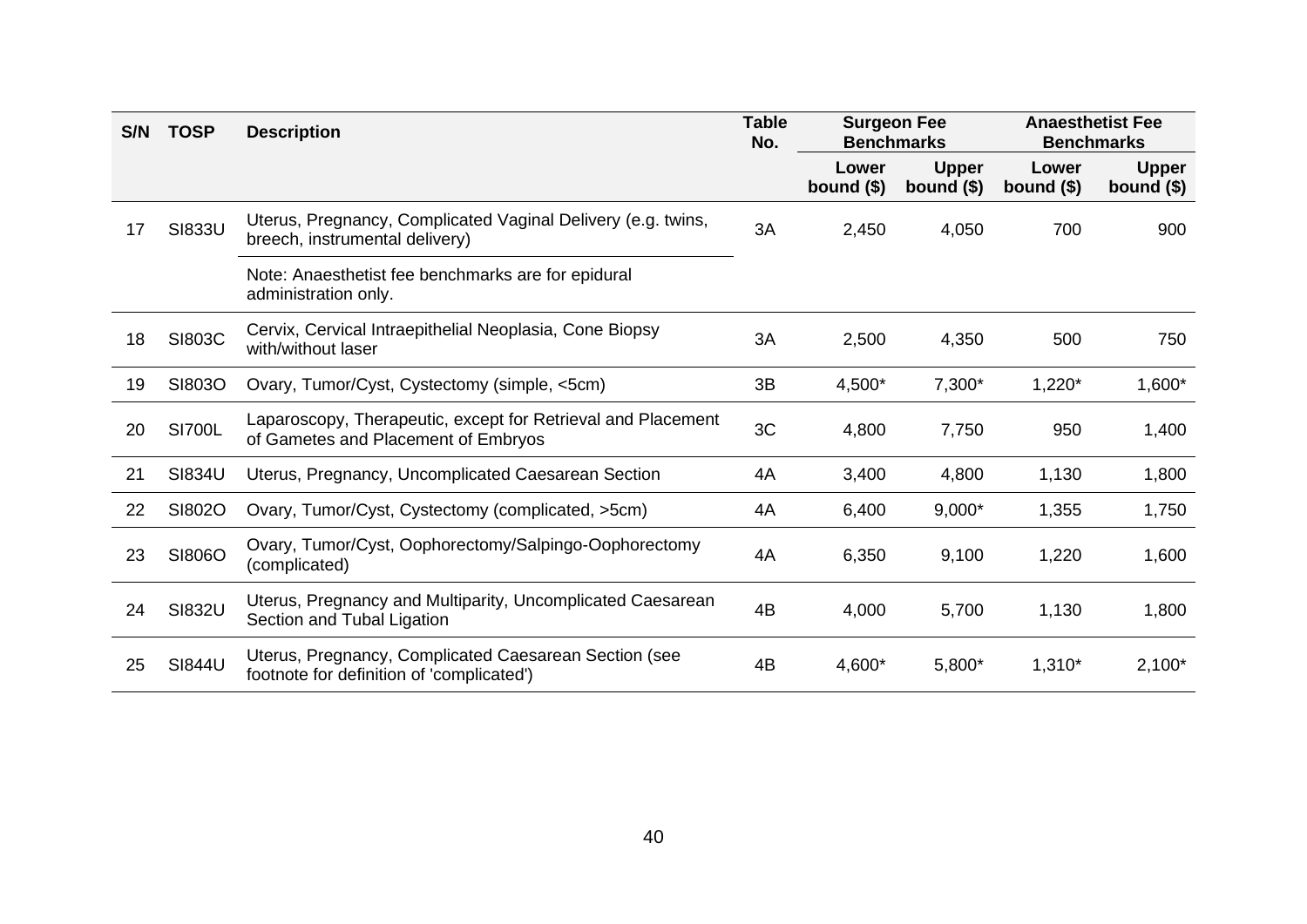| S/N | <b>TOSP</b>   | <b>Description</b>                                                                                  | <b>Table</b><br>No. | <b>Surgeon Fee</b><br><b>Benchmarks</b> |                             | <b>Anaesthetist Fee</b><br><b>Benchmarks</b> |                             |
|-----|---------------|-----------------------------------------------------------------------------------------------------|---------------------|-----------------------------------------|-----------------------------|----------------------------------------------|-----------------------------|
|     |               |                                                                                                     |                     | Lower<br>bound $($)$                    | <b>Upper</b><br>bound $($)$ | Lower<br>bound $($)$                         | <b>Upper</b><br>bound $($)$ |
| 17  | <b>SI833U</b> | Uterus, Pregnancy, Complicated Vaginal Delivery (e.g. twins,<br>breech, instrumental delivery)      | 3A                  | 2,450                                   | 4,050                       | 700                                          | 900                         |
|     |               | Note: Anaesthetist fee benchmarks are for epidural<br>administration only.                          |                     |                                         |                             |                                              |                             |
| 18  | <b>SI803C</b> | Cervix, Cervical Intraepithelial Neoplasia, Cone Biopsy<br>with/without laser                       | 3A                  | 2,500                                   | 4,350                       | 500                                          | 750                         |
| 19  | SI803O        | Ovary, Tumor/Cyst, Cystectomy (simple, <5cm)                                                        | 3B                  | 4,500*                                  | $7,300*$                    | $1,220*$                                     | $1,600*$                    |
| 20  | <b>SI700L</b> | Laparoscopy, Therapeutic, except for Retrieval and Placement<br>of Gametes and Placement of Embryos | 3C                  | 4,800                                   | 7,750                       | 950                                          | 1,400                       |
| 21  | SI834U        | Uterus, Pregnancy, Uncomplicated Caesarean Section                                                  | 4A                  | 3,400                                   | 4,800                       | 1,130                                        | 1,800                       |
| 22  | SI802O        | Ovary, Tumor/Cyst, Cystectomy (complicated, >5cm)                                                   | 4A                  | 6,400                                   | $9,000*$                    | 1,355                                        | 1,750                       |
| 23  | SI806O        | Ovary, Tumor/Cyst, Oophorectomy/Salpingo-Oophorectomy<br>(complicated)                              | 4A                  | 6,350                                   | 9,100                       | 1,220                                        | 1,600                       |
| 24  | <b>SI832U</b> | Uterus, Pregnancy and Multiparity, Uncomplicated Caesarean<br>Section and Tubal Ligation            | 4B                  | 4,000                                   | 5,700                       | 1,130                                        | 1,800                       |
| 25  | <b>SI844U</b> | Uterus, Pregnancy, Complicated Caesarean Section (see<br>footnote for definition of 'complicated')  | 4B                  | 4,600*                                  | 5,800*                      | $1,310*$                                     | $2,100*$                    |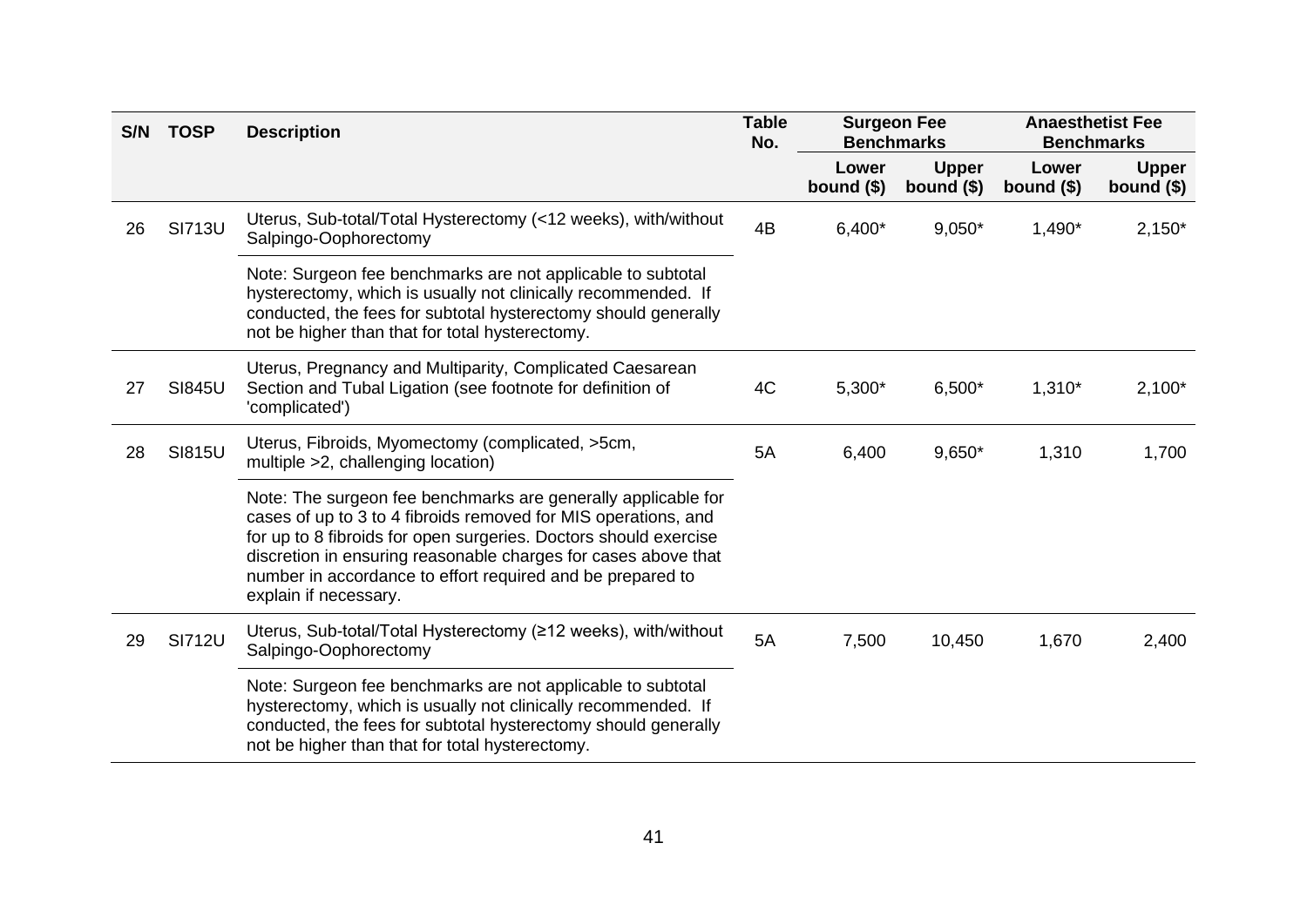| S/N | <b>TOSP</b>   | <b>Description</b>                                                                                                                                                                                                                                                                                                                                           | <b>Table</b><br>No. | <b>Surgeon Fee</b><br><b>Benchmarks</b> |                             | <b>Anaesthetist Fee</b><br><b>Benchmarks</b> |                             |
|-----|---------------|--------------------------------------------------------------------------------------------------------------------------------------------------------------------------------------------------------------------------------------------------------------------------------------------------------------------------------------------------------------|---------------------|-----------------------------------------|-----------------------------|----------------------------------------------|-----------------------------|
|     |               |                                                                                                                                                                                                                                                                                                                                                              |                     | Lower<br>bound $($)$                    | <b>Upper</b><br>bound $($)$ | Lower<br>bound $($)$                         | <b>Upper</b><br>bound $($)$ |
| 26  | <b>SI713U</b> | Uterus, Sub-total/Total Hysterectomy (<12 weeks), with/without<br>Salpingo-Oophorectomy                                                                                                                                                                                                                                                                      | 4B                  | $6,400*$                                | $9,050*$                    | $1,490*$                                     | $2,150*$                    |
|     |               | Note: Surgeon fee benchmarks are not applicable to subtotal<br>hysterectomy, which is usually not clinically recommended. If<br>conducted, the fees for subtotal hysterectomy should generally<br>not be higher than that for total hysterectomy.                                                                                                            |                     |                                         |                             |                                              |                             |
| 27  | <b>SI845U</b> | Uterus, Pregnancy and Multiparity, Complicated Caesarean<br>Section and Tubal Ligation (see footnote for definition of<br>'complicated')                                                                                                                                                                                                                     | 4C                  | $5,300*$                                | $6,500*$                    | $1,310*$                                     | $2,100*$                    |
| 28  | <b>SI815U</b> | Uterus, Fibroids, Myomectomy (complicated, >5cm,<br>multiple >2, challenging location)                                                                                                                                                                                                                                                                       | 5A                  | 6,400                                   | $9,650*$                    | 1,310                                        | 1,700                       |
|     |               | Note: The surgeon fee benchmarks are generally applicable for<br>cases of up to 3 to 4 fibroids removed for MIS operations, and<br>for up to 8 fibroids for open surgeries. Doctors should exercise<br>discretion in ensuring reasonable charges for cases above that<br>number in accordance to effort required and be prepared to<br>explain if necessary. |                     |                                         |                             |                                              |                             |
| 29  | <b>SI712U</b> | Uterus, Sub-total/Total Hysterectomy (≥12 weeks), with/without<br>Salpingo-Oophorectomy                                                                                                                                                                                                                                                                      | 5A                  | 7,500                                   | 10,450                      | 1,670                                        | 2,400                       |
|     |               | Note: Surgeon fee benchmarks are not applicable to subtotal<br>hysterectomy, which is usually not clinically recommended. If<br>conducted, the fees for subtotal hysterectomy should generally<br>not be higher than that for total hysterectomy.                                                                                                            |                     |                                         |                             |                                              |                             |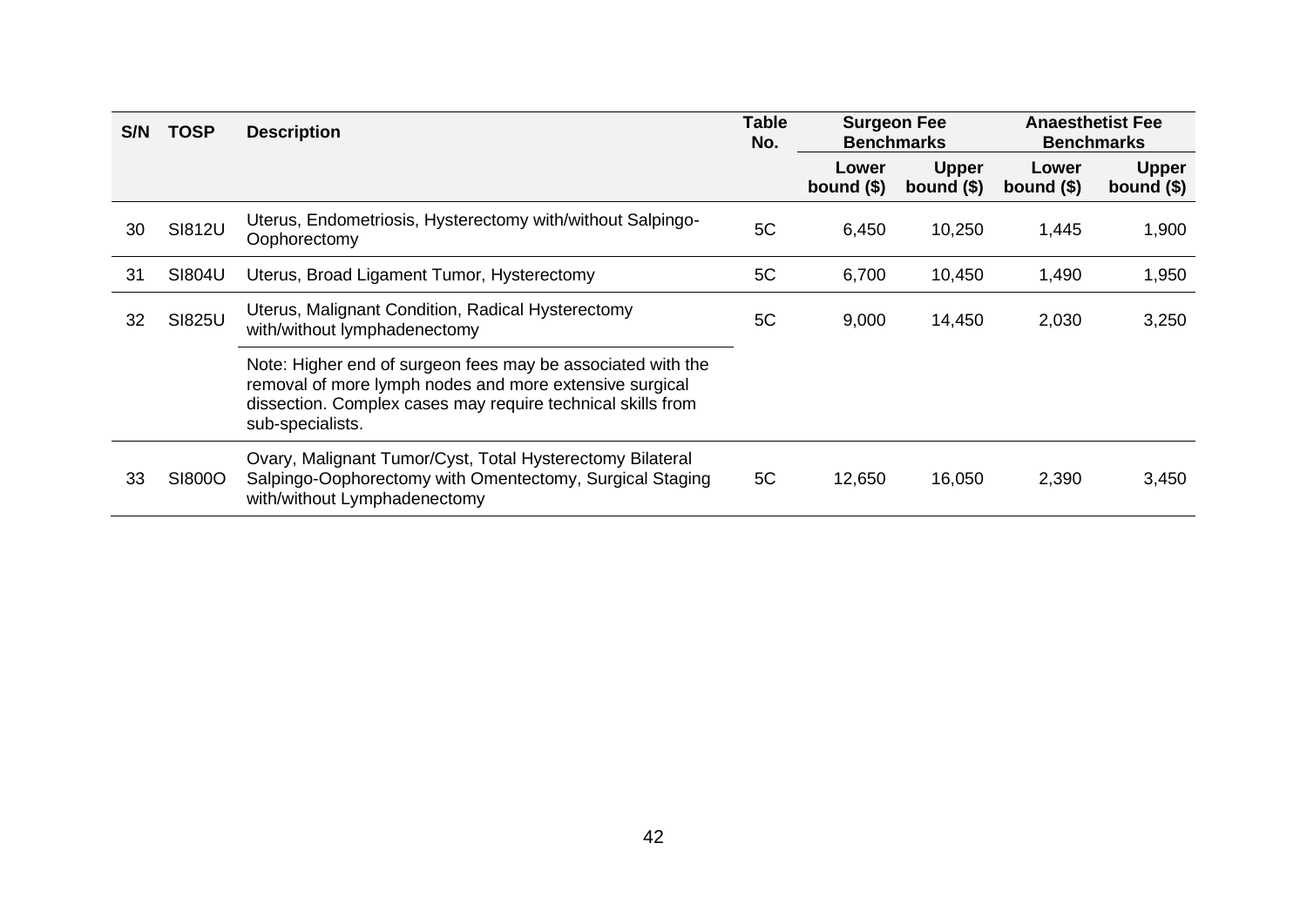| S/N | <b>TOSP</b>   | <b>Description</b>                                                                                                                                                                                        | <b>Table</b><br>No. | <b>Surgeon Fee</b><br><b>Benchmarks</b> |                             | <b>Anaesthetist Fee</b><br><b>Benchmarks</b> |                             |
|-----|---------------|-----------------------------------------------------------------------------------------------------------------------------------------------------------------------------------------------------------|---------------------|-----------------------------------------|-----------------------------|----------------------------------------------|-----------------------------|
|     |               |                                                                                                                                                                                                           |                     | Lower<br>bound $($)$                    | <b>Upper</b><br>bound $(§)$ | Lower<br>bound $($)$                         | <b>Upper</b><br>bound $($)$ |
| 30  | <b>SI812U</b> | Uterus, Endometriosis, Hysterectomy with/without Salpingo-<br>Oophorectomy                                                                                                                                | 5C                  | 6,450                                   | 10,250                      | 1,445                                        | 1,900                       |
| 31  | SI804U        | Uterus, Broad Ligament Tumor, Hysterectomy                                                                                                                                                                | 5C                  | 6,700                                   | 10,450                      | 1,490                                        | 1,950                       |
| 32  | <b>SI825U</b> | Uterus, Malignant Condition, Radical Hysterectomy<br>with/without lymphadenectomy                                                                                                                         | 5C                  | 9,000                                   | 14,450                      | 2,030                                        | 3,250                       |
|     |               | Note: Higher end of surgeon fees may be associated with the<br>removal of more lymph nodes and more extensive surgical<br>dissection. Complex cases may require technical skills from<br>sub-specialists. |                     |                                         |                             |                                              |                             |
| 33  | SI800O        | Ovary, Malignant Tumor/Cyst, Total Hysterectomy Bilateral<br>Salpingo-Oophorectomy with Omentectomy, Surgical Staging<br>with/without Lymphadenectomy                                                     | 5C                  | 12,650                                  | 16,050                      | 2,390                                        | 3,450                       |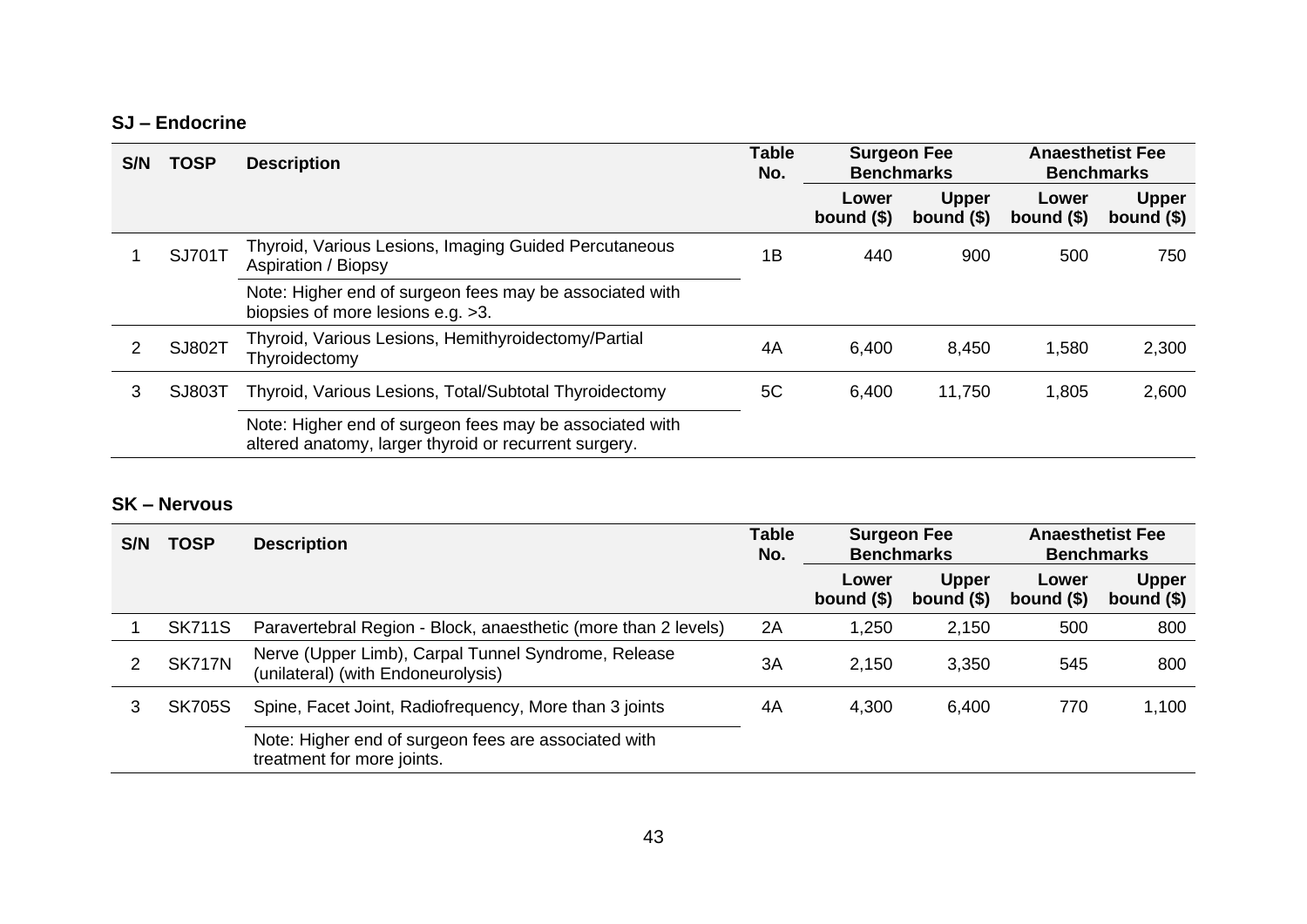#### **SJ – Endocrine**

| S/N | <b>TOSP</b>   | <b>Description</b>                                                                                               | <b>Table</b><br>No. | <b>Surgeon Fee</b><br><b>Benchmarks</b> |                             | <b>Anaesthetist Fee</b><br><b>Benchmarks</b> |                             |
|-----|---------------|------------------------------------------------------------------------------------------------------------------|---------------------|-----------------------------------------|-----------------------------|----------------------------------------------|-----------------------------|
|     |               |                                                                                                                  |                     | Lower<br>bound $($)$                    | <b>Upper</b><br>bound $($)$ | Lower<br>bound $($)$                         | <b>Upper</b><br>bound $($)$ |
|     | SJ701T        | Thyroid, Various Lesions, Imaging Guided Percutaneous<br><b>Aspiration / Biopsy</b>                              | 1B                  | 440                                     | 900                         | 500                                          | 750                         |
|     |               | Note: Higher end of surgeon fees may be associated with<br>biopsies of more lesions e.g. >3.                     |                     |                                         |                             |                                              |                             |
|     | SJ802T        | Thyroid, Various Lesions, Hemithyroidectomy/Partial<br>Thyroidectomy                                             | 4A                  | 6,400                                   | 8,450                       | 1,580                                        | 2,300                       |
| 3   | <b>SJ803T</b> | Thyroid, Various Lesions, Total/Subtotal Thyroidectomy                                                           | 5C                  | 6,400                                   | 11,750                      | 1,805                                        | 2,600                       |
|     |               | Note: Higher end of surgeon fees may be associated with<br>altered anatomy, larger thyroid or recurrent surgery. |                     |                                         |                             |                                              |                             |

#### **SK – Nervous**

| S/N | <b>TOSP</b>   | <b>Description</b>                                                                        | <b>Table</b><br>No. | <b>Surgeon Fee</b><br><b>Benchmarks</b> |                             | <b>Anaesthetist Fee</b><br><b>Benchmarks</b> |                             |
|-----|---------------|-------------------------------------------------------------------------------------------|---------------------|-----------------------------------------|-----------------------------|----------------------------------------------|-----------------------------|
|     |               |                                                                                           |                     | Lower<br>bound $(§)$                    | <b>Upper</b><br>bound $($)$ | Lower<br>bound $($)$                         | <b>Upper</b><br>bound $($)$ |
|     | <b>SK711S</b> | Paravertebral Region - Block, anaesthetic (more than 2 levels)                            | 2A                  | 1,250                                   | 2,150                       | 500                                          | 800                         |
| 2   | <b>SK717N</b> | Nerve (Upper Limb), Carpal Tunnel Syndrome, Release<br>(unilateral) (with Endoneurolysis) | 3A                  | 2,150                                   | 3,350                       | 545                                          | 800                         |
| 3   | <b>SK705S</b> | Spine, Facet Joint, Radiofrequency, More than 3 joints                                    | 4A                  | 4,300                                   | 6,400                       | 770                                          | 1,100                       |
|     |               | Note: Higher end of surgeon fees are associated with<br>treatment for more joints.        |                     |                                         |                             |                                              |                             |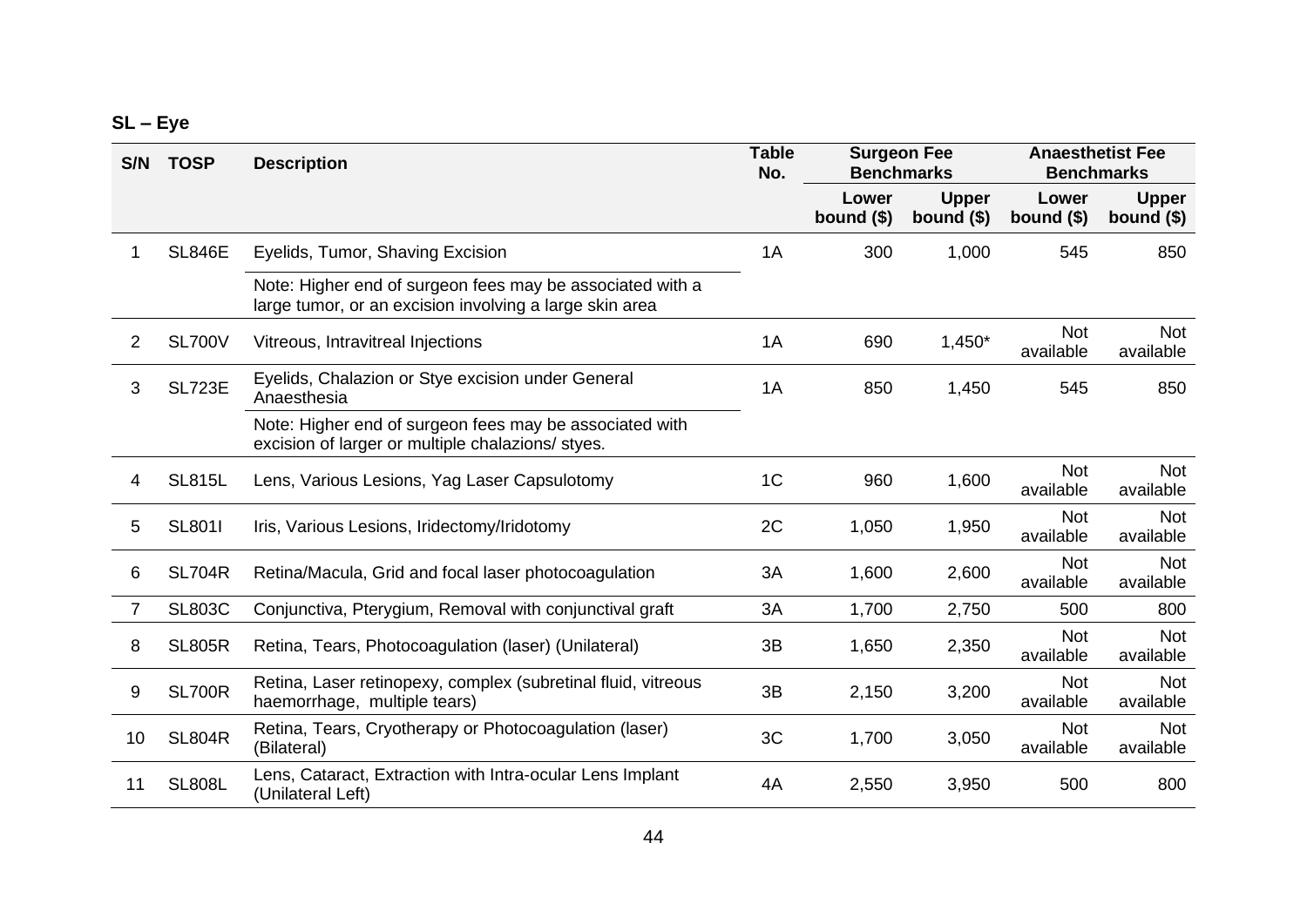|  |  | n<br>u<br>, |
|--|--|-------------|
|--|--|-------------|

| S/N | <b>TOSP</b>   | <b>Description</b>                                                                                                   | <b>Table</b><br>No. | <b>Surgeon Fee</b><br><b>Benchmarks</b> |                             | <b>Anaesthetist Fee</b><br><b>Benchmarks</b> |                             |
|-----|---------------|----------------------------------------------------------------------------------------------------------------------|---------------------|-----------------------------------------|-----------------------------|----------------------------------------------|-----------------------------|
|     |               |                                                                                                                      |                     | Lower<br>bound $($)$                    | <b>Upper</b><br>bound $($)$ | Lower<br>bound $($)$                         | <b>Upper</b><br>bound $($)$ |
| 1   | <b>SL846E</b> | Eyelids, Tumor, Shaving Excision                                                                                     | 1A                  | 300                                     | 1,000                       | 545                                          | 850                         |
|     |               | Note: Higher end of surgeon fees may be associated with a<br>large tumor, or an excision involving a large skin area |                     |                                         |                             |                                              |                             |
| 2   | <b>SL700V</b> | Vitreous, Intravitreal Injections                                                                                    | 1A                  | 690                                     | $1,450*$                    | <b>Not</b><br>available                      | Not<br>available            |
| 3   | <b>SL723E</b> | Eyelids, Chalazion or Stye excision under General<br>Anaesthesia                                                     | 1A                  | 850                                     | 1,450                       | 545                                          | 850                         |
|     |               | Note: Higher end of surgeon fees may be associated with<br>excision of larger or multiple chalazions/ styes.         |                     |                                         |                             |                                              |                             |
| 4   | <b>SL815L</b> | Lens, Various Lesions, Yag Laser Capsulotomy                                                                         | 1 <sup>C</sup>      | 960                                     | 1,600                       | <b>Not</b><br>available                      | <b>Not</b><br>available     |
| 5   | <b>SL801I</b> | Iris, Various Lesions, Iridectomy/Iridotomy                                                                          | 2C                  | 1,050                                   | 1,950                       | <b>Not</b><br>available                      | Not<br>available            |
| 6   | <b>SL704R</b> | Retina/Macula, Grid and focal laser photocoagulation                                                                 | 3A                  | 1,600                                   | 2,600                       | <b>Not</b><br>available                      | <b>Not</b><br>available     |
| 7   | <b>SL803C</b> | Conjunctiva, Pterygium, Removal with conjunctival graft                                                              | 3A                  | 1,700                                   | 2,750                       | 500                                          | 800                         |
| 8   | <b>SL805R</b> | Retina, Tears, Photocoagulation (laser) (Unilateral)                                                                 | 3B                  | 1,650                                   | 2,350                       | <b>Not</b><br>available                      | <b>Not</b><br>available     |
| 9   | <b>SL700R</b> | Retina, Laser retinopexy, complex (subretinal fluid, vitreous<br>haemorrhage, multiple tears)                        | 3B                  | 2,150                                   | 3,200                       | <b>Not</b><br>available                      | <b>Not</b><br>available     |
| 10  | <b>SL804R</b> | Retina, Tears, Cryotherapy or Photocoagulation (laser)<br>(Bilateral)                                                | 3C                  | 1,700                                   | 3,050                       | <b>Not</b><br>available                      | Not<br>available            |
| 11  | <b>SL808L</b> | Lens, Cataract, Extraction with Intra-ocular Lens Implant<br>(Unilateral Left)                                       | 4A                  | 2,550                                   | 3,950                       | 500                                          | 800                         |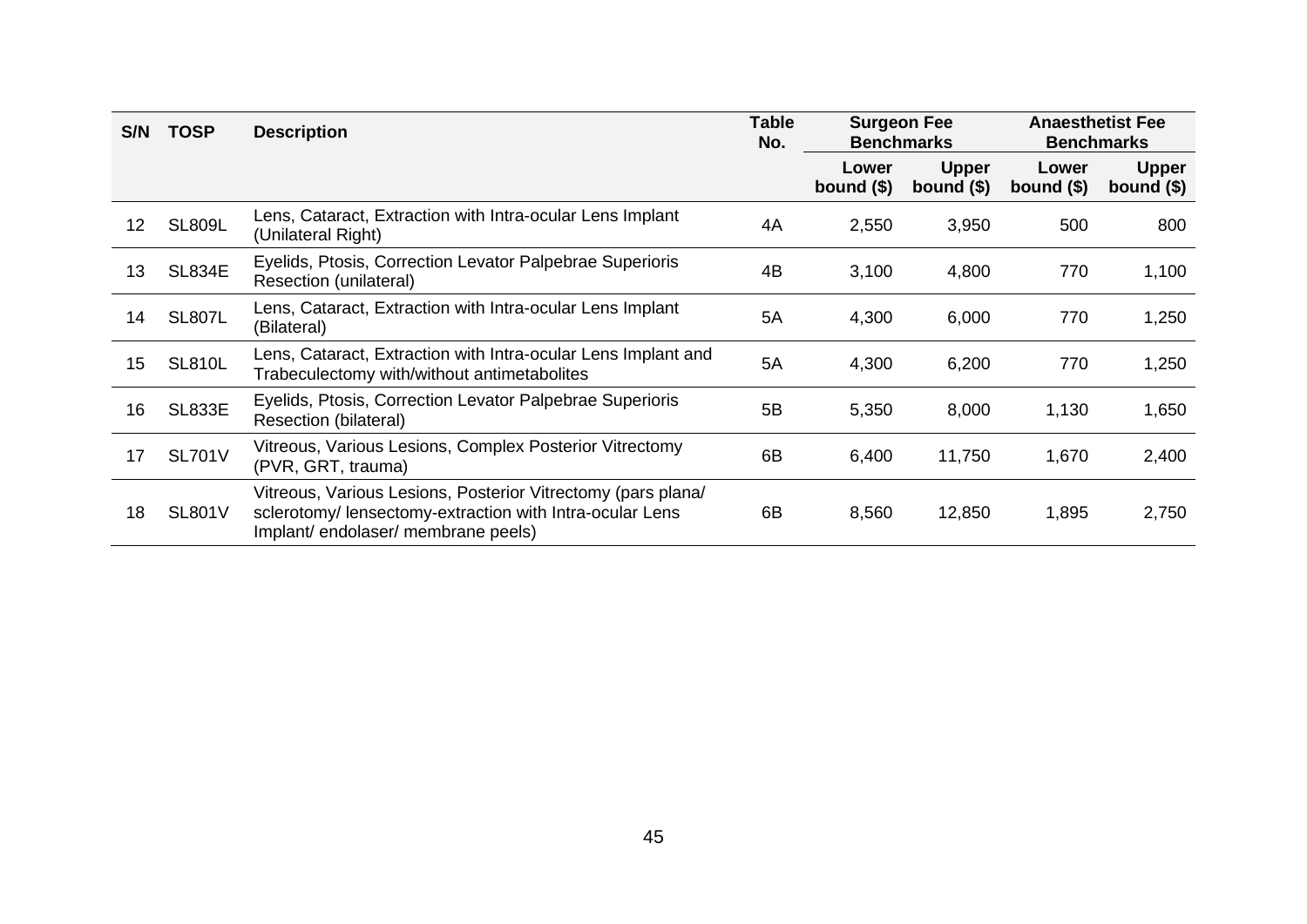| S/N | <b>TOSP</b>   | <b>Description</b>                                                                                                                                            | <b>Table</b><br>No. | <b>Surgeon Fee</b><br><b>Benchmarks</b> |                             | <b>Anaesthetist Fee</b><br><b>Benchmarks</b> |                             |
|-----|---------------|---------------------------------------------------------------------------------------------------------------------------------------------------------------|---------------------|-----------------------------------------|-----------------------------|----------------------------------------------|-----------------------------|
|     |               |                                                                                                                                                               |                     | Lower<br>bound $($)$                    | <b>Upper</b><br>bound $($)$ | Lower<br>bound $($)$                         | <b>Upper</b><br>bound $($)$ |
| 12  | <b>SL809L</b> | Lens, Cataract, Extraction with Intra-ocular Lens Implant<br>(Unilateral Right)                                                                               | 4A                  | 2,550                                   | 3,950                       | 500                                          | 800                         |
| 13  | <b>SL834E</b> | Eyelids, Ptosis, Correction Levator Palpebrae Superioris<br>Resection (unilateral)                                                                            | 4B                  | 3,100                                   | 4,800                       | 770                                          | 1,100                       |
| 14  | <b>SL807L</b> | Lens, Cataract, Extraction with Intra-ocular Lens Implant<br>(Bilateral)                                                                                      | 5A                  | 4,300                                   | 6,000                       | 770                                          | 1,250                       |
| 15  | <b>SL810L</b> | Lens, Cataract, Extraction with Intra-ocular Lens Implant and<br>Trabeculectomy with/without antimetabolites                                                  | 5A                  | 4,300                                   | 6,200                       | 770                                          | 1,250                       |
| 16  | <b>SL833E</b> | Eyelids, Ptosis, Correction Levator Palpebrae Superioris<br><b>Resection (bilateral)</b>                                                                      | 5B                  | 5,350                                   | 8,000                       | 1,130                                        | 1,650                       |
| 17  | <b>SL701V</b> | Vitreous, Various Lesions, Complex Posterior Vitrectomy<br>(PVR, GRT, trauma)                                                                                 | 6B                  | 6,400                                   | 11,750                      | 1,670                                        | 2,400                       |
| 18  | <b>SL801V</b> | Vitreous, Various Lesions, Posterior Vitrectomy (pars plana/<br>sclerotomy/ lensectomy-extraction with Intra-ocular Lens<br>Implant/endolaser/membrane peels) | 6B                  | 8,560                                   | 12,850                      | 1,895                                        | 2,750                       |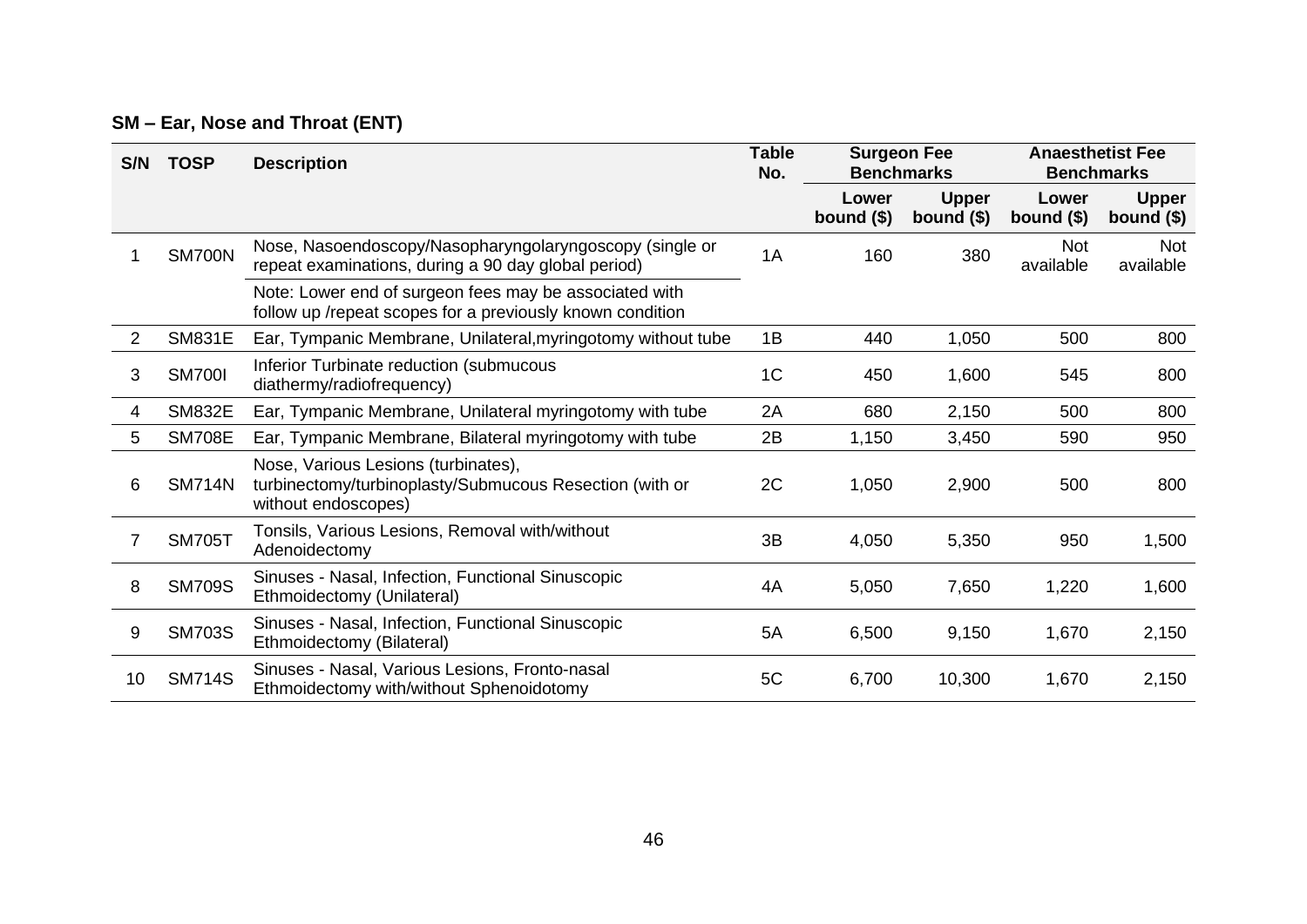### **SM – Ear, Nose and Throat (ENT)**

| S/N            | <b>TOSP</b>   | <b>Description</b>                                                                                                    | <b>Table</b><br>No. | <b>Surgeon Fee</b><br><b>Benchmarks</b> |                             | <b>Anaesthetist Fee</b><br><b>Benchmarks</b> |                             |
|----------------|---------------|-----------------------------------------------------------------------------------------------------------------------|---------------------|-----------------------------------------|-----------------------------|----------------------------------------------|-----------------------------|
|                |               |                                                                                                                       |                     | Lower<br>bound $($)$                    | <b>Upper</b><br>bound $($)$ | Lower<br>bound $($)$                         | <b>Upper</b><br>bound $($)$ |
|                | <b>SM700N</b> | Nose, Nasoendoscopy/Nasopharyngolaryngoscopy (single or<br>repeat examinations, during a 90 day global period)        | 1A                  | 160                                     | 380                         | <b>Not</b><br>available                      | Not<br>available            |
|                |               | Note: Lower end of surgeon fees may be associated with<br>follow up /repeat scopes for a previously known condition   |                     |                                         |                             |                                              |                             |
| $\overline{2}$ | <b>SM831E</b> | Ear, Tympanic Membrane, Unilateral, myring otomy without tube                                                         | 1B                  | 440                                     | 1,050                       | 500                                          | 800                         |
| 3              | <b>SM700I</b> | Inferior Turbinate reduction (submucous<br>diathermy/radiofrequency)                                                  | 1 <sup>C</sup>      | 450                                     | 1,600                       | 545                                          | 800                         |
| 4              | <b>SM832E</b> | Ear, Tympanic Membrane, Unilateral myringotomy with tube                                                              | 2A                  | 680                                     | 2,150                       | 500                                          | 800                         |
| 5              | <b>SM708E</b> | Ear, Tympanic Membrane, Bilateral myringotomy with tube                                                               | 2B                  | 1,150                                   | 3,450                       | 590                                          | 950                         |
| 6              | <b>SM714N</b> | Nose, Various Lesions (turbinates),<br>turbinectomy/turbinoplasty/Submucous Resection (with or<br>without endoscopes) | 2C                  | 1,050                                   | 2,900                       | 500                                          | 800                         |
| 7              | <b>SM705T</b> | Tonsils, Various Lesions, Removal with/without<br>Adenoidectomy                                                       | 3B                  | 4,050                                   | 5,350                       | 950                                          | 1,500                       |
| 8              | <b>SM709S</b> | Sinuses - Nasal, Infection, Functional Sinuscopic<br>Ethmoidectomy (Unilateral)                                       | 4A                  | 5,050                                   | 7,650                       | 1,220                                        | 1,600                       |
| 9              | <b>SM703S</b> | Sinuses - Nasal, Infection, Functional Sinuscopic<br>Ethmoidectomy (Bilateral)                                        | 5A                  | 6,500                                   | 9,150                       | 1,670                                        | 2,150                       |
| 10             | <b>SM714S</b> | Sinuses - Nasal, Various Lesions, Fronto-nasal<br>Ethmoidectomy with/without Sphenoidotomy                            | 5C                  | 6,700                                   | 10,300                      | 1,670                                        | 2,150                       |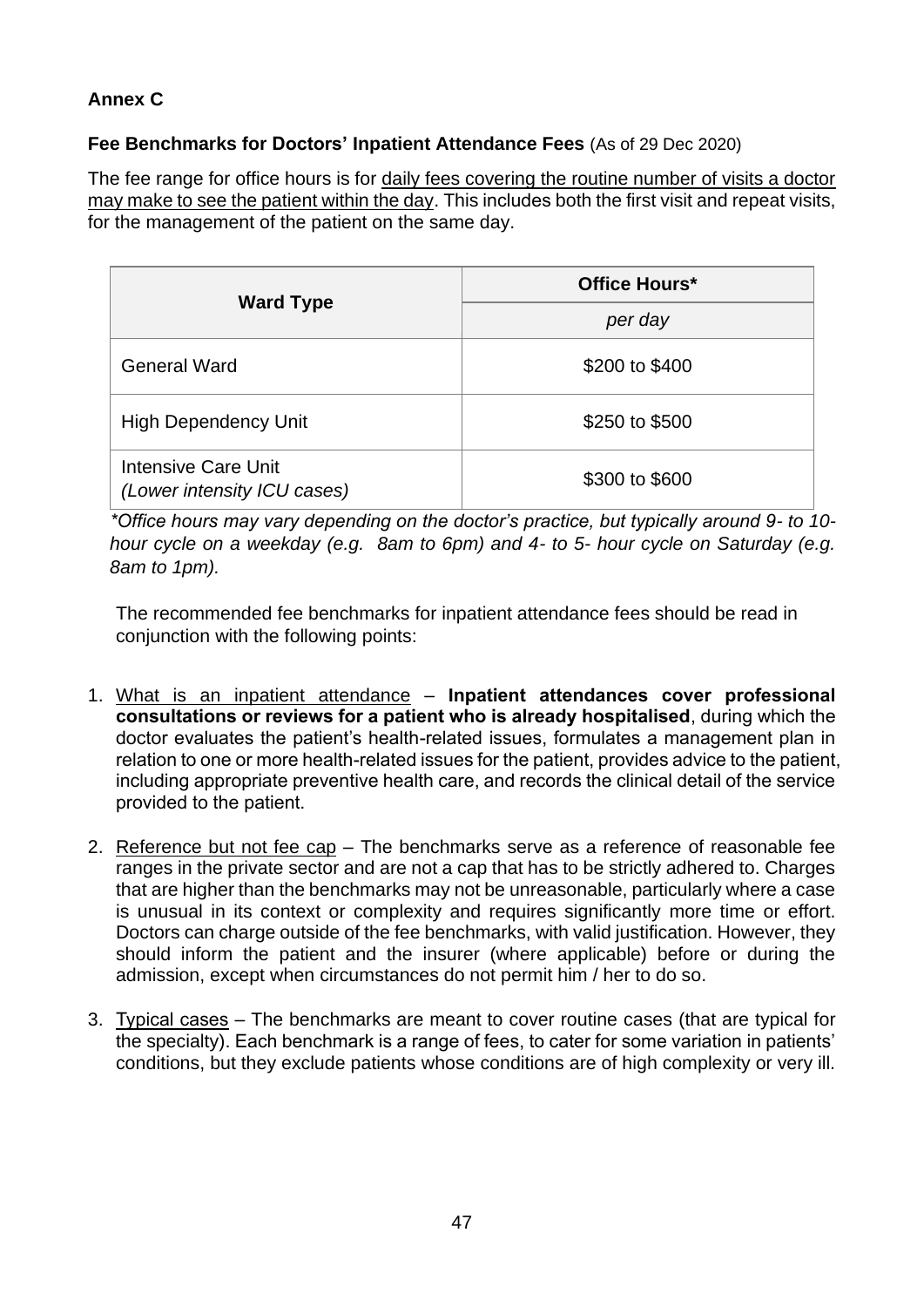#### **Annex C**

#### **Fee Benchmarks for Doctors' Inpatient Attendance Fees** (As of 29 Dec 2020)

The fee range for office hours is for daily fees covering the routine number of visits a doctor may make to see the patient within the day. This includes both the first visit and repeat visits, for the management of the patient on the same day.

|                                                    | Office Hours*  |  |  |
|----------------------------------------------------|----------------|--|--|
| <b>Ward Type</b>                                   | per day        |  |  |
| <b>General Ward</b>                                | \$200 to \$400 |  |  |
| <b>High Dependency Unit</b>                        | \$250 to \$500 |  |  |
| Intensive Care Unit<br>(Lower intensity ICU cases) | \$300 to \$600 |  |  |

*\*Office hours may vary depending on the doctor's practice, but typically around 9- to 10 hour cycle on a weekday (e.g. 8am to 6pm) and 4- to 5- hour cycle on Saturday (e.g. 8am to 1pm).* 

The recommended fee benchmarks for inpatient attendance fees should be read in conjunction with the following points:

- 1. What is an inpatient attendance **Inpatient attendances cover professional consultations or reviews for a patient who is already hospitalised**, during which the doctor evaluates the patient's health-related issues, formulates a management plan in relation to one or more health-related issues for the patient, provides advice to the patient, including appropriate preventive health care, and records the clinical detail of the service provided to the patient.
- 2. Reference but not fee cap The benchmarks serve as a reference of reasonable fee ranges in the private sector and are not a cap that has to be strictly adhered to. Charges that are higher than the benchmarks may not be unreasonable, particularly where a case is unusual in its context or complexity and requires significantly more time or effort. Doctors can charge outside of the fee benchmarks, with valid justification. However, they should inform the patient and the insurer (where applicable) before or during the admission, except when circumstances do not permit him / her to do so.
- 3. Typical cases The benchmarks are meant to cover routine cases (that are typical for the specialty). Each benchmark is a range of fees, to cater for some variation in patients' conditions, but they exclude patients whose conditions are of high complexity or very ill.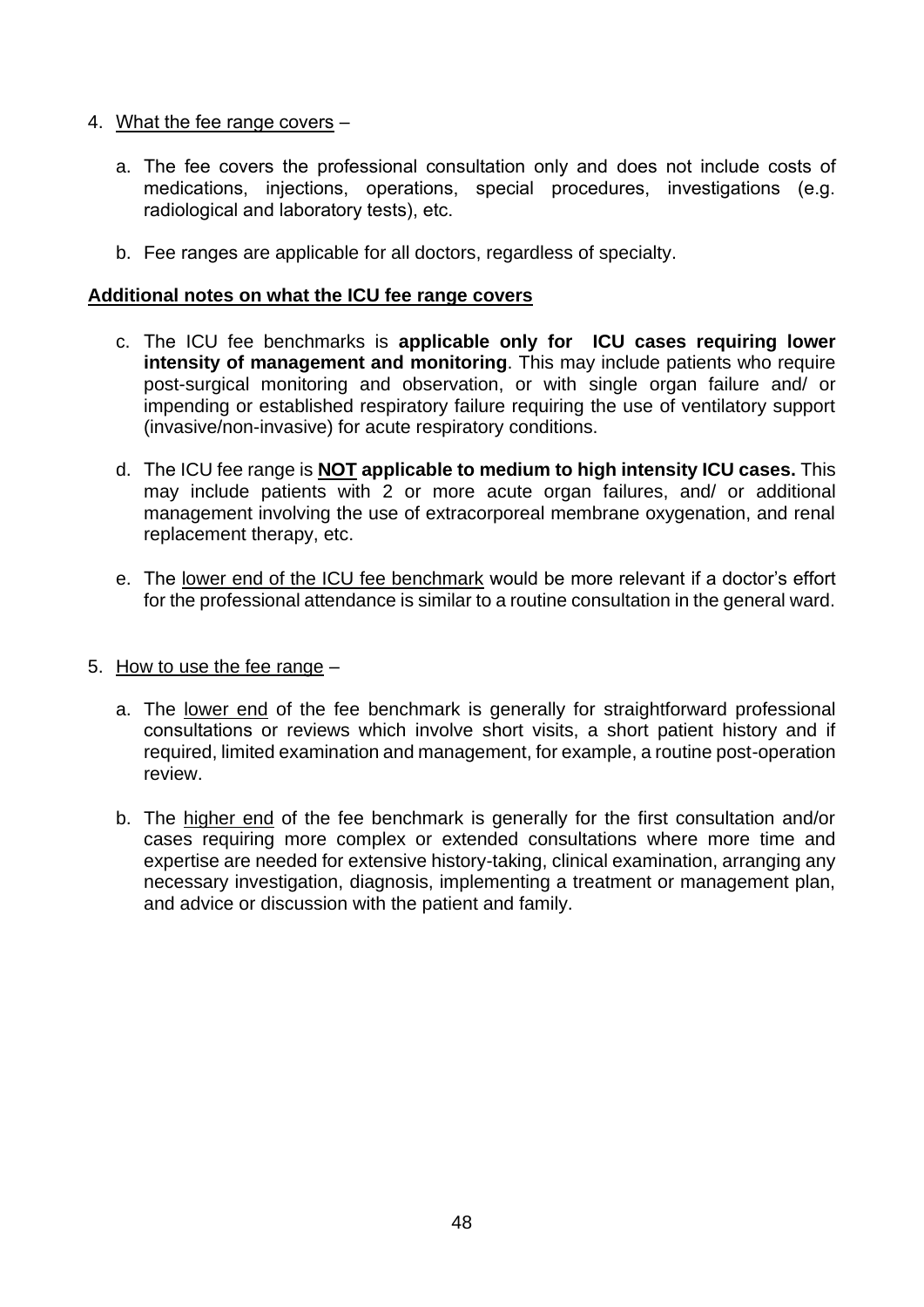- 4. What the fee range covers
	- a. The fee covers the professional consultation only and does not include costs of medications, injections, operations, special procedures, investigations (e.g. radiological and laboratory tests), etc.
	- b. Fee ranges are applicable for all doctors, regardless of specialty.

#### **Additional notes on what the ICU fee range covers**

- c. The ICU fee benchmarks is **applicable only for ICU cases requiring lower intensity of management and monitoring**. This may include patients who require post-surgical monitoring and observation, or with single organ failure and/ or impending or established respiratory failure requiring the use of ventilatory support (invasive/non-invasive) for acute respiratory conditions.
- d. The ICU fee range is **NOT applicable to medium to high intensity ICU cases.** This may include patients with 2 or more acute organ failures, and/ or additional management involving the use of extracorporeal membrane oxygenation, and renal replacement therapy, etc.
- e. The lower end of the ICU fee benchmark would be more relevant if a doctor's effort for the professional attendance is similar to a routine consultation in the general ward.
- 5. How to use the fee range
	- a. The lower end of the fee benchmark is generally for straightforward professional consultations or reviews which involve short visits, a short patient history and if required, limited examination and management, for example, a routine post-operation review.
	- b. The higher end of the fee benchmark is generally for the first consultation and/or cases requiring more complex or extended consultations where more time and expertise are needed for extensive history-taking, clinical examination, arranging any necessary investigation, diagnosis, implementing a treatment or management plan, and advice or discussion with the patient and family.